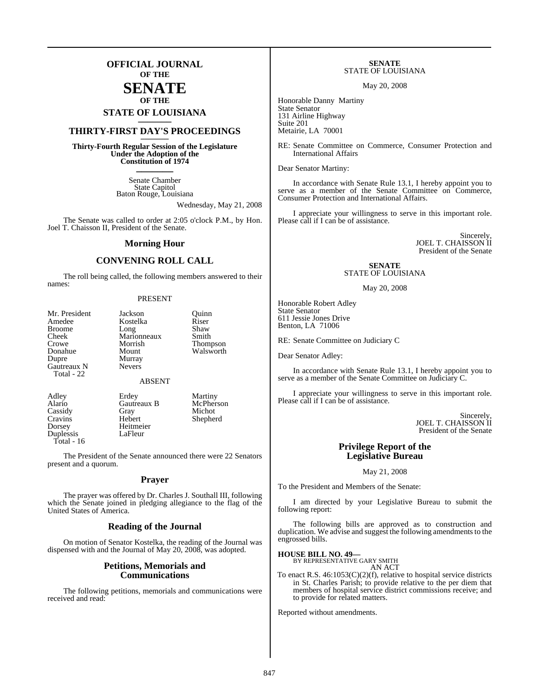### **OFFICIAL JOURNAL OF THE**

### **SENATE OF THE**

# **STATE OF LOUISIANA \_\_\_\_\_\_\_**

### **THIRTY-FIRST DAY'S PROCEEDINGS \_\_\_\_\_\_\_**

**Thirty-Fourth Regular Session of the Legislature Under the Adoption of the Constitution of 1974 \_\_\_\_\_\_\_**

> Senate Chamber State Capitol Baton Rouge, Louisiana

> > Wednesday, May 21, 2008

The Senate was called to order at 2:05 o'clock P.M., by Hon. Joel T. Chaisson II, President of the Senate.

#### **Morning Hour**

### **CONVENING ROLL CALL**

The roll being called, the following members answered to their names:

#### PRESENT

| Mr. President     |
|-------------------|
| Amedee            |
| <b>Broome</b>     |
| Cheek             |
| Crowe             |
| Donahue           |
| Dupre             |
| Gautreaux N       |
| <b>Total - 22</b> |

Jackson Quinn<br>Kostelka Riser Kostelka Riser<br>Long Shaw Long Shaw<br>Marionneaux Smith Marionneaux<br>Morrish Morrish Thompson<br>Mount Walsworth Walsworth

#### ABSENT

Murray Nevers

Heitmeier<br>LaFleur

Alario Gautreaux B<br>Cassidy Gray Duplessis Total - 16

Adley Erdey Martiny<br>Alario Gautreaux B McPherson Michot Cravins Hebert Shepherd

The President of the Senate announced there were 22 Senators present and a quorum.

#### **Prayer**

The prayer was offered by Dr. Charles J. Southall III, following which the Senate joined in pledging allegiance to the flag of the United States of America.

#### **Reading of the Journal**

On motion of Senator Kostelka, the reading of the Journal was dispensed with and the Journal of May 20, 2008, was adopted.

#### **Petitions, Memorials and Communications**

The following petitions, memorials and communications were received and read:

#### **SENATE** STATE OF LOUISIANA

May 20, 2008

Honorable Danny Martiny State Senator 131 Airline Highway Suite 201 Metairie, LA 70001

RE: Senate Committee on Commerce, Consumer Protection and International Affairs

Dear Senator Martiny:

In accordance with Senate Rule 13.1, I hereby appoint you to serve as a member of the Senate Committee on Commerce, Consumer Protection and International Affairs.

I appreciate your willingness to serve in this important role. Please call if I can be of assistance.

> Sincerely, JOEL T. CHAISSON II President of the Senate

#### **SENATE** STATE OF LOUISIANA

May 20, 2008

Honorable Robert Adley State Senator 611 Jessie Jones Drive Benton, LA 71006

RE: Senate Committee on Judiciary C

Dear Senator Adley:

In accordance with Senate Rule 13.1, I hereby appoint you to serve as a member of the Senate Committee on Judiciary C.

I appreciate your willingness to serve in this important role. Please call if I can be of assistance.

> Sincerely, JOEL T. CHAISSON II President of the Senate

### **Privilege Report of the Legislative Bureau**

May 21, 2008

To the President and Members of the Senate:

I am directed by your Legislative Bureau to submit the following report:

The following bills are approved as to construction and duplication. We advise and suggest the following amendments to the engrossed bills.

**HOUSE BILL NO. 49—** BY REPRESENTATIVE GARY SMITH

AN ACT

To enact R.S. 46:1053(C)(2)(f), relative to hospital service districts in St. Charles Parish; to provide relative to the per diem that members of hospital service district commissions receive; and to provide for related matters.

Reported without amendments.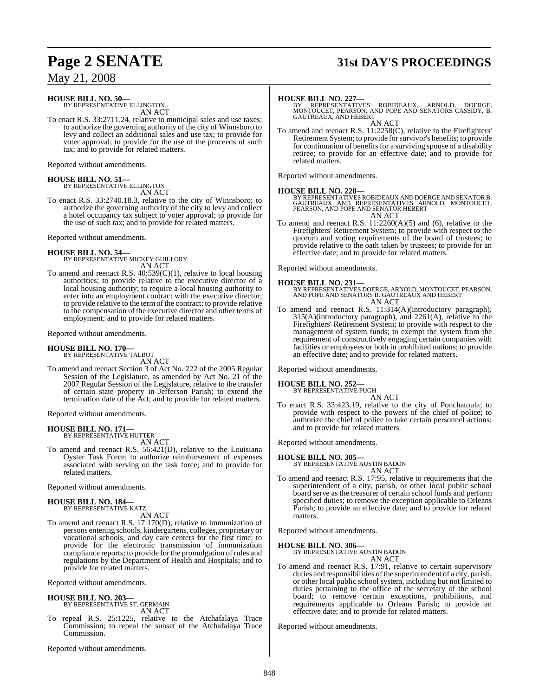## **Page 2 SENATE 31st DAY'S PROCEEDINGS**

May 21, 2008

### **HOUSE BILL NO. 50—**

BY REPRESENTATIVE ELLINGTON AN ACT

To enact R.S. 33:2711.24, relative to municipal sales and use taxes; to authorize the governing authority of the city of Winnsboro to levy and collect an additional sales and use tax; to provide for voter approval; to provide for the use of the proceeds of such tax; and to provide for related matters.

Reported without amendments.

# **HOUSE BILL NO. 51—** BY REPRESENTATIVE ELLINGTON

AN ACT

To enact R.S. 33:2740.18.3, relative to the city of Winnsboro; to authorize the governing authority of the city to levy and collect a hotel occupancy tax subject to voter approval; to provide for the use of such tax; and to provide for related matters.

Reported without amendments.

# **HOUSE BILL NO. 54—** BY REPRESENTATIVE MICKEY GUILLORY

AN ACT

To amend and reenact R.S. 40:539(C)(1), relative to local housing authorities; to provide relative to the executive director of a local housing authority; to require a local housing authority to enter into an employment contract with the executive director; to provide relative to the termofthe contract; to provide relative to the compensation of the executive director and other terms of employment; and to provide for related matters.

Reported without amendments.

# **HOUSE BILL NO. 170—** BY REPRESENTATIVE TALBOT

AN ACT

To amend and reenact Section 3 of Act No. 222 of the 2005 Regular Session of the Legislature, as amended by Act No. 21 of the 2007 Regular Session of the Legislature, relative to the transfer of certain state property in Jefferson Parish; to extend the termination date of the Act; and to provide for related matters.

Reported without amendments.

#### **HOUSE BILL NO. 171—** BY REPRESENTATIVE HUTTER

AN ACT

To amend and reenact R.S. 56:421(D), relative to the Louisiana Oyster Task Force; to authorize reimbursement of expenses associated with serving on the task force; and to provide for related matters.

Reported without amendments.

### **HOUSE BILL NO. 184—** BY REPRESENTATIVE KATZ

AN ACT

To amend and reenact R.S. 17:170(D), relative to immunization of persons entering schools, kindergartens, colleges, proprietary or vocational schools, and day care centers for the first time; to provide for the electronic transmission of immunization compliance reports; to provide for the promulgation of rules and regulations by the Department of Health and Hospitals; and to provide for related matters.

Reported without amendments.

# **HOUSE BILL NO. 203—** BY REPRESENTATIVE ST. GERMAIN

AN ACT

To repeal R.S. 25:1225, relative to the Atchafalaya Trace Commission; to repeal the sunset of the Atchafalaya Trace Commission.

Reported without amendments.

**HOUSE BILL NO. 227—**<br>BY REPRESENTATIVES ROBIDEAUX, ARNOLD, DOERGE,<br>MONTOUCET, PEARSON, AND POPE AND SENATORS CASSIDY, B.<br>GAUTREAUX, AND HEBERT

AN ACT To amend and reenact R.S. 11:2258(C), relative to the Firefighters' Retirement System; to provide for survivor's benefits; to provide for continuation of benefits for a surviving spouse of a disability retiree; to provide for an effective date; and to provide for related matters.

Reported without amendments.

**HOUSE BILL NO. 228—**<br>BY REPRESENTATIVES ROBIDEAUX AND DOERGE AND SENATOR B.<br>GAUTREAUX AND REPRESENTATIVES ARNOLD, MONTOUCET,<br>PEARSON, AND POPE AND SENATOR HEBERT AN ACT

To amend and reenact R.S. 11:2260(A)(5) and (6), relative to the Firefighters' Retirement System; to provide with respect to the quorum and voting requirements of the board of trustees; to provide relative to the oath taken by trustees; to provide for an effective date; and to provide for related matters.

Reported without amendments.

**HOUSE BILL NO. 231—** BY REPRESENTATIVES DOERGE, ARNOLD, MONTOUCET, PEARSON, AND POPE AND SENATORS B. GAUTREAUX AND HEBERT AN ACT

To amend and reenact R.S. 11:314(A)(introductory paragraph), 315(A)(introductory paragraph), and 2261(A), relative to the Firefighters' Retirement System; to provide with respect to the management of system funds; to exempt the system from the requirement of constructively engaging certain companies with facilities or employees or both in prohibited nations; to provide an effective date; and to provide for related matters.

Reported without amendments.

### **HOUSE BILL NO. 252—** BY REPRESENTATIVE PUGH

AN ACT To enact R.S. 33:423.19, relative to the city of Ponchatoula; to provide with respect to the powers of the chief of police; to authorize the chief of police to take certain personnel actions; and to provide for related matters.

Reported without amendments.

#### **HOUSE BILL NO. 305—**

BY REPRESENTATIVE AUSTIN BADON AN ACT

To amend and reenact R.S. 17:95, relative to requirements that the superintendent of a city, parish, or other local public school board serve as the treasurer of certain school funds and perform specified duties; to remove the exception applicable to Orleans Parish; to provide an effective date; and to provide for related matters.

Reported without amendments.

#### **HOUSE BILL NO. 306—**

BY REPRESENTATIVE AUSTIN BADON AN ACT

To amend and reenact R.S. 17:91, relative to certain supervisory duties and responsibilities of the superintendent of a city, parish, or other local public school system, including but not limited to duties pertaining to the office of the secretary of the school board; to remove certain exceptions, prohibitions, and requirements applicable to Orleans Parish; to provide an effective date; and to provide for related matters.

Reported without amendments.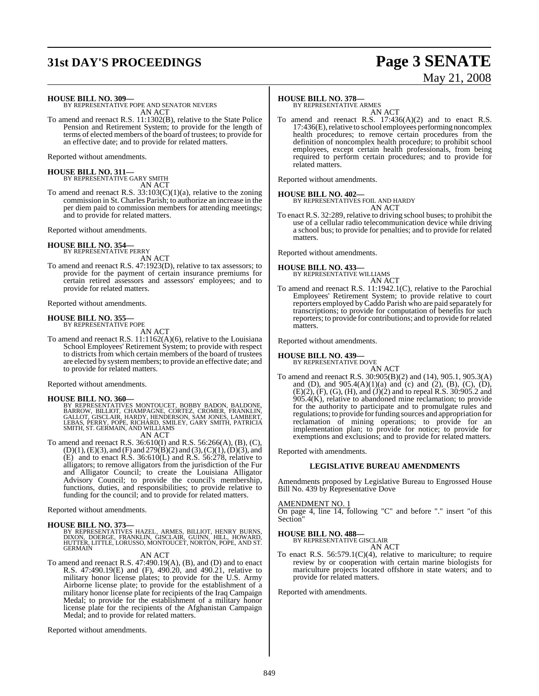## **31st DAY'S PROCEEDINGS Page 3 SENATE**

# May 21, 2008

**HOUSE BILL NO. 309—**

BY REPRESENTATIVE POPE AND SENATOR NEVERS AN ACT

To amend and reenact R.S. 11:1302(B), relative to the State Police Pension and Retirement System; to provide for the length of terms of elected members of the board of trustees; to provide for an effective date; and to provide for related matters.

Reported without amendments.

**HOUSE BILL NO. 311—** BY REPRESENTATIVE GARY SMITH

AN ACT

To amend and reenact R.S.  $33:103(C)(1)(a)$ , relative to the zoning commission in St. Charles Parish; to authorize an increase in the per diem paid to commission members for attending meetings; and to provide for related matters.

Reported without amendments.

#### **HOUSE BILL NO. 354—** BY REPRESENTATIVE PERRY

AN ACT

To amend and reenact R.S. 47:1923(D), relative to tax assessors; to provide for the payment of certain insurance premiums for certain retired assessors and assessors' employees; and to provide for related matters.

Reported without amendments.

# **HOUSE BILL NO. 355—** BY REPRESENTATIVE POPE

AN ACT

To amend and reenact R.S. 11:1162(A)(6), relative to the Louisiana School Employees' Retirement System; to provide with respect to districts from which certain members of the board of trustees are elected by systemmembers; to provide an effective date; and to provide for related matters.

Reported without amendments.

#### **HOUSE BILL NO. 360—**

BY REPRESENTATIVES MONTOUCET, BOBBY BADON, BALDONE,<br>BARROW, BILLIOT, CHAMPAGNE, CORTEZ, CROMER, FRANKLIN,<br>GALLOT, GISCLAIR, HARDY, HENDERSON, SAM JONES, LAMBERT,<br>LEBAS, PERRY, POPE, RICHARD, SMILEY, GARY SMITH, PATRICIA<br>SM

AN ACT

To amend and reenact R.S. 36:610(I) and R.S. 56:266(A), (B), (C),  $(D)(1), (E)(3),$  and  $(F)$  and  $279(B)(2)$  and  $(3), (C)(1), (D)(3),$  and  $(E)$  and to enact R.S. 36:610 $(L)$  and R.S. 56:278, relative to alligators; to remove alligators from the jurisdiction of the Fur and Alligator Council; to create the Louisiana Alligator Advisory Council; to provide the council's membership, functions, duties, and responsibilities; to provide relative to funding for the council; and to provide for related matters.

Reported without amendments.

#### **HOUSE BILL NO. 373—**

BY REPRESENTATIVES HAZEL, ARMES, BILLIOT, HENRY BURNS, DIXON, DOERGE, FRANKLIN, GISCLAIR, GUINN, HILL, HOWARD, HUTTER, LITTLE, LORUSSO, MONTOUCET, NORTON, POPE, AND ST. GERMAIN

### AN ACT

To amend and reenact R.S. 47:490.19(A), (B), and (D) and to enact R.S. 47:490.19(E) and (F), 490.20, and 490.21, relative to military honor license plates; to provide for the U.S. Army Airborne license plate; to provide for the establishment of a military honor license plate for recipients of the Iraq Campaign Medal; to provide for the establishment of a military honor license plate for the recipients of the Afghanistan Campaign Medal; and to provide for related matters.

Reported without amendments.

#### **HOUSE BILL NO. 378—**

BY REPRESENTATIVE ARMES AN ACT

To amend and reenact R.S. 17:436(A)(2) and to enact R.S.  $17:436(E)$ , relative to school employees performing noncomplex health procedures; to remove certain procedures from the definition of noncomplex health procedure; to prohibit school employees, except certain health professionals, from being required to perform certain procedures; and to provide for related matters.

Reported without amendments.

#### **HOUSE BILL NO. 402—**

BY REPRESENTATIVES FOIL AND HARDY

- AN ACT
- To enact R.S. 32:289, relative to driving school buses; to prohibit the use of a cellular radio telecommunication device while driving a school bus; to provide for penalties; and to provide for related matters.

Reported without amendments.

### **HOUSE BILL NO. 433—** BY REPRESENTATIVE WILLIAMS

AN ACT

To amend and reenact R.S. 11:1942.1(C), relative to the Parochial Employees' Retirement System; to provide relative to court reporters employed byCaddo Parish who are paid separately for transcriptions; to provide for computation of benefits for such reporters; to provide for contributions; and to provide forrelated matters.

Reported without amendments.

## **HOUSE BILL NO. 439—** BY REPRESENTATIVE DOVE

AN ACT

To amend and reenact R.S. 30:905(B)(2) and (14), 905.1, 905.3(A) and (D), and 905.4(A)(1)(a) and (c) and (2), (B), (C), (D), (E)(2), (F), (G), (H), and (J)(2) and to repeal R.S. 30:905.2 and  $905.4(K)$ , relative to abandoned mine reclamation; to provide for the authority to participate and to promulgate rules and regulations; to provide for funding sources and appropriation for reclamation of mining operations; to provide for an implementation plan; to provide for notice; to provide for exemptions and exclusions; and to provide for related matters.

Reported with amendments.

#### **LEGISLATIVE BUREAU AMENDMENTS**

Amendments proposed by Legislative Bureau to Engrossed House Bill No. 439 by Representative Dove

#### AMENDMENT NO. 1

On page 4, line 14, following "C" and before "." insert "of this Section"

# **HOUSE BILL NO. 488—** BY REPRESENTATIVE GISCLAIR

AN ACT

To enact R.S. 56:579.1(C)(4), relative to mariculture; to require review by or cooperation with certain marine biologists for mariculture projects located offshore in state waters; and to provide for related matters.

Reported with amendments.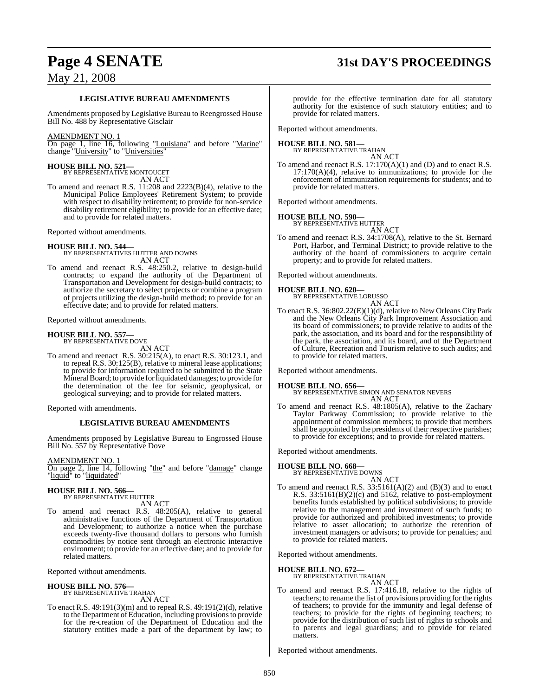## **Page 4 SENATE 31st DAY'S PROCEEDINGS**

### May 21, 2008

#### **LEGISLATIVE BUREAU AMENDMENTS**

Amendments proposed by Legislative Bureau to Reengrossed House Bill No. 488 by Representative Gisclair

#### AMENDMENT NO. 1

On page 1, line 16, following "Louisiana" and before "Marine" change "University" to "Universities"

# **HOUSE BILL NO. 521—** BY REPRESENTATIVE MONTOUCET

AN ACT

To amend and reenact R.S. 11:208 and 2223(B)(4), relative to the Municipal Police Employees' Retirement System; to provide with respect to disability retirement; to provide for non-service disability retirement eligibility; to provide for an effective date; and to provide for related matters.

Reported without amendments.

**HOUSE BILL NO. 544—** BY REPRESENTATIVES HUTTER AND DOWNS AN ACT

To amend and reenact R.S. 48:250.2, relative to design-build contracts; to expand the authority of the Department of Transportation and Development for design-build contracts; to authorize the secretary to select projects or combine a program of projects utilizing the design-build method; to provide for an effective date; and to provide for related matters.

Reported without amendments.

# **HOUSE BILL NO. 557—** BY REPRESENTATIVE DOVE

AN ACT

To amend and reenact R.S. 30:215(A), to enact R.S. 30:123.1, and to repeal R.S. 30:125(B), relative to mineral lease applications; to provide for information required to be submitted to the State Mineral Board; to provide for liquidated damages; to provide for the determination of the fee for seismic, geophysical, or geological surveying; and to provide for related matters.

Reported with amendments.

#### **LEGISLATIVE BUREAU AMENDMENTS**

Amendments proposed by Legislative Bureau to Engrossed House Bill No. 557 by Representative Dove

#### AMENDMENT NO. 1

On page 2, line 14, following "the" and before "damage" change "liquid<sup>"</sup> to "liquidated"

# **HOUSE BILL NO. 566—** BY REPRESENTATIVE HUTTER

AN ACT

To amend and reenact R.S. 48:205(A), relative to general administrative functions of the Department of Transportation and Development; to authorize a notice when the purchase exceeds twenty-five thousand dollars to persons who furnish commodities by notice sent through an electronic interactive environment; to provide for an effective date; and to provide for related matters.

Reported without amendments.

#### **HOUSE BILL NO. 576—**

BY REPRESENTATIVE TRAHAN AN ACT

To enact R.S. 49:191(3)(m) and to repeal R.S. 49:191(2)(d), relative to the Department of Education, including provisions to provide for the re-creation of the Department of Education and the statutory entities made a part of the department by law; to

provide for the effective termination date for all statutory authority for the existence of such statutory entities; and to provide for related matters.

Reported without amendments.

# **HOUSE BILL NO. 581—** BY REPRESENTATIVE TRAHAN

AN ACT

To amend and reenact R.S. 17:170(A)(1) and (D) and to enact R.S. 17:170(A)(4), relative to immunizations; to provide for the enforcement of immunization requirements for students; and to provide for related matters.

Reported without amendments.

### **HOUSE BILL NO. 590—** BY REPRESENTATIVE HUTTER

AN ACT

To amend and reenact R.S. 34:1708(A), relative to the St. Bernard Port, Harbor, and Terminal District; to provide relative to the authority of the board of commissioners to acquire certain property; and to provide for related matters.

Reported without amendments.

#### **HOUSE BILL NO. 620—**

BY REPRESENTATIVE LORUSSO

```
AN ACT
```
To enact R.S. 36:802.22(E)(1)(d), relative to New Orleans City Park and the New Orleans City Park Improvement Association and its board of commissioners; to provide relative to audits of the park, the association, and its board and for the responsibility of the park, the association, and its board, and of the Department of Culture, Recreation and Tourism relative to such audits; and to provide for related matters.

Reported without amendments.

**HOUSE BILL NO. 656—** BY REPRESENTATIVE SIMON AND SENATOR NEVERS AN ACT

To amend and reenact R.S. 48:1805(A), relative to the Zachary Taylor Parkway Commission; to provide relative to the appointment of commission members; to provide that members shall be appointed by the presidents of their respective parishes; to provide for exceptions; and to provide for related matters.

Reported without amendments.

#### **HOUSE BILL NO. 668—**

BY REPRESENTATIVE DOWNS

AN ACT To amend and reenact R.S.  $33:5161(A)(2)$  and  $(B)(3)$  and to enact R.S.  $33:5161(B)(2)(c)$  and  $5162$ , relative to post-employment benefits funds established by political subdivisions; to provide relative to the management and investment of such funds; to provide for authorized and prohibited investments; to provide relative to asset allocation; to authorize the retention of investment managers or advisors; to provide for penalties; and to provide for related matters.

Reported without amendments.

#### **HOUSE BILL NO. 672—**

BY REPRESENTATIVE TRAHAN AN ACT

To amend and reenact R.S. 17:416.18, relative to the rights of teachers; to rename the list of provisions providing for the rights of teachers; to provide for the immunity and legal defense of teachers; to provide for the rights of beginning teachers; to provide for the distribution of such list of rights to schools and to parents and legal guardians; and to provide for related matters.

Reported without amendments.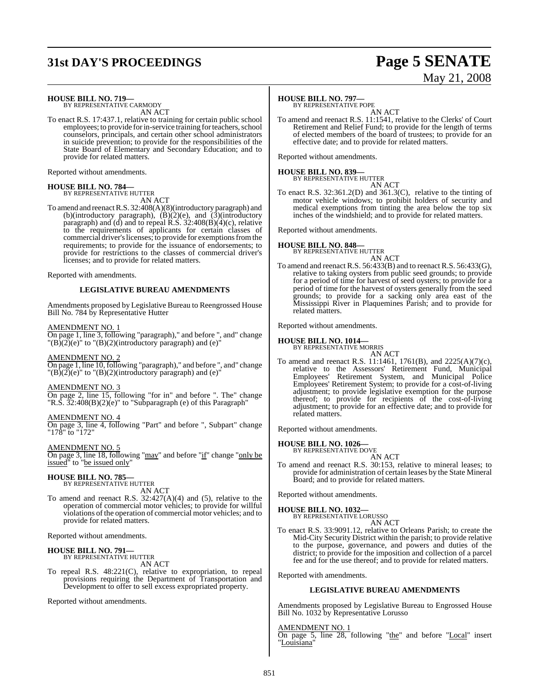## **31st DAY'S PROCEEDINGS Page 5 SENATE**

# May 21, 2008

**HOUSE BILL NO. 719—** BY REPRESENTATIVE CARMODY

AN ACT

To enact R.S. 17:437.1, relative to training for certain public school employees; to provide for in-service training for teachers, school counselors, principals, and certain other school administrators in suicide prevention; to provide for the responsibilities of the State Board of Elementary and Secondary Education; and to provide for related matters.

Reported without amendments.

#### **HOUSE BILL NO. 784—** BY REPRESENTATIVE HUTTER

AN ACT

To amend and reenact R.S. 32:408(A)(8)(introductory paragraph) and (b)(introductory paragraph),  $(B)(2)(e)$ , and  $(3)(\text{introducing the value of the function})$ paragraph) and (d) and to repeal R.S. 32:408(B)(4)(c), relative to the requirements of applicants for certain classes of commercial driver's licenses; to provide for exemptions from the requirements; to provide for the issuance of endorsements; to provide for restrictions to the classes of commercial driver's licenses; and to provide for related matters.

Reported with amendments.

### **LEGISLATIVE BUREAU AMENDMENTS**

Amendments proposed by Legislative Bureau to Reengrossed House Bill No. 784 by Representative Hutter

#### AMENDMENT NO. 1

On page 1, line 3, following "paragraph)," and before ", and" change  $\Gamma(B)(2)(e)$ " to  $\Gamma(B)(2)(introductiony)$  paragraph) and (e)"

#### AMENDMENT NO. 2

On page 1, line 10, following "paragraph)," and before ", and" change  $T(B)(2)(e)$ " to  $T(B)(2)(introductiony)$  paragraph) and (e)"

#### AMENDMENT NO. 3

On page 2, line 15, following "for in" and before ". The" change "R.S. 32:408(B)(2)(e)" to "Subparagraph (e) of this Paragraph"

#### AMENDMENT NO. 4

On page 3, line 4, following "Part" and before ", Subpart" change "178" to "172"

AMENDMENT NO. 5 On page 3, line 18, following "may" and before "if" change "only be issued" to "be issued only"

#### **HOUSE BILL NO. 785—** BY REPRESENTATIVE HUTTER

AN ACT To amend and reenact R.S.  $32:427(A)(4)$  and (5), relative to the operation of commercial motor vehicles; to provide for willful violations of the operation of commercial motor vehicles; and to provide for related matters.

Reported without amendments.

# **HOUSE BILL NO. 791—** BY REPRESENTATIVE HUTTER

AN ACT

To repeal R.S. 48:221(C), relative to expropriation, to repeal provisions requiring the Department of Transportation and Development to offer to sell excess expropriated property.

Reported without amendments.

#### **HOUSE BILL NO. 797—**

BY REPRESENTATIVE POPE

AN ACT To amend and reenact R.S. 11:1541, relative to the Clerks' of Court Retirement and Relief Fund; to provide for the length of terms of elected members of the board of trustees; to provide for an effective date; and to provide for related matters.

Reported without amendments.

### **HOUSE BILL NO. 839—** BY REPRESENTATIVE HUTTER

AN ACT

To enact R.S. 32:361.2(D) and 361.3(C), relative to the tinting of motor vehicle windows; to prohibit holders of security and medical exemptions from tinting the area below the top six inches of the windshield; and to provide for related matters.

Reported without amendments.

### **HOUSE BILL NO. 848—**

BY REPRESENTATIVE HUTTER

AN ACT To amend and reenact R.S. 56:433(B) and to reenact R.S. 56:433(G), relative to taking oysters from public seed grounds; to provide for a period of time for harvest of seed oysters; to provide for a period of time for the harvest of oysters generally from the seed grounds; to provide for a sacking only area east of the Mississippi River in Plaquemines Parish; and to provide for related matters.

Reported without amendments.

#### **HOUSE BILL NO. 1014—**

- BY REPRESENTATIVE MORRIS
- AN ACT To amend and reenact R.S. 11:1461, 1761(B), and 2225(A)(7)(c), relative to the Assessors' Retirement Fund, Municipal Employees' Retirement System, and Municipal Police Employees' Retirement System; to provide for a cost-of-living adjustment; to provide legislative exemption for the purpose thereof; to provide for recipients of the cost-of-living adjustment; to provide for an effective date; and to provide for related matters.

Reported without amendments.

### **HOUSE BILL NO. 1026—** BY REPRESENTATIVE DOVE

AN ACT

To amend and reenact R.S. 30:153, relative to mineral leases; to provide for administration of certain leases by the State Mineral Board; and to provide for related matters.

Reported without amendments.

#### **HOUSE BILL NO. 1032—**

BY REPRESENTATIVE LORUSSO AN ACT

To enact R.S. 33:9091.12, relative to Orleans Parish; to create the Mid-City Security District within the parish; to provide relative to the purpose, governance, and powers and duties of the district; to provide for the imposition and collection of a parcel fee and for the use thereof; and to provide for related matters.

Reported with amendments.

### **LEGISLATIVE BUREAU AMENDMENTS**

Amendments proposed by Legislative Bureau to Engrossed House Bill No. 1032 by Representative Lorusso

#### AMENDMENT NO. 1

On page 5, line 28, following "the" and before "Local" insert "Louisiana"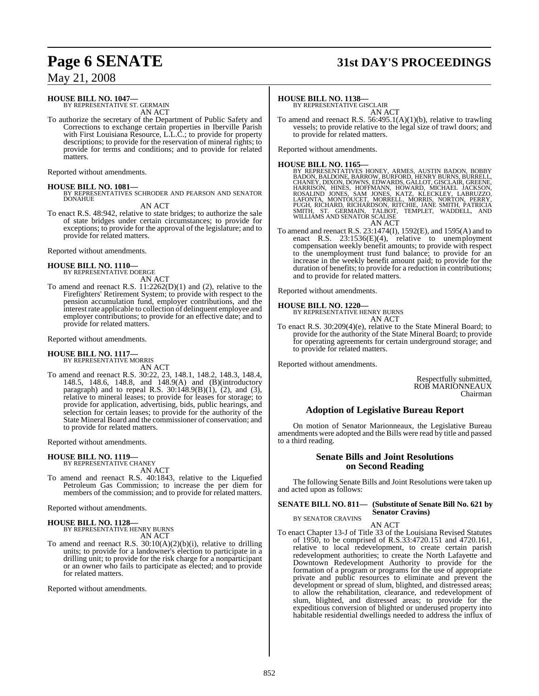# **Page 6 SENATE 31st DAY'S PROCEEDINGS**

May 21, 2008

#### **HOUSE BILL NO. 1047—**

BY REPRESENTATIVE ST. GERMAIN AN ACT

To authorize the secretary of the Department of Public Safety and Corrections to exchange certain properties in Iberville Parish with First Louisiana Resource, L.L.C.; to provide for property descriptions; to provide for the reservation of mineral rights; to provide for terms and conditions; and to provide for related matters.

Reported without amendments.

#### **HOUSE BILL NO. 1081—**

BY REPRESENTATIVES SCHRODER AND PEARSON AND SENATOR DONAHUE

AN ACT

To enact R.S. 48:942, relative to state bridges; to authorize the sale of state bridges under certain circumstances; to provide for exceptions; to provide for the approval of the legislature; and to provide for related matters.

Reported without amendments.

#### **HOUSE BILL NO. 1110—** BY REPRESENTATIVE DOERGE

AN ACT

To amend and reenact R.S.  $11:2262(D)(1)$  and (2), relative to the Firefighters' Retirement System; to provide with respect to the pension accumulation fund, employer contributions, and the interest rate applicable to collection of delinquent employee and employer contributions; to provide for an effective date; and to provide for related matters.

#### Reported without amendments.

#### **HOUSE BILL NO. 1117—** BY REPRESENTATIVE MORRIS

AN ACT

To amend and reenact R.S. 30:22, 23, 148.1, 148.2, 148.3, 148.4, 148.5, 148.6, 148.8, and 148.9(A) and (B)(introductory paragraph) and to repeal R.S.  $30:148.9(B)(1)$ , (2), and (3), relative to mineral leases; to provide for leases for storage; to provide for application, advertising, bids, public hearings, and selection for certain leases; to provide for the authority of the State Mineral Board and the commissioner of conservation; and to provide for related matters.

Reported without amendments.

### **HOUSE BILL NO. 1119—**

BY REPRESENTATIVE CHANEY AN ACT

To amend and reenact R.S. 40:1843, relative to the Liquefied Petroleum Gas Commission; to increase the per diem for members of the commission; and to provide for related matters.

Reported without amendments.

**HOUSE BILL NO. 1128—** BY REPRESENTATIVE HENRY BURNS AN ACT

To amend and reenact R.S. 30:10(A)(2)(b)(i), relative to drilling units; to provide for a landowner's election to participate in a drilling unit; to provide for the risk charge for a nonparticipant or an owner who fails to participate as elected; and to provide for related matters.

Reported without amendments.

#### **HOUSE BILL NO. 1138—**

BY REPRESENTATIVE GISCLAIR AN ACT

To amend and reenact R.S. 56:495.1(A)(1)(b), relative to trawling vessels; to provide relative to the legal size of trawl doors; and to provide for related matters.

Reported without amendments.

#### **HOUSE BILL NO. 1165—**

BY REPRESENTATIVES HONEY, ARMES, AUSTIN BADON, BOBBY BADON, BALDONE, BARROW, BURRORD, HENRY BURNS, BURRELL, HARRISON, HINES, HOFFMANN, HOWARD, MICHAEL JACKSON, HARRISON, HINES, HOFFMANN, HOWARD, MICHAEL JACKSON, ROSALIND J

To amend and reenact R.S. 23:1474(I), 1592(E), and 1595(A) and to enact R.S.  $23:1536(E)(4)$ , relative to unemployment compensation weekly benefit amounts; to provide with respect to the unemployment trust fund balance; to provide for an increase in the weekly benefit amount paid; to provide for the duration of benefits; to provide for a reduction in contributions; and to provide for related matters.

Reported without amendments.

#### **HOUSE BILL NO. 1220—**

BY REPRESENTATIVE HENRY BURNS AN ACT

To enact R.S. 30:209(4)(e), relative to the State Mineral Board; to provide for the authority of the State Mineral Board; to provide for operating agreements for certain underground storage; and to provide for related matters.

Reported without amendments.

Respectfully submitted, ROB MARIONNEAUX Chairman

### **Adoption of Legislative Bureau Report**

On motion of Senator Marionneaux, the Legislative Bureau amendments were adopted and the Bills were read by title and passed to a third reading.

#### **Senate Bills and Joint Resolutions on Second Reading**

The following Senate Bills and Joint Resolutions were taken up and acted upon as follows:

#### **SENATE BILL NO. 811— (Substitute of Senate Bill No. 621 by Senator Cravins)**

BY SENATOR CRAVINS

AN ACT

To enact Chapter 13-J of Title 33 of the Louisiana Revised Statutes of 1950, to be comprised of R.S.33:4720.151 and 4720.161, relative to local redevelopment, to create certain parish redevelopment authorities; to create the North Lafayette and Downtown Redevelopment Authority to provide for the formation of a program or programs for the use of appropriate private and public resources to eliminate and prevent the development or spread of slum, blighted, and distressed areas; to allow the rehabilitation, clearance, and redevelopment of slum, blighted, and distressed areas; to provide for the expeditious conversion of blighted or underused property into habitable residential dwellings needed to address the influx of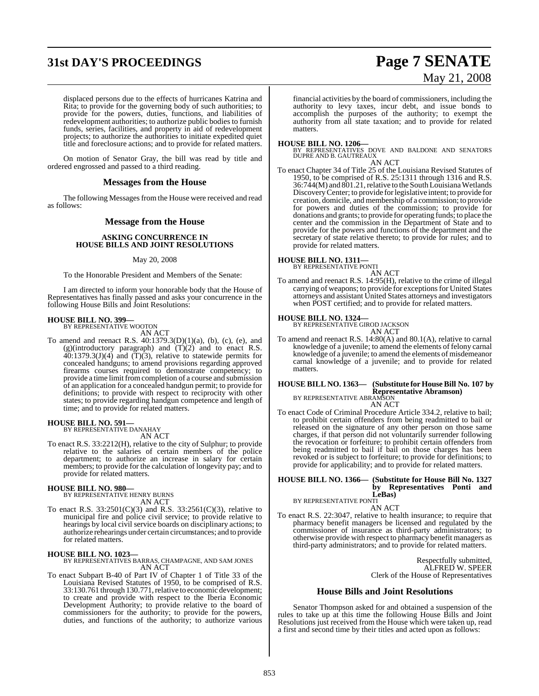# **31st DAY'S PROCEEDINGS Page 7 SENATE**

# May 21, 2008

displaced persons due to the effects of hurricanes Katrina and Rita; to provide for the governing body of such authorities; to provide for the powers, duties, functions, and liabilities of redevelopment authorities; to authorize public bodies to furnish funds, series, facilities, and property in aid of redevelopment projects; to authorize the authorities to initiate expedited quiet title and foreclosure actions; and to provide for related matters.

On motion of Senator Gray, the bill was read by title and ordered engrossed and passed to a third reading.

#### **Messages from the House**

The following Messages from the House were received and read as follows:

#### **Message from the House**

#### **ASKING CONCURRENCE IN HOUSE BILLS AND JOINT RESOLUTIONS**

#### May 20, 2008

To the Honorable President and Members of the Senate:

I am directed to inform your honorable body that the House of Representatives has finally passed and asks your concurrence in the following House Bills and Joint Resolutions:

### **HOUSE BILL NO. 399—** BY REPRESENTATIVE WOOTON

AN ACT

To amend and reenact R.S.  $40:1379.3(D)(1)(a)$ , (b), (c), (e), and (g)(introductory paragraph) and  $(T)(2)$  and to enact R.S.  $40:1379.3(J)(4)$  and  $(T)(3)$ , relative to statewide permits for concealed handguns; to amend provisions regarding approved firearms courses required to demonstrate competency; to provide a time limit from completion of a course and submission of an application for a concealed handgun permit; to provide for definitions; to provide with respect to reciprocity with other states; to provide regarding handgun competence and length of time; and to provide for related matters.

**HOUSE BILL NO. 591—** BY REPRESENTATIVE DANAHAY AN ACT

To enact R.S. 33:2212(H), relative to the city of Sulphur; to provide relative to the salaries of certain members of the police department; to authorize an increase in salary for certain members; to provide for the calculation of longevity pay; and to provide for related matters.

### **HOUSE BILL NO. 980—** BY REPRESENTATIVE HENRY BURNS

AN ACT

To enact R.S. 33:2501(C)(3) and R.S. 33:2561(C)(3), relative to municipal fire and police civil service; to provide relative to hearings by local civil service boards on disciplinary actions; to authorize rehearings under certain circumstances; and to provide for related matters.

#### **HOUSE BILL NO. 1023—**

BY REPRESENTATIVES BARRAS, CHAMPAGNE, AND SAM JONES AN ACT

To enact Subpart B-40 of Part IV of Chapter 1 of Title 33 of the Louisiana Revised Statutes of 1950, to be comprised of R.S. 33:130.761 through 130.771, relative to economic development; to create and provide with respect to the Iberia Economic Development Authority; to provide relative to the board of commissioners for the authority; to provide for the powers, duties, and functions of the authority; to authorize various

financial activities by the board of commissioners, including the authority to levy taxes, incur debt, and issue bonds to accomplish the purposes of the authority; to exempt the authority from all state taxation; and to provide for related matters.

**HOUSE BILL NO. 1206—** BY REPRESENTATIVES DOVE AND BALDONE AND SENATORS DUPRE AND B. GAUTREAUX

- AN ACT
- To enact Chapter 34 of Title 25 of the Louisiana Revised Statutes of 1950, to be comprised of R.S. 25:1311 through 1316 and R.S. 36:744(M) and 801.21,relative to the South Louisiana Wetlands DiscoveryCenter; to provide forlegislative intent; to provide for creation, domicile, and membership of a commission; to provide for powers and duties of the commission; to provide for donations and grants; to provide for operating funds; to place the center and the commission in the Department of State and to provide for the powers and functions of the department and the secretary of state relative thereto; to provide for rules; and to provide for related matters.

#### **HOUSE BILL NO. 1311—**

BY REPRESENTATIVE PONTI

- AN ACT To amend and reenact R.S. 14:95(H), relative to the crime of illegal
- carrying of weapons; to provide for exceptions for United States attorneys and assistant United States attorneys and investigators when POST certified; and to provide for related matters.

### **HOUSE BILL NO. 1324—** BY REPRESENTATIVE GIROD JACKSON

- AN ACT
- To amend and reenact R.S. 14:80(A) and 80.1(A), relative to carnal knowledge of a juvenile; to amend the elements of felony carnal knowledge of a juvenile; to amend the elements of misdemeanor carnal knowledge of a juvenile; and to provide for related matters.

#### **HOUSE BILL NO. 1363— (Substitute for House Bill No. 107 by Representative Abramson)** BY REPRESENTATIVE ABRAMSON

AN ACT

To enact Code of Criminal Procedure Article 334.2, relative to bail; to prohibit certain offenders from being readmitted to bail or released on the signature of any other person on those same charges, if that person did not voluntarily surrender following the revocation or forfeiture; to prohibit certain offenders from being readmitted to bail if bail on those charges has been revoked or is subject to forfeiture; to provide for definitions; to provide for applicability; and to provide for related matters.

#### **HOUSE BILL NO. 1366— (Substitute for House Bill No. 1327 by Representatives Ponti and LeBas)**

BY REPRESENTATIVE PONTI AN ACT

To enact R.S. 22:3047, relative to health insurance; to require that pharmacy benefit managers be licensed and regulated by the commissioner of insurance as third-party administrators; to otherwise provide with respect to pharmacy benefit managers as third-party administrators; and to provide for related matters.

> Respectfully submitted, ALFRED W. SPEER Clerk of the House of Representatives

### **House Bills and Joint Resolutions**

Senator Thompson asked for and obtained a suspension of the rules to take up at this time the following House Bills and Joint Resolutions just received from the House which were taken up, read a first and second time by their titles and acted upon as follows: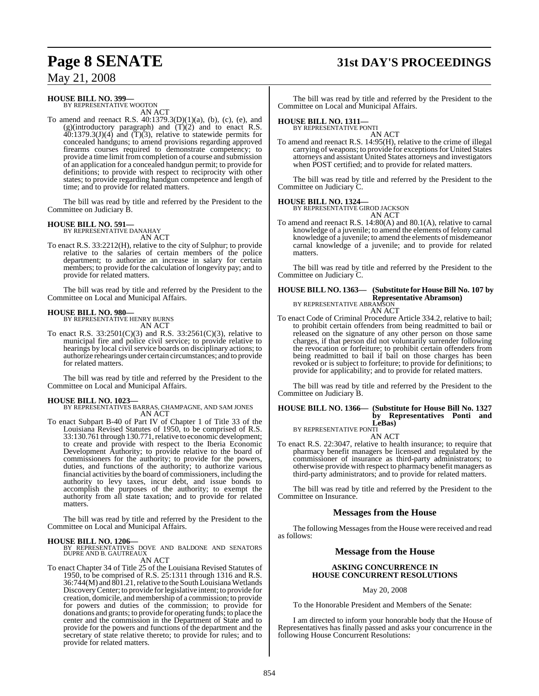### **Page 8 SENATE 31st DAY'S PROCEEDINGS**

### May 21, 2008

### **HOUSE BILL NO. 399—** BY REPRESENTATIVE WOOTON

AN ACT

To amend and reenact R.S.  $40:1379.3(D)(1)(a)$ , (b), (c), (e), and  $(g)(introducing) paragraph)$  and  $(T)(2)$  and to enact R.S.  $40:1379.3(J)(4)$  and  $(T)(3)$ , relative to statewide permits for concealed handguns; to amend provisions regarding approved firearms courses required to demonstrate competency; to provide a time limit fromcompletion of a course and submission of an application for a concealed handgun permit; to provide for definitions; to provide with respect to reciprocity with other states; to provide regarding handgun competence and length of time; and to provide for related matters.

The bill was read by title and referred by the President to the Committee on Judiciary B.

#### **HOUSE BILL NO. 591—**

BY REPRESENTATIVE DANAHAY AN ACT

To enact R.S. 33:2212(H), relative to the city of Sulphur; to provide relative to the salaries of certain members of the police department; to authorize an increase in salary for certain members; to provide for the calculation of longevity pay; and to provide for related matters.

The bill was read by title and referred by the President to the Committee on Local and Municipal Affairs.

#### **HOUSE BILL NO. 980—**

BY REPRESENTATIVE HENRY BURNS AN ACT

To enact R.S. 33:2501(C)(3) and R.S. 33:2561(C)(3), relative to municipal fire and police civil service; to provide relative to hearings by local civil service boards on disciplinary actions; to authorize rehearings under certain circumstances; and to provide for related matters.

The bill was read by title and referred by the President to the Committee on Local and Municipal Affairs.

#### **HOUSE BILL NO. 1023—**

BY REPRESENTATIVES BARRAS, CHAMPAGNE, AND SAM JONES AN ACT

To enact Subpart B-40 of Part IV of Chapter 1 of Title 33 of the Louisiana Revised Statutes of 1950, to be comprised of R.S. 33:130.761 through 130.771, relative to economic development; to create and provide with respect to the Iberia Economic Development Authority; to provide relative to the board of commissioners for the authority; to provide for the powers, duties, and functions of the authority; to authorize various financial activities by the board of commissioners, including the authority to levy taxes, incur debt, and issue bonds to accomplish the purposes of the authority; to exempt the authority from all state taxation; and to provide for related matters.

The bill was read by title and referred by the President to the Committee on Local and Municipal Affairs.

**HOUSE BILL NO. 1206—** BY REPRESENTATIVES DOVE AND BALDONE AND SENATORS DUPRE AND B. GAUTREAUX AN ACT

To enact Chapter 34 of Title 25 of the Louisiana Revised Statutes of

1950, to be comprised of R.S. 25:1311 through 1316 and R.S. 36:744(M) and 801.21, relative to the South Louisiana Wetlands DiscoveryCenter; to provide forlegislative intent; to provide for creation, domicile, and membership of a commission; to provide for powers and duties of the commission; to provide for donations and grants; to provide for operating funds; to place the center and the commission in the Department of State and to provide for the powers and functions of the department and the secretary of state relative thereto; to provide for rules; and to provide for related matters.

The bill was read by title and referred by the President to the Committee on Local and Municipal Affairs.

### **HOUSE BILL NO. 1311—** BY REPRESENTATIVE PONTI

AN ACT To amend and reenact R.S. 14:95(H), relative to the crime of illegal carrying of weapons; to provide for exceptions for United States attorneys and assistant United States attorneys and investigators when POST certified: and to provide for related matters.

The bill was read by title and referred by the President to the Committee on Judiciary C.

#### **HOUSE BILL NO. 1324—** BY REPRESENTATIVE GIROD JACKSON

AN ACT

To amend and reenact R.S. 14:80(A) and 80.1(A), relative to carnal knowledge of a juvenile; to amend the elements of felony carnal knowledge of a juvenile; to amend the elements of misdemeanor carnal knowledge of a juvenile; and to provide for related matters.

The bill was read by title and referred by the President to the Committee on Judiciary C.

#### **HOUSE BILL NO. 1363— (Substitute for HouseBill No. 107 by Representative Abramson)** BY REPRESENTATIVE ABRAMSON AN ACT

To enact Code of Criminal Procedure Article 334.2, relative to bail; to prohibit certain offenders from being readmitted to bail or released on the signature of any other person on those same charges, if that person did not voluntarily surrender following the revocation or forfeiture; to prohibit certain offenders from being readmitted to bail if bail on those charges has been revoked or is subject to forfeiture; to provide for definitions; to provide for applicability; and to provide for related matters.

The bill was read by title and referred by the President to the Committee on Judiciary B.

#### **HOUSE BILL NO. 1366— (Substitute for House Bill No. 1327 by Representatives Ponti and LeBas)** BY REPRESENTATIVE PONTI

AN ACT To enact R.S. 22:3047, relative to health insurance; to require that pharmacy benefit managers be licensed and regulated by the commissioner of insurance as third-party administrators; to otherwise provide with respect to pharmacy benefit managers as third-party administrators; and to provide for related matters.

The bill was read by title and referred by the President to the Committee on Insurance.

### **Messages from the House**

The following Messages from the House were received and read as follows:

#### **Message from the House**

#### **ASKING CONCURRENCE IN HOUSE CONCURRENT RESOLUTIONS**

#### May 20, 2008

To the Honorable President and Members of the Senate:

I am directed to inform your honorable body that the House of Representatives has finally passed and asks your concurrence in the following House Concurrent Resolutions: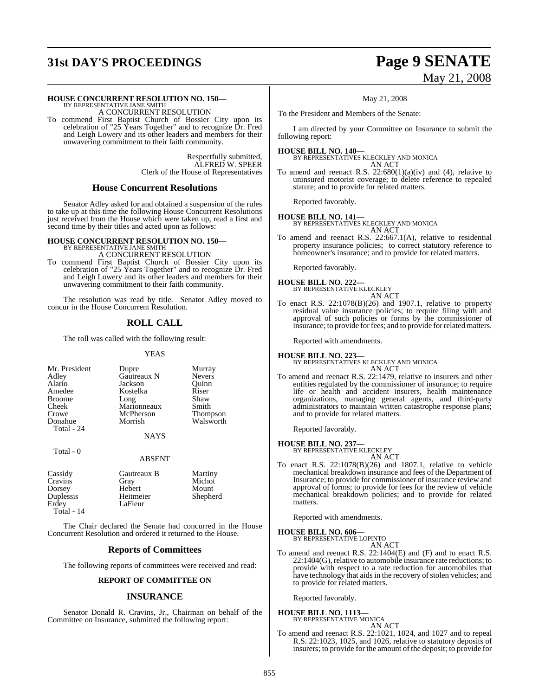# **31st DAY'S PROCEEDINGS Page 9 SENATE**

# May 21, 2008

#### **HOUSE CONCURRENT RESOLUTION NO. 150—**

BY REPRESENTATIVE JANE SMITH A CONCURRENT RESOLUTION

To commend First Baptist Church of Bossier City upon its celebration of "25 Years Together" and to recognize Dr. Fred and Leigh Lowery and its other leaders and members for their unwavering commitment to their faith community.

> Respectfully submitted, ALFRED W. SPEER Clerk of the House of Representatives

#### **House Concurrent Resolutions**

Senator Adley asked for and obtained a suspension of the rules to take up at this time the following House Concurrent Resolutions just received from the House which were taken up, read a first and second time by their titles and acted upon as follows:

### **HOUSE CONCURRENT RESOLUTION NO. 150—** BY REPRESENTATIVE JANE SMITH

A CONCURRENT RESOLUTION

To commend First Baptist Church of Bossier City upon its celebration of "25 Years Together" and to recognize Dr. Fred and Leigh Lowery and its other leaders and members for their unwavering commitment to their faith community.

The resolution was read by title. Senator Adley moved to concur in the House Concurrent Resolution.

### **ROLL CALL**

The roll was called with the following result:

#### YEAS

| Mr. President<br>Adley<br>Alario<br>Amedee<br><b>Broome</b><br>Cheek<br>Crowe<br>Donahue | Dupre<br>Gautreaux N<br>Jackson<br>Kostelka<br>Long<br>Marionneaux<br>McPherson<br>Morrish | Murray<br><b>Nevers</b><br>Ouinn<br>Riser<br>Shaw<br>Smith<br>Thompson<br>Walsworth |
|------------------------------------------------------------------------------------------|--------------------------------------------------------------------------------------------|-------------------------------------------------------------------------------------|
|                                                                                          |                                                                                            |                                                                                     |
| Total - 24                                                                               |                                                                                            |                                                                                     |
|                                                                                          | <b>NAYS</b>                                                                                |                                                                                     |
| Total - 0                                                                                |                                                                                            |                                                                                     |

#### ABSENT

| Cassidy    | Gautreaux B | Martiny  |
|------------|-------------|----------|
| Cravins    | Gray        | Michot   |
| Dorsey     | Hebert      | Mount    |
| Duplessis  | Heitmeier   | Shepherd |
| Erdey      | LaFleur     |          |
| Total - 14 |             |          |

The Chair declared the Senate had concurred in the House Concurrent Resolution and ordered it returned to the House.

### **Reports of Committees**

The following reports of committees were received and read:

#### **REPORT OF COMMITTEE ON**

### **INSURANCE**

Senator Donald R. Cravins, Jr., Chairman on behalf of the Committee on Insurance, submitted the following report:

#### May 21, 2008

To the President and Members of the Senate:

I am directed by your Committee on Insurance to submit the following report:

#### **HOUSE BILL NO. 140—**

BY REPRESENTATIVES KLECKLEY AND MONICA AN ACT

To amend and reenact R.S.  $22:680(1)(a)(iv)$  and (4), relative to uninsured motorist coverage; to delete reference to repealed statute; and to provide for related matters.

Reported favorably.

**HOUSE BILL NO. 141—** BY REPRESENTATIVES KLECKLEY AND MONICA AN ACT

To amend and reenact R.S. 22:667.1(A), relative to residential property insurance policies; to correct statutory reference to homeowner's insurance; and to provide for related matters.

Reported favorably.

#### **HOUSE BILL NO. 222—** BY REPRESENTATIVE KLECKLEY AN ACT

To enact R.S.  $22:1078(B)(26)$  and 1907.1, relative to property residual value insurance policies; to require filing with and approval of such policies or forms by the commissioner of insurance; to provide for fees; and to provide for related matters.

Reported with amendments.

**HOUSE BILL NO. 223—** BY REPRESENTATIVES KLECKLEY AND MONICA AN ACT

To amend and reenact R.S. 22:1479, relative to insurers and other entities regulated by the commissioner of insurance; to require life or health and accident insurers, health maintenance organizations, managing general agents, and third-party administrators to maintain written catastrophe response plans; and to provide for related matters.

Reported favorably.

#### **HOUSE BILL NO. 237—**

BY REPRESENTATIVE KLECKLEY AN ACT

To enact R.S. 22:1078(B)(26) and 1807.1, relative to vehicle mechanical breakdown insurance and fees of the Department of Insurance; to provide for commissioner of insurance review and approval of forms; to provide for fees for the review of vehicle mechanical breakdown policies; and to provide for related matters.

Reported with amendments.

### **HOUSE BILL NO. 606—** BY REPRESENTATIVE LOPINTO

AN ACT

To amend and reenact R.S. 22:1404(E) and (F) and to enact R.S. 22:1404(G), relative to automobile insurance rate reductions; to provide with respect to a rate reduction for automobiles that have technology that aids in the recovery of stolen vehicles; and to provide for related matters.

Reported favorably.

#### **HOUSE BILL NO. 1113—**

BY REPRESENTATIVE MONICA AN ACT

To amend and reenact R.S. 22:1021, 1024, and 1027 and to repeal R.S. 22:1023, 1025, and 1026, relative to statutory deposits of insurers; to provide for the amount of the deposit; to provide for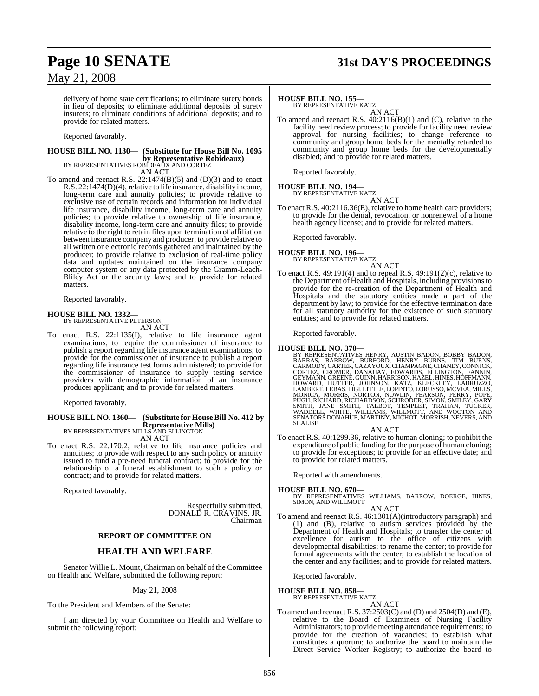### **Page 10 SENATE 31st DAY'S PROCEEDINGS**

May 21, 2008

delivery of home state certifications; to eliminate surety bonds in lieu of deposits; to eliminate additional deposits of surety insurers; to eliminate conditions of additional deposits; and to provide for related matters.

Reported favorably.

### **HOUSE BILL NO. 1130— (Substitute for House Bill No. 1095 by Representative Robideaux)** BY REPRESENTATIVES ROBIDEAUX AND CORTEZ

AN ACT

To amend and reenact R.S. 22:1474(B)(5) and (D)(3) and to enact R.S. 22:1474(D)(4), relative to life insurance, disability income, long-term care and annuity policies; to provide relative to exclusive use of certain records and information for individual life insurance, disability income, long-term care and annuity policies; to provide relative to ownership of life insurance, disability income, long-term care and annuity files; to provide relative to the right to retain files upon termination of affiliation between insurance company and producer; to provide relative to all written or electronic records gathered and maintained by the producer; to provide relative to exclusion of real-time policy data and updates maintained on the insurance company computer system or any data protected by the Gramm-Leach-Bliley Act or the security laws; and to provide for related matters.

Reported favorably.

#### **HOUSE BILL NO. 1332—**

BY REPRESENTATIVE PETERSON AN ACT

To enact R.S. 22:1135(I), relative to life insurance agent examinations; to require the commissioner of insurance to publish a report regarding life insurance agent examinations; to provide for the commissioner of insurance to publish a report regarding life insurance test forms administered; to provide for the commissioner of insurance to supply testing service providers with demographic information of an insurance producer applicant; and to provide for related matters.

Reported favorably.

#### **HOUSE BILL NO. 1360— (Substitute for HouseBill No. 412 by Representative Mills)** BY REPRESENTATIVES MILLS AND ELLINGTON

AN ACT

To enact R.S. 22:170.2, relative to life insurance policies and annuities; to provide with respect to any such policy or annuity issued to fund a pre-need funeral contract; to provide for the relationship of a funeral establishment to such a policy or contract; and to provide for related matters.

Reported favorably.

Respectfully submitted, DONALD R. CRAVINS, JR. Chairman

#### **REPORT OF COMMITTEE ON**

### **HEALTH AND WELFARE**

Senator Willie L. Mount, Chairman on behalf of the Committee on Health and Welfare, submitted the following report:

#### May 21, 2008

To the President and Members of the Senate:

I am directed by your Committee on Health and Welfare to submit the following report:

#### **HOUSE BILL NO. 155—**

BY REPRESENTATIVE KATZ AN ACT

To amend and reenact R.S. 40:2116(B)(1) and (C), relative to the facility need review process; to provide for facility need review approval for nursing facilities; to change reference to community and group home beds for the mentally retarded to community and group home beds for the developmentally disabled; and to provide for related matters.

Reported favorably.

#### **HOUSE BILL NO. 194—** BY REPRESENTATIVE KATZ

AN ACT

To enact R.S. 40:2116.36(E), relative to home health care providers; to provide for the denial, revocation, or nonrenewal of a home health agency license; and to provide for related matters.

Reported favorably.

#### **HOUSE BILL NO. 196—** BY REPRESENTATIVE KATZ

AN ACT

To enact R.S.  $49:191(4)$  and to repeal R.S.  $49:191(2)(c)$ , relative to the Department of Health and Hospitals, including provisionsto provide for the re-creation of the Department of Health and Hospitals and the statutory entities made a part of the department by law; to provide for the effective termination date for all statutory authority for the existence of such statutory entities; and to provide for related matters.

Reported favorably.

HOUSE BILL NO. 370—<br>BY REPRESENTATIVES HENRY, AUSTIN BADON, BOBBY BADON, BARRAS, BARROW, BURFORD, HENRY BURNS, TIM BURNS, CARMODY, CARTER, CAZAYOUX, CHAMPAGNE, CHANEY, CONNICK, CORTEZ, CROMER, DANNIN, HOWARD, ELLINGTON, FA

#### AN ACT

To enact R.S. 40:1299.36, relative to human cloning; to prohibit the expenditure of public funding forthe purpose of human cloning; to provide for exceptions; to provide for an effective date; and to provide for related matters.

Reported with amendments.

**HOUSE BILL NO. 670—** BY REPRESENTATIVES WILLIAMS, BARROW, DOERGE, HINES, SIMON, AND WILLMOTT

#### AN ACT

To amend and reenact R.S. 46:1301(A)(introductory paragraph) and (1) and (B), relative to autism services provided by the Department of Health and Hospitals; to transfer the center of excellence for autism to the office of citizens with developmental disabilities; to rename the center; to provide for formal agreements with the center; to establish the location of the center and any facilities; and to provide for related matters.

Reported favorably.

#### **HOUSE BILL NO. 858—** BY REPRESENTATIVE KATZ

AN ACT

To amend and reenact R.S. 37:2503(C) and (D) and 2504(D) and (E), relative to the Board of Examiners of Nursing Facility Administrators; to provide meeting attendance requirements; to provide for the creation of vacancies; to establish what constitutes a quorum; to authorize the board to maintain the Direct Service Worker Registry; to authorize the board to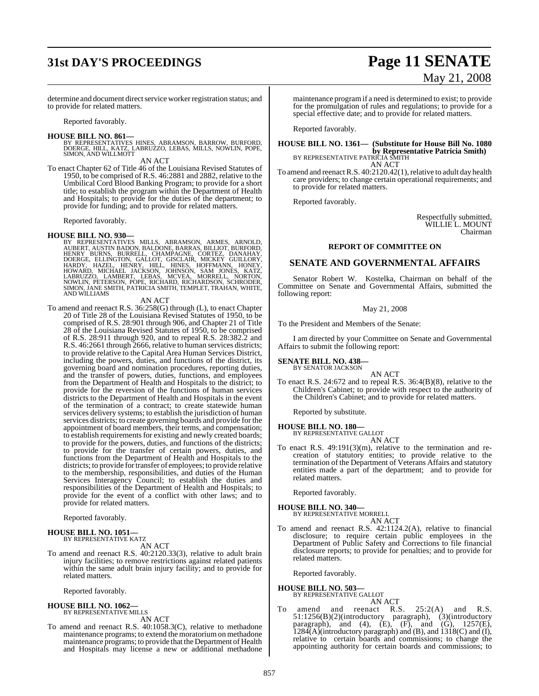## **31st DAY'S PROCEEDINGS Page 11 SENATE**

# May 21, 2008

determine and document direct service worker registration status; and to provide for related matters.

Reported favorably.

**HOUSE BILL NO. 861—**<br>BY REPRESENTATIVES HINES, ABRAMSON, BARROW, BURFORD,<br>DOERGE, HILL, KATZ, LABRUZZO, LEBAS, MILLS, NOWLIN, POPE,<br>SIMON, AND WILLMOTT

AN ACT

To enact Chapter 62 of Title 46 of the Louisiana Revised Statutes of 1950, to be comprised of R.S. 46:2881 and 2882, relative to the Umbilical Cord Blood Banking Program; to provide for a short title; to establish the program within the Department of Health and Hospitals; to provide for the duties of the department; to provide for funding; and to provide for related matters.

Reported favorably.

**HOUSE BILL NO. 930—**<br>BY REPRESENTATIVES MILLS, ABRAMSON, ARMES, ARNOLD,<br>AUBERT, AUSTIN BADON, BALDONE, BARRAS, BILLIOT, BURFORD,<br>HENRY BURNS, BURRELL, CHAMPAGNE, CORTEZ, DANAHAY,<br>DOERGE, ELLINGTON, GALLOT, GISCLAIR, MICKE

#### AN ACT

To amend and reenact R.S. 36:258(G) through (L), to enact Chapter 20 of Title 28 of the Louisiana Revised Statutes of 1950, to be comprised of R.S. 28:901 through 906, and Chapter 21 of Title 28 of the Louisiana Revised Statutes of 1950, to be comprised of R.S. 28:911 through 920, and to repeal R.S. 28:382.2 and R.S. 46:2661 through 2666, relative to human services districts; to provide relative to the Capital Area Human Services District, including the powers, duties, and functions of the district, its governing board and nomination procedures, reporting duties, and the transfer of powers, duties, functions, and employees from the Department of Health and Hospitals to the district; to provide for the reversion of the functions of human services districts to the Department of Health and Hospitals in the event of the termination of a contract; to create statewide human services delivery systems; to establish the jurisdiction of human services districts; to create governing boards and provide for the appointment of board members, their terms, and compensation; to establish requirements for existing and newly created boards; to provide for the powers, duties, and functions of the districts; to provide for the transfer of certain powers, duties, and functions from the Department of Health and Hospitals to the districts; to provide for transfer of employees; to provide relative to the membership, responsibilities, and duties of the Human Services Interagency Council; to establish the duties and responsibilities of the Department of Health and Hospitals; to provide for the event of a conflict with other laws; and to provide for related matters.

Reported favorably.

### **HOUSE BILL NO. 1051—** BY REPRESENTATIVE KATZ

AN ACT

To amend and reenact R.S. 40:2120.33(3), relative to adult brain injury facilities; to remove restrictions against related patients within the same adult brain injury facility; and to provide for related matters.

Reported favorably.

#### **HOUSE BILL NO. 1062—** BY REPRESENTATIVE MILLS

AN ACT

To amend and reenact R.S. 40:1058.3(C), relative to methadone maintenance programs; to extend the moratoriumon methadone maintenance programs; to provide that the Department of Health and Hospitals may license a new or additional methadone

maintenance programif a need is determined to exist; to provide for the promulgation of rules and regulations; to provide for a special effective date; and to provide for related matters.

Reported favorably.

### **HOUSE BILL NO. 1361— (Substitute for House Bill No. 1080 by Representative Patricia Smith)**<br>BY REPRESENTATIVE PATRICIA SMITH AN ACT

To amend and reenact R.S. 40:2120.42(1), relative to adult day health care providers; to change certain operational requirements; and to provide for related matters.

Reported favorably.

Respectfully submitted, WILLIE L. MOUNT Chairman

### **REPORT OF COMMITTEE ON**

### **SENATE AND GOVERNMENTAL AFFAIRS**

Senator Robert W. Kostelka, Chairman on behalf of the Committee on Senate and Governmental Affairs, submitted the following report:

#### May 21, 2008

To the President and Members of the Senate:

I am directed by your Committee on Senate and Governmental Affairs to submit the following report:

#### **SENATE BILL NO. 438—**

BY SENATOR JACKSON

AN ACT To enact R.S. 24:672 and to repeal R.S. 36:4(B)(8), relative to the Children's Cabinet; to provide with respect to the authority of the Children's Cabinet; and to provide for related matters.

Reported by substitute.

#### **HOUSE BILL NO. 180—** BY REPRESENTATIVE GALLOT AN ACT

To enact R.S. 49:191(3)(m), relative to the termination and recreation of statutory entities; to provide relative to the termination of the Department of Veterans Affairs and statutory entities made a part of the department; and to provide for related matters.

Reported favorably.

**HOUSE BILL NO. 340—** BY REPRESENTATIVE MORRELL AN ACT

To amend and reenact R.S. 42:1124.2(A), relative to financial disclosure; to require certain public employees in the Department of Public Safety and Corrections to file financial disclosure reports; to provide for penalties; and to provide for related matters.

Reported favorably.

#### **HOUSE BILL NO. 503—** BY REPRESENTATIVE GALLOT

AN ACT<br>and reenact R.S. To amend and reenact R.S. 25:2(A) and R.S. 51:1256(B)(2)(introductory paragraph), (3)(introductory paragraph), and (4),  $(E)$ ,  $(F)$ , and  $(G)$ , 1257 $(E)$ ,  $1284(A)$ (introductory paragraph) and (B), and  $1318(C)$  and (I), relative to certain boards and commissions; to change the appointing authority for certain boards and commissions; to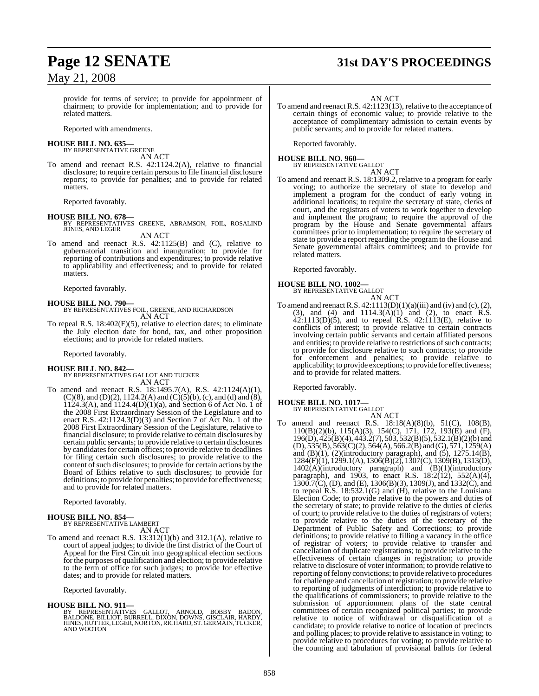### May 21, 2008

provide for terms of service; to provide for appointment of chairmen; to provide for implementation; and to provide for related matters.

Reported with amendments.

#### **HOUSE BILL NO. 635—** BY REPRESENTATIVE GREENE

AN ACT

To amend and reenact R.S. 42:1124.2(A), relative to financial disclosure; to require certain persons to file financial disclosure reports; to provide for penalties; and to provide for related matters.

Reported favorably.

**HOUSE BILL NO. 678—** BY REPRESENTATIVES GREENE, ABRAMSON, FOIL, ROSALIND JONES, AND LEGER AN ACT

To amend and reenact R.S. 42:1125(B) and (C), relative to gubernatorial transition and inauguration; to provide for reporting of contributions and expenditures; to provide relative to applicability and effectiveness; and to provide for related matters.

Reported favorably.

**HOUSE BILL NO. 790—** BY REPRESENTATIVES FOIL, GREENE, AND RICHARDSON AN ACT

To repeal R.S. 18:402(F)(5), relative to election dates; to eliminate the July election date for bond, tax, and other proposition elections; and to provide for related matters.

Reported favorably.

#### **HOUSE BILL NO. 842—**

BY REPRESENTATIVES GALLOT AND TUCKER AN ACT

To amend and reenact R.S. 18:1495.7(A), R.S. 42:1124(A)(1),  $(C)(8)$ , and  $(D)(2)$ , 1124.2(A) and  $(C)(5)(b)$ , (c), and (d) and (8),  $1124.3(A)$ , and  $1124.4(D)(1)(a)$ , and Section 6 of Act No. 1 of the 2008 First Extraordinary Session of the Legislature and to enact R.S. 42:1124.3(D)(3) and Section 7 of Act No. 1 of the 2008 First Extraordinary Session of the Legislature, relative to financial disclosure; to provide relative to certain disclosures by certain public servants; to provide relative to certain disclosures by candidates for certain offices; to provide relative to deadlines for filing certain such disclosures; to provide relative to the content of such disclosures; to provide for certain actions by the Board of Ethics relative to such disclosures; to provide for definitions; to provide for penalties; to provide for effectiveness; and to provide for related matters.

Reported favorably.

### **HOUSE BILL NO. 854—** BY REPRESENTATIVE LAMBERT

AN ACT

To amend and reenact R.S. 13:312(1)(b) and 312.1(A), relative to court of appeal judges; to divide the first district of the Court of Appeal for the First Circuit into geographical election sections forthe purposes of qualification and election; to provide relative to the term of office for such judges; to provide for effective dates; and to provide for related matters.

Reported favorably.

#### **HOUSE BILL NO. 911—**

BY REPRESENTATIVES GALLOT, ARNOLD, BOBBY BADON,<br>BALDONE, BILLIOT, BURRELL, DIXON, DOWNS,(GISCLAIR, HARDY,<br>HINES,HUTTER,LEGER,NORTON,RICHARD,ST.GERMAIN,TUCKER,<br>AND WOOTON

## **Page 12 SENATE 31st DAY'S PROCEEDINGS**

#### AN ACT

To amend and reenact R.S. 42:1123(13), relative to the acceptance of certain things of economic value; to provide relative to the acceptance of complimentary admission to certain events by public servants; and to provide for related matters.

Reported favorably.

### **HOUSE BILL NO. 960—** BY REPRESENTATIVE GALLOT

AN ACT

To amend and reenact R.S. 18:1309.2, relative to a program for early voting; to authorize the secretary of state to develop and implement a program for the conduct of early voting in additional locations; to require the secretary of state, clerks of court, and the registrars of voters to work together to develop and implement the program; to require the approval of the program by the House and Senate governmental affairs committees prior to implementation; to require the secretary of state to provide a report regarding the program to the House and Senate governmental affairs committees; and to provide for related matters.

Reported favorably.

## **HOUSE BILL NO. 1002—** BY REPRESENTATIVE GALLOT



AN ACT To amend and reenact R.S.  $42:1113(D)(1)(a)(iii)$  and (iv) and (c), (2), (3), and (4) and  $1114.3(A)(1)$  and (2), to enact R.S.  $42:1113(D)(5)$ , and to repeal R.S.  $42:1113(E)$ , relative to conflicts of interest; to provide relative to certain contracts involving certain public servants and certain affiliated persons and entities; to provide relative to restrictions of such contracts; to provide for disclosure relative to such contracts; to provide for enforcement and penalties; to provide relative to applicability; to provide exceptions; to provide for effectiveness; and to provide for related matters.

Reported favorably.

- **HOUSE BILL NO. 1017—** BY REPRESENTATIVE GALLOT AN ACT
- To amend and reenact R.S. 18:18(A)(8)(b), 51(C), 108(B), 110(B)(2)(b), 115(A)(3), 154(C), 171, 172, 193(E) and (F), 196(D), 425(B)(4), 443.2(7), 503, 532(B)(5), 532.1(B)(2)(b) and (D),  $535(B)$ ,  $563(C)(2)$ ,  $564(A)$ ,  $566.2(B)$  and  $(G)$ ,  $571$ ,  $1259(A)$ and  $(B)(1)$ ,  $(2)$ (introductory paragraph), and  $(5)$ ,  $1275.14(B)$ , 1284(F)(1), 1299.1(A), 1306(B)(2), 1307(C), 1309(B), 1313(D), 1402(A)(introductory paragraph) and (B)(1)(introductory paragraph), and 1903, to enact R.S. 18:2(12), 552(A)(4),  $1300.7$ (C), (D), and (E),  $1306(B)(3)$ ,  $1309(J)$ , and  $1332(C)$ , and to repeal R.S. 18:532.1(G) and (H), relative to the Louisiana Election Code; to provide relative to the powers and duties of the secretary of state; to provide relative to the duties of clerks of court; to provide relative to the duties of registrars of voters; to provide relative to the duties of the secretary of the Department of Public Safety and Corrections; to provide definitions; to provide relative to filling a vacancy in the office of registrar of voters; to provide relative to transfer and cancellation of duplicate registrations; to provide relative to the effectiveness of certain changes in registration; to provide relative to disclosure of voter information; to provide relative to reporting of felony convictions; to provide relative to procedures for challenge and cancellation ofregistration; to provide relative to reporting of judgments of interdiction; to provide relative to the qualifications of commissioners; to provide relative to the submission of apportionment plans of the state central committees of certain recognized political parties; to provide relative to notice of withdrawal or disqualification of a candidate; to provide relative to notice of location of precincts and polling places; to provide relative to assistance in voting; to provide relative to procedures for voting; to provide relative to the counting and tabulation of provisional ballots for federal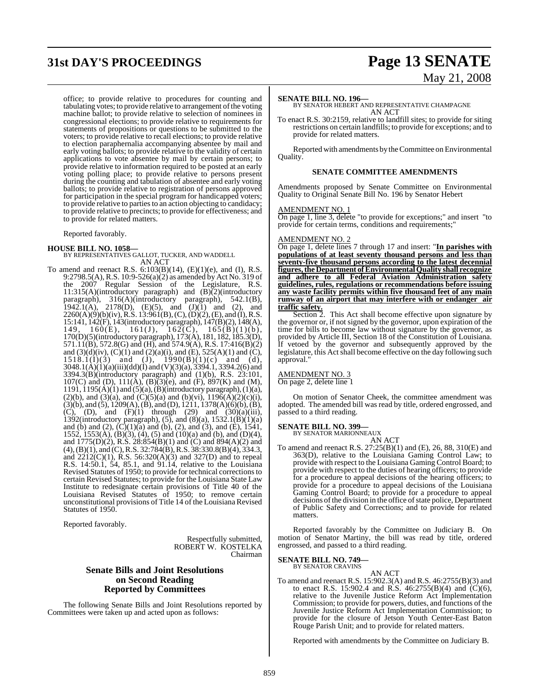# **31st DAY'S PROCEEDINGS Page 13 SENATE**

# May 21, 2008

office; to provide relative to procedures for counting and tabulating votes; to provide relative to arrangement of the voting machine ballot; to provide relative to selection of nominees in congressional elections; to provide relative to requirements for statements of propositions or questions to be submitted to the voters; to provide relative to recall elections; to provide relative to election paraphernalia accompanying absentee by mail and early voting ballots; to provide relative to the validity of certain applications to vote absentee by mail by certain persons; to provide relative to information required to be posted at an early voting polling place; to provide relative to persons present during the counting and tabulation of absentee and early voting ballots; to provide relative to registration of persons approved for participation in the special program for handicapped voters; to provide relative to partiesto an action objecting to candidacy; to provide relative to precincts; to provide for effectiveness; and to provide for related matters.

Reported favorably.

**HOUSE BILL NO. 1058—** BY REPRESENTATIVES GALLOT, TUCKER, AND WADDELL AN ACT

To amend and reenact R.S.  $6:103(B)(14)$ ,  $(E)(1)(e)$ , and  $(I)$ , R.S. 9:2798.5(A), R.S. 10:9-526(a)(2) as amended by Act No. 319 of the 2007 Regular Session of the Legislature, R.S.  $11:315(A)$ (introductory paragraph) and  $(B)$ (2)(introductory paragraph), 316(A)(introductory paragraph), 542.1(B), 1942.1(A), 2178(D), (E)(5), and  $(J)(1)$  and (2), and 2260(A)(9)(b)(iv),R.S. 13:961(B),(C),(D)(2), (E), and (I), R.S. 15:141, 142(F), 143(introductory paragraph), 147(B)(2), 148(A), 149, 160(E), 161(J), 162(C), 165(B)(1)(b), 170(D)(5)(introductory paragraph), 173(A), 181, 182, 185.3(D), 571.11(B), 572.8(G) and (H), and 574.9(A), R.S. 17:416(B)(2) and  $(3)(d)(iv)$ ,  $(C)(1)$  and  $(2)(a)(i)$ , and  $(E)$ , 525(A)(1) and  $(C)$ ,  $1518.1(1)(3)$  and  $(J)$ ,  $1990(B)(1)(c)$  and  $(d)$ , 3048.1(A)(1)(a)(iii)(dd)(I) and (V)(3)(a), 3394.1, 3394.2(6) and 3394.3(B)(introductory paragraph) and (1)(b), R.S. 23:101, 107(C) and (D),  $111(A)$ ,  $(B)(3)(e)$ , and  $(F)$ ,  $897(K)$  and  $(M)$ , 1191,  $1195(\text{A})(1)$  and  $(5)(\text{a})$ ,  $(\text{B})(\text{introducing paragraph})$ ,  $(1)(\text{a})$ , (2)(b), and (3)(a), and (C)(5)(a) and (b)(vi),  $119\bar{6}(\bar{A})(2)(c)(i)$ ,  $(3)(b)$ , and  $(5)$ , 1209(A), (B), and (D), 1211, 1378(A)(6)(b), (B), (C), (D), and  $(F)(1)$  through (29) and  $(30)(a)(iii)$ , 1392(introductory paragraph),  $(5)$ , and  $(8)(a)$ , 1532.1 $(B)(1)(a)$ and (b) and (2),  $(C)(1)(a)$  and (b), (2), and (3), and (E), 1541, 1552, 1553(A), (B)(3), (4), (5) and (10)(a) and (b), and (D)(4), and 1775(D)(2), R.S. 28:854(B)(1) and (C) and 894(A)(2) and (4),(B)(1), and (C), R.S. 32:784(B), R.S. 38:330.8(B)(4), 334.3, and  $2212(C)(1)$ , R.S. 56:320(A)(3) and 327(D) and to repeal R.S. 14:50.1, 54, 85.1, and 91.14, relative to the Louisiana Revised Statutes of 1950; to provide for technical correctionsto certain Revised Statutes; to provide for the Louisiana State Law Institute to redesignate certain provisions of Title 40 of the Louisiana Revised Statutes of 1950; to remove certain unconstitutional provisions of Title 14 of the Louisiana Revised Statutes of 1950.

Reported favorably.

Respectfully submitted, ROBERT W. KOSTELKA Chairman

### **Senate Bills and Joint Resolutions on Second Reading Reported by Committees**

The following Senate Bills and Joint Resolutions reported by Committees were taken up and acted upon as follows:

#### **SENATE BILL NO. 196—**

BY SENATOR HEBERT AND REPRESENTATIVE CHAMPAGNE AN ACT

To enact R.S. 30:2159, relative to landfill sites; to provide for siting restrictions on certain landfills; to provide for exceptions; and to provide for related matters.

Reported with amendments by theCommittee on Environmental Quality.

#### **SENATE COMMITTEE AMENDMENTS**

Amendments proposed by Senate Committee on Environmental Quality to Original Senate Bill No. 196 by Senator Hebert

#### AMENDMENT NO. 1

On page 1, line 3, delete "to provide for exceptions;" and insert "to provide for certain terms, conditions and requirements;"

#### AMENDMENT NO. 2

On page 1, delete lines 7 through 17 and insert: "**In parishes with populations of at least seventy thousand persons and less than seventy-five thousand persons according to the latest decennial figures,theDepartment ofEnvironmental Quality shall recognize and adhere to all Federal Aviation Administration safety guidelines, rules, regulations or recommendations before issuing any waste facility permits within five thousand feet of any main runway of an airport that may interfere with or endanger air traffic safety.**

Section 2. This Act shall become effective upon signature by the governor or, if not signed by the governor, upon expiration of the time for bills to become law without signature by the governor, as provided by Article III, Section 18 of the Constitution of Louisiana. If vetoed by the governor and subsequently approved by the legislature, this Act shall become effective on the day following such approval."

#### AMENDMENT NO. 3

On page 2, delete line 1

On motion of Senator Cheek, the committee amendment was adopted. The amended bill was read by title, ordered engrossed, and passed to a third reading.

#### **SENATE BILL NO. 399—**

BY SENATOR MARIONNEAUX

AN ACT To amend and reenact R.S. 27:25(B)(1) and (E), 26, 88, 310(E) and 363(D), relative to the Louisiana Gaming Control Law; to provide with respect to the Louisiana Gaming Control Board; to provide with respect to the duties of hearing officers; to provide for a procedure to appeal decisions of the hearing officers; to provide for a procedure to appeal decisions of the Louisiana Gaming Control Board; to provide for a procedure to appeal decisions of the division in the office of state police, Department of Public Safety and Corrections; and to provide for related matters.

Reported favorably by the Committee on Judiciary B. On motion of Senator Martiny, the bill was read by title, ordered engrossed, and passed to a third reading.

### **SENATE BILL NO. 749—** BY SENATOR CRAVINS

AN ACT To amend and reenact R.S. 15:902.3(A) and R.S. 46:2755(B)(3) and to enact R.S. 15:902.4 and R.S. 46:2755(B)(4) and (C)(6), relative to the Juvenile Justice Reform Act Implementation Commission; to provide for powers, duties, and functions of the Juvenile Justice Reform Act Implementation Commission; to provide for the closure of Jetson Youth Center-East Baton Rouge Parish Unit; and to provide for related matters.

Reported with amendments by the Committee on Judiciary B.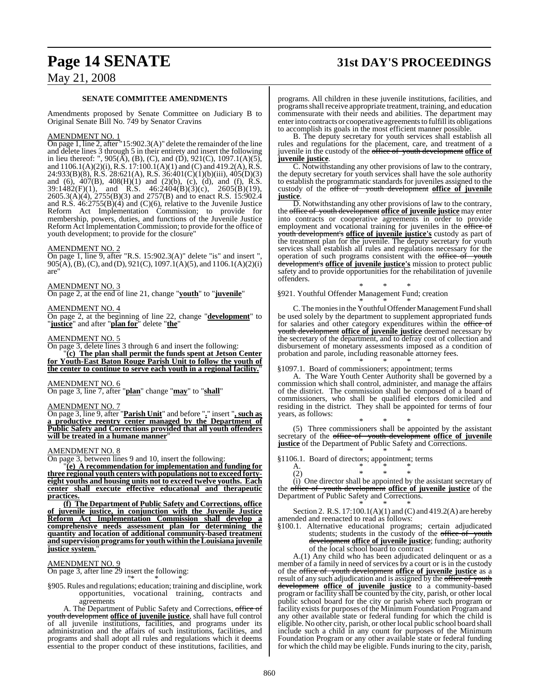## **Page 14 SENATE 31st DAY'S PROCEEDINGS**

### May 21, 2008

#### **SENATE COMMITTEE AMENDMENTS**

Amendments proposed by Senate Committee on Judiciary B to Original Senate Bill No. 749 by Senator Cravins

#### AMENDMENT NO. 1

On page 1, line 2, after "15:902.3(A)" delete the remainder of the line and delete lines 3 through 5 in their entirety and insert the following in lieu thereof: ",  $905(\overline{A})$ , (B), (C), and (D),  $921(C)$ ,  $1097.1(A)(5)$ , and 1106.1(A)(2)(i), R.S. 17:100.1(A)(1) and (C) and 419.2(A),R.S. 24:933(B)(8), R.S. 28:621(A), R.S. 36:401(C)(1)(b)(iii), 405(D)(3) and (6), 407(B), 408(H)(1) and (2)(b), (c), (d), and (f), R.S.  $39:1482(F)(1)$ , and R.S.  $46:2404(B)(3)(c)$ ,  $2605(B)(19)$ , 2605.3(A)(4), 2755(B)(3) and 2757(B) and to enact R.S. 15:902.4 and R.S.  $46:2755(B)(4)$  and (C)(6), relative to the Juvenile Justice Reform Act Implementation Commission; to provide for membership, powers, duties, and functions of the Juvenile Justice Reform Act Implementation Commission; to provide for the office of youth development; to provide for the closure"

#### AMENDMENT NO. 2

On page 1, line 9, after "R.S. 15:902.3(A)" delete "is" and insert ", 905(A), (B), (C), and (D), 921(C), 1097.1(A)(5), and 1106.1(A)(2)(i) are"

#### AMENDMENT NO. 3

On page 2, at the end of line 21, change "**youth**" to "**juvenile**"

#### AMENDMENT NO. 4

On page 2, at the beginning of line 22, change "**development**" to "**justice**" and after "**plan for**" delete "**the**"

#### AMENDMENT NO. 5

On page 3, delete lines 3 through 6 and insert the following: "**(c) The plan shall permit the funds spent at Jetson Center for Youth-East Baton Rouge Parish Unit to follow the youth of the center to continue to serve each youth in a regional facility.**"

### AMENDMENT NO. 6

On page 3, line 7, after "**plan**" change "**may**" to "**shall**"

#### AMENDMENT NO. 7

On page 3, line 9, after "**Parish Unit**" and before "**.**" insert "**, such as a productive reentry center managed by the Department of Public Safety and Corrections provided that all youth offenders will be treated in a humane manner**"

#### AMENDMENT NO. 8

On page 3, between lines 9 and 10, insert the following:

"**(e) A recommendation for implementation and funding for three regional youth centers with populations not to exceed fortyeight youths and housing units not to exceed twelve youths. Each center shall execute effective educational and therapeutic practices.**

**(f) The Department of Public Safety and Corrections, office of juvenile justice, in conjunction with the Juvenile Justice Reform Act Implementation Commission shall develop a comprehensive needs assessment plan for determining the quantity and location of additional community-based treatment and supervision programsfor youthwithintheLouisiana juvenile justice system.**"

#### AMENDMENT NO. 9

On page 3, after line 29 insert the following: "\* \* \*

§905. Rules and regulations; education; training and discipline, work opportunities, vocational training, contracts and agreements

A. The Department of Public Safety and Corrections, office of youth development **office of juvenile justice**, shall have full control of all juvenile institutions, facilities, and programs under its administration and the affairs of such institutions, facilities, and programs and shall adopt all rules and regulations which it deems essential to the proper conduct of these institutions, facilities, and

programs. All children in these juvenile institutions, facilities, and programs shall receive appropriate treatment, training, and education commensurate with their needs and abilities. The department may enter into contracts or cooperative agreements to fulfill its obligations to accomplish its goals in the most efficient manner possible.

B. The deputy secretary for youth services shall establish all rules and regulations for the placement, care, and treatment of a juvenile in the custody of the office of youth development **office of juvenile justice**.

C. Notwithstanding any other provisions of law to the contrary, the deputy secretary for youth services shall have the sole authority to establish the programmatic standards for juveniles assigned to the custody of the office of youth development office of juvenile **justice**.

D. Notwithstanding any other provisions of law to the contrary, the office of youth development **office of juvenile justice** may enter into contracts or cooperative agreements in order to provide employment and vocational training for juveniles in the office of youth development's **office of juvenile justice's** custody as part of the treatment plan for the juvenile. The deputy secretary for youth services shall establish all rules and regulations necessary for the operation of such programs consistent with the office of youth development's **office of juvenile justice's** mission to protect public safety and to provide opportunities for the rehabilitation of juvenile offenders.

\* \* \* §921. Youthful Offender Management Fund; creation

\* \* \* C. The monies in the Youthful Offender Management Fund shall be used solely by the department to supplement appropriated funds for salaries and other category expenditures within the office of youth development **office of juvenile justice** deemed necessary by the secretary of the department, and to defray cost of collection and disbursement of monetary assessments imposed as a condition of probation and parole, including reasonable attorney fees. \* \* \*

§1097.1. Board of commissioners; appointment; terms

A. The Ware Youth Center Authority shall be governed by a commission which shall control, administer, and manage the affairs of the district. The commission shall be composed of a board of commissioners, who shall be qualified electors domiciled and residing in the district. They shall be appointed for terms of four years, as follows:

\* \* \* (5) Three commissioners shall be appointed by the assistant secretary of the office of youth development **office of juvenile justice** of the Department of Public Safety and Corrections.

\* \* \* §1106.1. Board of directors; appointment; terms  $A$ .

A.  $*$   $*$   $*$   $*$ 

(2) \* \* \* (i) One director shall be appointed by the assistant secretary of the office of youth development **office of juvenile justice** of the Department of Public Safety and Corrections. \* \* \*

Section 2. R.S. 17:100.1(A)(1) and (C) and 419.2(A) are hereby amended and reenacted to read as follows:

§100.1. Alternative educational programs; certain adjudicated students; students in the custody of the office of youth development **office of juvenile justice**; funding; authority of the local school board to contract

A.(1) Any child who has been adjudicated delinquent or as a member of a family in need of services by a court or is in the custody of the office of youth development **office of juvenile justice** as a result of any such adjudication and is assigned by the office of youth development **office of juvenile justice** to a community-based program or facility shall be counted by the city, parish, or other local public school board for the city or parish where such program or facility exists for purposes of the Minimum Foundation Program and any other available state or federal funding for which the child is eligible. No other city, parish, or other local public school board shall include such a child in any count for purposes of the Minimum Foundation Program or any other available state or federal funding for which the child may be eligible. Funds inuring to the city, parish,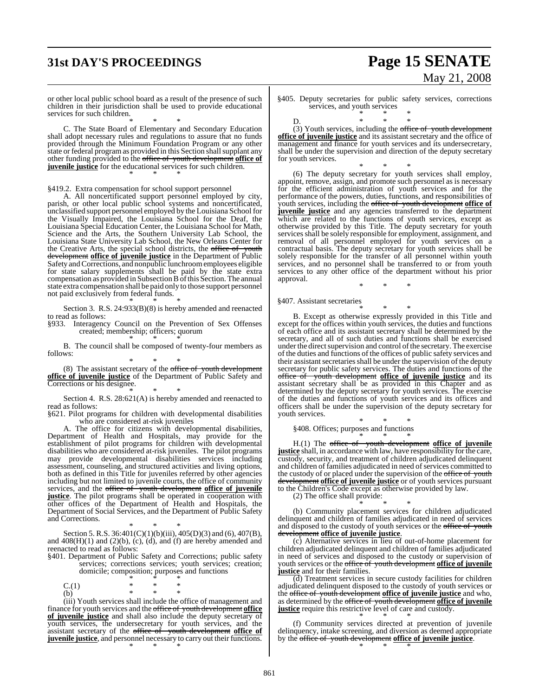# **31st DAY'S PROCEEDINGS Page 15 SENATE** May 21, 2008

or other local public school board as a result of the presence of such children in their jurisdiction shall be used to provide educational services for such children.

\* \* \* C. The State Board of Elementary and Secondary Education shall adopt necessary rules and regulations to assure that no funds provided through the Minimum Foundation Program or any other state or federal program as provided in this Section shall supplant any other funding provided to the office of youth development **office of juvenile justice** for the educational services for such children. \* \* \*

§419.2. Extra compensation for school support personnel

A. All noncertificated support personnel employed by city, parish, or other local public school systems and noncertificated, unclassified support personnel employed by the Louisiana School for the Visually Impaired, the Louisiana School for the Deaf, the Louisiana Special Education Center, the Louisiana School for Math, Science and the Arts, the Southern University Lab School, the Louisiana State University Lab School, the New Orleans Center for the Creative Arts, the special school districts, the office of youth development **office of juvenile justice** in the Department of Public Safety and Corrections, and nonpublic lunchroomemployees eligible for state salary supplements shall be paid by the state extra compensation as provided in Subsection B of this Section. The annual state extra compensation shall be paid only to those support personnel not paid exclusively from federal funds. \* \* \*

Section 3. R.S. 24:933(B)(8) is hereby amended and reenacted to read as follows:

§933. Interagency Council on the Prevention of Sex Offenses created; membership; officers; quorum

\* \* \* B. The council shall be composed of twenty-four members as follows:

\* \* \*

(8) The assistant secretary of the office of youth development **office of juvenile justice** of the Department of Public Safety and Corrections or his designee. \* \* \*

Section 4. R.S. 28:621(A) is hereby amended and reenacted to read as follows:

§621. Pilot programs for children with developmental disabilities who are considered at-risk juveniles

A. The office for citizens with developmental disabilities, Department of Health and Hospitals, may provide for the establishment of pilot programs for children with developmental disabilities who are considered at-risk juveniles. The pilot programs may provide developmental disabilities services including assessment, counseling, and structured activities and living options, both as defined in this Title for juveniles referred by other agencies including but not limited to juvenile courts, the office of community services, and the office of youth development **office of juvenile justice**. The pilot programs shall be operated in cooperation with other offices of the Department of Health and Hospitals, the Department of Social Services, and the Department of Public Safety and Corrections.

\* \* \* Section 5. R.S. 36:401(C)(1)(b)(iii), 405(D)(3) and (6), 407(B), and  $408(H)(1)$  and  $(2)(b)$ ,  $(c)$ ,  $(d)$ , and  $(f)$  are hereby amended and reenacted to read as follows:

§401. Department of Public Safety and Corrections; public safety services; corrections services; youth services; creation; domicile; composition; purposes and functions

\* \* \*  $C.(1)$  \* \* \*<br>
(b) \* \* \* (b) \* \* \*

(iii) Youth services shall include the office of management and finance for youth services and the office of youth development **office of juvenile justice** and shall also include the deputy secretary of youth services, the undersecretary for youth services, and the assistant secretary of the office of youth development **office of juvenile justice**, and personnel necessary to carry out their functions. \* \* \*

§405. Deputy secretaries for public safety services, corrections services, and youth services \* \* \*

D. \* \* \* (3) Youth services, including the office of youth development **office of juvenile justice** and its assistant secretary and the office of management and finance for youth services and its undersecretary, shall be under the supervision and direction of the deputy secretary for youth services.

\* \* \* (6) The deputy secretary for youth services shall employ, appoint, remove, assign, and promote such personnel as is necessary for the efficient administration of youth services and for the performance of the powers, duties, functions, and responsibilities of youth services, including the office of youth development **office of juvenile justice** and any agencies transferred to the department which are related to the functions of youth services, except as otherwise provided by this Title. The deputy secretary for youth services shall be solely responsible for employment, assignment, and removal of all personnel employed for youth services on a contractual basis. The deputy secretary for youth services shall be solely responsible for the transfer of all personnel within youth services, and no personnel shall be transferred to or from youth services to any other office of the department without his prior approval.

\* \* \*

§407. Assistant secretaries

\* \* \* B. Except as otherwise expressly provided in this Title and except for the offices within youth services, the duties and functions of each office and its assistant secretary shall be determined by the secretary, and all of such duties and functions shall be exercised under the direct supervision and control of the secretary. The exercise of the duties and functions of the offices of public safety services and their assistant secretaries shall be under the supervision of the deputy secretary for public safety services. The duties and functions of the office of youth development **office of juvenile justice** and its assistant secretary shall be as provided in this Chapter and as determined by the deputy secretary for youth services. The exercise of the duties and functions of youth services and its offices and officers shall be under the supervision of the deputy secretary for youth services.

\* \* \* §408. Offices; purposes and functions

\* \* \* H.(1) The office of youth development **office of juvenile justice** shall, in accordance with law, have responsibility for the care, custody, security, and treatment of children adjudicated delinquent and children of families adjudicated in need of services committed to the custody of or placed under the supervision of the office of youth development **office of juvenile justice** or of youth services pursuant to the Children's Code except as otherwise provided by law.

(2) The office shall provide:

\* \* \* (b) Community placement services for children adjudicated delinquent and children of families adjudicated in need of services and disposed to the custody of youth services or the office of youth development **office of juvenile justice**.

(c) Alternative services in lieu of out-of-home placement for children adjudicated delinquent and children of families adjudicated in need of services and disposed to the custody or supervision of youth services or the office of youth development **office of juvenile justice** and for their families.

 $\overline{d}$ ) Treatment services in secure custody facilities for children adjudicated delinquent disposed to the custody of youth services or the office of youth development **office of juvenile justice** and who, as determined by the office of youth development **office of juvenile justice** require this restrictive level of care and custody. \* \* \*

(f) Community services directed at prevention of juvenile delinquency, intake screening, and diversion as deemed appropriate by the office of youth development **office of juvenile justice**. \* \* \*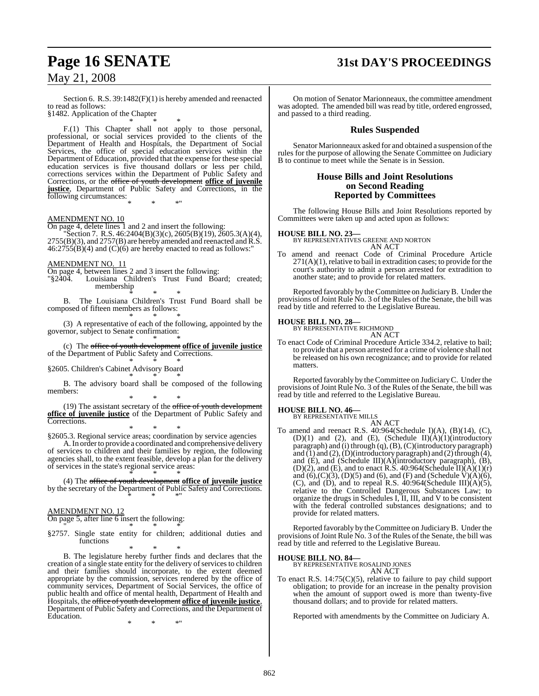## **Page 16 SENATE 31st DAY'S PROCEEDINGS**

### May 21, 2008

Section 6. R.S. 39:1482(F)(1) is hereby amended and reenacted to read as follows:

§1482. Application of the Chapter \* \* \*

F.(1) This Chapter shall not apply to those personal, professional, or social services provided to the clients of the Department of Health and Hospitals, the Department of Social Services, the office of special education services within the Department of Education, provided that the expense for these special education services is five thousand dollars or less per child, corrections services within the Department of Public Safety and Corrections, or the office of youth development **office of juvenile justice**, Department of Public Safety and Corrections, in the following circumstances: \* \* \*"

#### AMENDMENT NO. 10

On page 4, delete lines 1 and 2 and insert the following:

 $\text{Section 7. R.S. }46:2404(\text{B})(3)(\text{c}), 2605(\text{B})(19), 2605.3(\text{A})(4),$  $2755(B)(3)$ , and  $2757(B)$  are hereby amended and reenacted and  $\overline{R}.\overline{S}$ .  $46:2755(B)(4)$  and  $(C)(6)$  are hereby enacted to read as follows:"

#### AMENDMENT NO. 11

On page 4, between lines 2 and 3 insert the following:

Louisiana Children's Trust Fund Board; created; membership \* \* \*

B. The Louisiana Children's Trust Fund Board shall be composed of fifteen members as follows: \* \* \*

(3) A representative of each of the following, appointed by the governor, subject to Senate confirmation: \* \* \*

(c) The office of youth development **office of juvenile justice** of the Department of Public Safety and Corrections.

#### \* \* \* §2605. Children's Cabinet Advisory Board

\* \* \* B. The advisory board shall be composed of the following members:

\* \* \*  $(19)$  The assistant secretary of the office of youth development **office of juvenile justice** of the Department of Public Safety and Corrections.

\* \* \* §2605.3. Regional service areas; coordination by service agencies

A. In order to provide a coordinated and comprehensive delivery of services to children and their families by region, the following agencies shall, to the extent feasible, develop a plan for the delivery of services in the state's regional service areas:

\* \* \* (4) The office of youth development **office of juvenile justice** by the secretary of the Department of Public Safety and Corrections. \* \* \*"

#### AMENDMENT NO. 12

On page 5, after line 6 insert the following: " \* \* \*

§2757. Single state entity for children; additional duties and functions

\* \* \*

B. The legislature hereby further finds and declares that the creation of a single state entity for the delivery of services to children and their families should incorporate, to the extent deemed appropriate by the commission, services rendered by the office of community services, Department of Social Services, the office of public health and office of mental health, Department of Health and Hospitals, the office of youth development **office of juvenile justice**, Department of Public Safety and Corrections, and the Department of Education.

\* \* \*"

On motion of Senator Marionneaux, the committee amendment was adopted. The amended bill was read by title, ordered engrossed, and passed to a third reading.

#### **Rules Suspended**

Senator Marionneaux asked for and obtained a suspension of the rules for the purpose of allowing the Senate Committee on Judiciary B to continue to meet while the Senate is in Session.

#### **House Bills and Joint Resolutions on Second Reading Reported by Committees**

The following House Bills and Joint Resolutions reported by Committees were taken up and acted upon as follows:

**HOUSE BILL NO. 23—** BY REPRESENTATIVES GREENE AND NORTON AN ACT

To amend and reenact Code of Criminal Procedure Article  $271(A)(1)$ , relative to bail in extradition cases; to provide for the court's authority to admit a person arrested for extradition to another state; and to provide for related matters.

Reported favorably by the Committee on JudiciaryB. Under the provisions of Joint Rule No. 3 of the Rules of the Senate, the bill was read by title and referred to the Legislative Bureau.

### **HOUSE BILL NO. 28—** BY REPRESENTATIVE RICHMOND

AN ACT To enact Code of Criminal Procedure Article 334.2, relative to bail; to provide that a person arrested for a crime of violence shall not be released on his own recognizance; and to provide for related matters.

Reported favorably by theCommittee on JudiciaryC. Under the provisions of Joint Rule No. 3 of the Rules of the Senate, the bill was read by title and referred to the Legislative Bureau.

#### **HOUSE BILL NO. 46—**

BY REPRESENTATIVE MILLS AN ACT

To amend and reenact R.S. 40:964(Schedule I)(A), (B)(14), (C), (D)(1) and (2), and (E), (Schedule II) $(\hat{A})(1)(introducing$ paragraph) and (i) through (q), (B), (C)(introductory paragraph) and (1) and (2), (D)(introductory paragraph) and (2) through  $(4)$ , and (E), and (Schedule III)(A)(introductory paragraph), (B),  $(D)(2)$ , and  $(E)$ , and to enact R.S. 40:964(Schedule II) $(A)(1)(r)$ and  $(6)$ , $(C)$  $(3)$ ,  $(D)$  $(5)$  and  $(6)$ , and  $(F)$  and  $(Schedule V)$  $(A)$  $(6)$ , (C), and (D), and to repeal R.S.  $40:964$ (Schedule III)(A)(5), relative to the Controlled Dangerous Substances Law; to organize the drugs in Schedules I, II, III, and V to be consistent with the federal controlled substances designations; and to provide for related matters.

Reported favorably by theCommittee on JudiciaryB. Under the provisions of Joint Rule No. 3 of the Rules of the Senate, the bill was read by title and referred to the Legislative Bureau.

**HOUSE BILL NO. 84—** BY REPRESENTATIVE ROSALIND JONES AN ACT

To enact R.S.  $14:75(C)(5)$ , relative to failure to pay child support obligation; to provide for an increase in the penalty provision when the amount of support owed is more than twenty-five thousand dollars; and to provide for related matters.

Reported with amendments by the Committee on Judiciary A.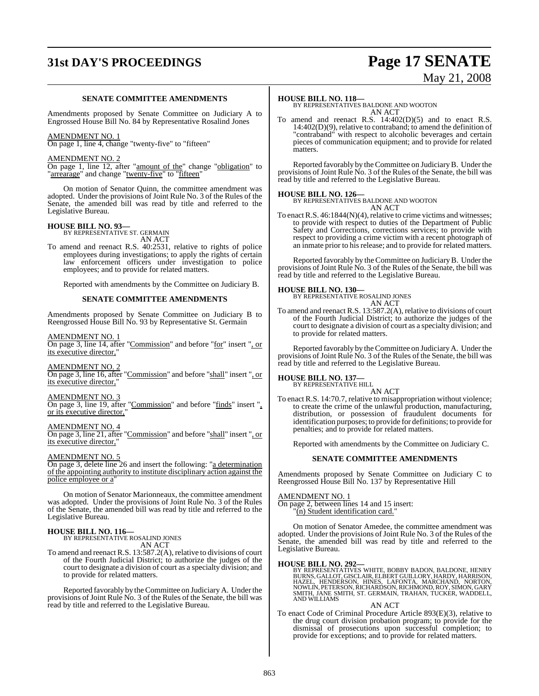# **31st DAY'S PROCEEDINGS Page 17 SENATE**

# May 21, 2008

#### **SENATE COMMITTEE AMENDMENTS**

Amendments proposed by Senate Committee on Judiciary A to Engrossed House Bill No. 84 by Representative Rosalind Jones

#### AMENDMENT NO. 1

On page 1, line 4, change "twenty-five" to "fifteen"

#### AMENDMENT NO. 2

On page 1, line 12, after "amount of the" change "obligation" to "arrearage" and change "twenty-five" to "fifteen"

On motion of Senator Quinn, the committee amendment was adopted. Under the provisions of Joint Rule No. 3 of the Rules of the Senate, the amended bill was read by title and referred to the Legislative Bureau.

### **HOUSE BILL NO. 93—** BY REPRESENTATIVE ST. GERMAIN

AN ACT

To amend and reenact R.S. 40:2531, relative to rights of police employees during investigations; to apply the rights of certain law enforcement officers under investigation to police employees; and to provide for related matters.

Reported with amendments by the Committee on Judiciary B.

#### **SENATE COMMITTEE AMENDMENTS**

Amendments proposed by Senate Committee on Judiciary B to Reengrossed House Bill No. 93 by Representative St. Germain

#### AMENDMENT NO. 1

On page 3, line 14, after "Commission" and before "for" insert ", or its executive director,"

#### AMENDMENT NO. 2

On page 3, line 16, after "Commission" and before "shall" insert ", or its executive director,"

#### AMENDMENT NO. 3

On page 3, line 19, after "Commission" and before "finds" insert ", or its executive director,

#### AMENDMENT NO. 4

On page 3, line 21, after "Commission" and before "shall" insert ", or its executive director,"

#### AMENDMENT NO. 5

On page 3, delete line 26 and insert the following: "a determination of the appointing authority to institute disciplinary action against the police employee or a"

On motion of Senator Marionneaux, the committee amendment was adopted. Under the provisions of Joint Rule No. 3 of the Rules of the Senate, the amended bill was read by title and referred to the Legislative Bureau.

### **HOUSE BILL NO. 116—** BY REPRESENTATIVE ROSALIND JONES

AN ACT

To amend and reenact R.S. 13:587.2(A), relative to divisions of court of the Fourth Judicial District; to authorize the judges of the court to designate a division of court as a specialty division; and to provide for related matters.

Reported favorably by theCommittee on Judiciary A. Under the provisions of Joint Rule No. 3 of the Rules of the Senate, the bill was read by title and referred to the Legislative Bureau.

#### **HOUSE BILL NO. 118—**

BY REPRESENTATIVES BALDONE AND WOOTON AN ACT

To amend and reenact R.S. 14:402(D)(5) and to enact R.S. 14:402(D)(9), relative to contraband; to amend the definition of "contraband" with respect to alcoholic beverages and certain pieces of communication equipment; and to provide for related matters.

Reported favorably by theCommittee on JudiciaryB. Under the provisions of Joint Rule No. 3 of the Rules of the Senate, the bill was read by title and referred to the Legislative Bureau.

**HOUSE BILL NO. 126—** BY REPRESENTATIVES BALDONE AND WOOTON AN ACT

To enact R.S.  $46:1844(N)(4)$ , relative to crime victims and witnesses; to provide with respect to duties of the Department of Public Safety and Corrections, corrections services; to provide with respect to providing a crime victim with a recent photograph of an inmate prior to his release; and to provide for related matters.

Reported favorably by the Committee on JudiciaryB. Under the provisions of Joint Rule No. 3 of the Rules of the Senate, the bill was read by title and referred to the Legislative Bureau.

#### **HOUSE BILL NO. 130—**

BY REPRESENTATIVE ROSALIND JONES AN ACT

To amend and reenact R.S. 13:587.2(A), relative to divisions of court of the Fourth Judicial District; to authorize the judges of the court to designate a division of court as a specialty division; and to provide for related matters.

Reported favorably by theCommittee on JudiciaryA. Under the provisions of Joint Rule No. 3 of the Rules of the Senate, the bill was read by title and referred to the Legislative Bureau.

#### **HOUSE BILL NO. 137—**

BY REPRESENTATIVE HILL AN ACT

To enact R.S. 14:70.7, relative to misappropriation without violence; to create the crime of the unlawful production, manufacturing, distribution, or possession of fraudulent documents for identification purposes; to provide for definitions; to provide for penalties; and to provide for related matters.

Reported with amendments by the Committee on Judiciary C.

#### **SENATE COMMITTEE AMENDMENTS**

Amendments proposed by Senate Committee on Judiciary C to Reengrossed House Bill No. 137 by Representative Hill

#### AMENDMENT NO. 1

On page 2, between lines 14 and 15 insert: (n) Student identification card."

On motion of Senator Amedee, the committee amendment was adopted. Under the provisions of Joint Rule No. 3 of the Rules of the Senate, the amended bill was read by title and referred to the Legislative Bureau.

#### **HOUSE BILL NO. 292—**

BY REPRESENTATIVES WHITE, BOBBY BADON, BALDONE, HENRY<br>BURNS, GALLOT,GISCLAIR, ELBERT GUILLORY, HARDY, HARRISON,<br>HAZEL, HENDERSON, HINES, LAFONTA, MARCHAND, NORTON,<br>NOWLIN, PETERSON, RICHARDSON, RICHMOND, ROY, SIMON, GARY<br>S

AN ACT

To enact Code of Criminal Procedure Article 893(E)(3), relative to the drug court division probation program; to provide for the dismissal of prosecutions upon successful completion; to provide for exceptions; and to provide for related matters.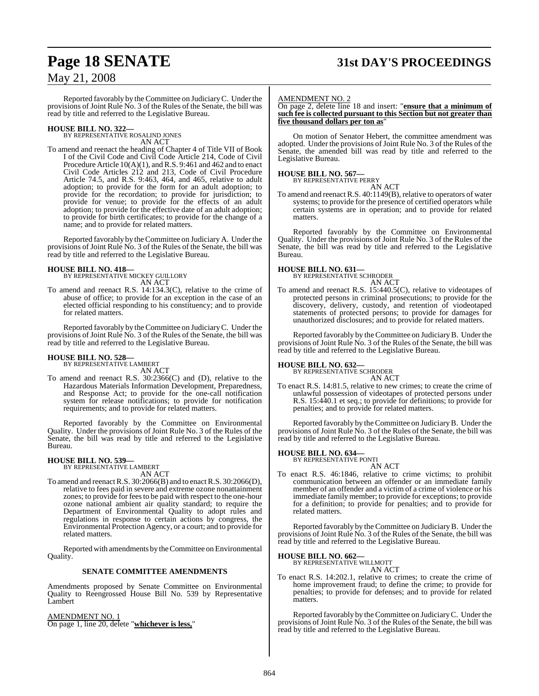### **Page 18 SENATE 31st DAY'S PROCEEDINGS**

### May 21, 2008

Reported favorably by the Committee on JudiciaryC. Under the provisions of Joint Rule No. 3 of the Rules of the Senate, the bill was read by title and referred to the Legislative Bureau.

# **HOUSE BILL NO. 322—** BY REPRESENTATIVE ROSALIND JONES

AN ACT

To amend and reenact the heading of Chapter 4 of Title VII of Book I of the Civil Code and Civil Code Article 214, Code of Civil Procedure Article 10(A)(1), and R.S. 9:461 and 462 and to enact Civil Code Articles 212 and 213, Code of Civil Procedure Article 74.5, and R.S. 9:463, 464, and 465, relative to adult adoption; to provide for the form for an adult adoption; to provide for the recordation; to provide for jurisdiction; to provide for venue; to provide for the effects of an adult adoption; to provide for the effective date of an adult adoption; to provide for birth certificates; to provide for the change of a name; and to provide for related matters.

Reported favorably by theCommittee on Judiciary A. Under the provisions of Joint Rule No. 3 of the Rules of the Senate, the bill was read by title and referred to the Legislative Bureau.

#### **HOUSE BILL NO. 418—**

BY REPRESENTATIVE MICKEY GUILLORY AN ACT

To amend and reenact R.S. 14:134.3(C), relative to the crime of abuse of office; to provide for an exception in the case of an elected official responding to his constituency; and to provide for related matters.

Reported favorably by theCommittee on JudiciaryC. Under the provisions of Joint Rule No. 3 of the Rules of the Senate, the bill was read by title and referred to the Legislative Bureau.

### **HOUSE BILL NO. 528—** BY REPRESENTATIVE LAMBERT

AN ACT

To amend and reenact R.S. 30:2366(C) and (D), relative to the Hazardous Materials Information Development, Preparedness, and Response Act; to provide for the one-call notification system for release notifications; to provide for notification requirements; and to provide for related matters.

Reported favorably by the Committee on Environmental Quality. Under the provisions of Joint Rule No. 3 of the Rules of the Senate, the bill was read by title and referred to the Legislative Bureau.

#### **HOUSE BILL NO. 539—**

BY REPRESENTATIVE LAMBERT AN ACT

To amend and reenact R.S. 30:2066(B) and to enact R.S. 30:2066(D), relative to fees paid in severe and extreme ozone nonattainment zones; to provide for feesto be paid with respect to the one-hour ozone national ambient air quality standard; to require the Department of Environmental Quality to adopt rules and regulations in response to certain actions by congress, the Environmental Protection Agency, or a court; and to provide for related matters.

Reported with amendments by theCommittee on Environmental Quality.

#### **SENATE COMMITTEE AMENDMENTS**

Amendments proposed by Senate Committee on Environmental Quality to Reengrossed House Bill No. 539 by Representative Lambert

AMENDMENT NO. 1

On page 1, line 20, delete "**whichever is less,**"

#### AMENDMENT NO. 2

On page 2, delete line 18 and insert: "**ensure that a minimum of such fee is collected pursuant to this Section but not greater than five thousand dollars per ton as**"

On motion of Senator Hebert, the committee amendment was adopted. Under the provisions of Joint Rule No. 3 of the Rules of the Senate, the amended bill was read by title and referred to the Legislative Bureau.

#### **HOUSE BILL NO. 567—**

BY REPRESENTATIVE PERRY

AN ACT

To amend and reenact R.S. 40:1149(B), relative to operators of water systems; to provide for the presence of certified operators while certain systems are in operation; and to provide for related matters.

Reported favorably by the Committee on Environmental Quality. Under the provisions of Joint Rule No. 3 of the Rules of the Senate, the bill was read by title and referred to the Legislative Bureau.

#### **HOUSE BILL NO. 631—**

BY REPRESENTATIVE SCHRODER AN ACT

To amend and reenact R.S. 15:440.5(C), relative to videotapes of protected persons in criminal prosecutions; to provide for the discovery, delivery, custody, and retention of viodeotaped statements of protected persons; to provide for damages for unauthorized disclosures; and to provide for related matters.

Reported favorably by the Committee on JudiciaryB. Under the provisions of Joint Rule No. 3 of the Rules of the Senate, the bill was read by title and referred to the Legislative Bureau.

#### **HOUSE BILL NO. 632—**

BY REPRESENTATIVE SCHRODER AN ACT

To enact R.S. 14:81.5, relative to new crimes; to create the crime of unlawful possession of videotapes of protected persons under R.S. 15:440.1 et seq.; to provide for definitions; to provide for penalties; and to provide for related matters.

Reported favorably by theCommittee on JudiciaryB. Under the provisions of Joint Rule No. 3 of the Rules of the Senate, the bill was read by title and referred to the Legislative Bureau.

### **HOUSE BILL NO. 634—** BY REPRESENTATIVE PONTI

AN ACT

To enact R.S. 46:1846, relative to crime victims; to prohibit communication between an offender or an immediate family member of an offender and a victim of a crime of violence or his immediate family member; to provide for exceptions; to provide for a definition; to provide for penalties; and to provide for related matters.

Reported favorably by the Committee on JudiciaryB. Under the provisions of Joint Rule No. 3 of the Rules of the Senate, the bill was read by title and referred to the Legislative Bureau.

**HOUSE BILL NO. 662—**

BY REPRESENTATIVE WILLMOTT AN ACT

To enact R.S. 14:202.1, relative to crimes; to create the crime of home improvement fraud; to define the crime; to provide for penalties; to provide for defenses; and to provide for related matters.

Reported favorably by theCommittee on JudiciaryC. Under the provisions of Joint Rule No. 3 of the Rules of the Senate, the bill was read by title and referred to the Legislative Bureau.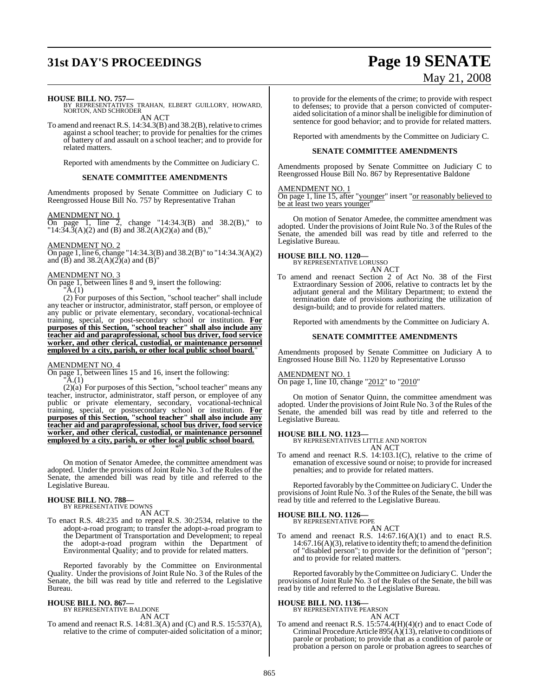# **31st DAY'S PROCEEDINGS Page 19 SENATE**

# May 21, 2008

**HOUSE BILL NO. 757—** BY REPRESENTATIVES TRAHAN, ELBERT GUILLORY, HOWARD, NORTON, AND SCHRODER AN ACT

To amend and reenact R.S.  $14:34.3(B)$  and  $38.2(B)$ , relative to crimes against a school teacher; to provide for penalties for the crimes of battery of and assault on a school teacher; and to provide for related matters.

Reported with amendments by the Committee on Judiciary C.

#### **SENATE COMMITTEE AMENDMENTS**

Amendments proposed by Senate Committee on Judiciary C to Reengrossed House Bill No. 757 by Representative Trahan

AMENDMENT NO. 1

On page 1, line 2, change "14:34.3(B) and 38.2(B)," to  $14:34.\overline{3}(A)(2)$  and (B) and  $38.\overline{2}(A)(2)(a)$  and (B),"

AMENDMENT NO. 2

On page 1, line 6, change "14:34.3(B) and 38.2(B)" to "14:34.3(A)(2) and  $(B)$  and  $38.2(A)(2)(a)$  and  $(B)$ "

#### AMENDMENT NO. 3

On page 1, between lines 8 and 9, insert the following:<br>"A.(1)  ${}^{\shortparallel}$ A.(1) \* \* \*

(2) For purposes of this Section, "school teacher" shall include any teacher or instructor, administrator, staff person, or employee of any public or private elementary, secondary, vocational-technical training, special, or post-secondary school or institution. **For purposes of this Section, "school teacher" shall also include any teacher aid and paraprofessional, school bus driver, food service worker, and other clerical, custodial, or maintenance personnel employed by a city, parish, or other local public school board.**"

#### AMENDMENT NO. 4

On page 1, between lines 15 and 16, insert the following:  $"A(1) \t\t * \t * \t * \t *$ 

 $(2)(a)$  For purposes of this Section, "school teacher" means any teacher, instructor, administrator, staff person, or employee of any public or private elementary, secondary, vocational-technical training, special, or postsecondary school or institution. **For purposes of this Section, "school teacher" shall also include any teacher aid and paraprofessional, school bus driver, food service worker, and other clerical, custodial, or maintenance personnel employed by a city, parish, or other local public school board.** \* \* \*"

On motion of Senator Amedee, the committee amendment was adopted. Under the provisions of Joint Rule No. 3 of the Rules of the Senate, the amended bill was read by title and referred to the Legislative Bureau.

#### **HOUSE BILL NO. 788—** BY REPRESENTATIVE DOWNS

AN ACT

To enact R.S. 48:235 and to repeal R.S. 30:2534, relative to the adopt-a-road program; to transfer the adopt-a-road program to the Department of Transportation and Development; to repeal the adopt-a-road program within the Department of Environmental Quality; and to provide for related matters.

Reported favorably by the Committee on Environmental Quality. Under the provisions of Joint Rule No. 3 of the Rules of the Senate, the bill was read by title and referred to the Legislative Bureau.

#### **HOUSE BILL NO. 867—** BY REPRESENTATIVE BALDONE

AN ACT

To amend and reenact R.S. 14:81.3(A) and (C) and R.S. 15:537(A), relative to the crime of computer-aided solicitation of a minor; to provide for the elements of the crime; to provide with respect to defenses; to provide that a person convicted of computeraided solicitation of a minorshall be ineligible for diminution of sentence for good behavior; and to provide for related matters.

Reported with amendments by the Committee on Judiciary C.

#### **SENATE COMMITTEE AMENDMENTS**

Amendments proposed by Senate Committee on Judiciary C to Reengrossed House Bill No. 867 by Representative Baldone

#### AMENDMENT NO. 1

On page 1, line 15, after "younger" insert "or reasonably believed to be at least two years younger"

On motion of Senator Amedee, the committee amendment was adopted. Under the provisions of Joint Rule No. 3 of the Rules of the Senate, the amended bill was read by title and referred to the Legislative Bureau.

#### **HOUSE BILL NO. 1120—**

BY REPRESENTATIVE LORUSSO AN ACT

To amend and reenact Section 2 of Act No. 38 of the First Extraordinary Session of 2006, relative to contracts let by the adjutant general and the Military Department; to extend the termination date of provisions authorizing the utilization of design-build; and to provide for related matters.

Reported with amendments by the Committee on Judiciary A.

#### **SENATE COMMITTEE AMENDMENTS**

Amendments proposed by Senate Committee on Judiciary A to Engrossed House Bill No. 1120 by Representative Lorusso

#### AMENDMENT NO. 1

On page 1, line 10, change "2012" to "2010"

On motion of Senator Quinn, the committee amendment was adopted. Under the provisions of Joint Rule No. 3 of the Rules of the Senate, the amended bill was read by title and referred to the Legislative Bureau.

#### **HOUSE BILL NO. 1123—**

BY REPRESENTATIVES LITTLE AND NORTON AN ACT

- To amend and reenact R.S. 14:103.1(C), relative to the crime of
- emanation of excessive sound or noise; to provide for increased penalties; and to provide for related matters.

Reported favorably by the Committee on JudiciaryC. Under the provisions of Joint Rule No. 3 of the Rules of the Senate, the bill was read by title and referred to the Legislative Bureau.

### **HOUSE BILL NO. 1126—** BY REPRESENTATIVE POPE

AN ACT

To amend and reenact R.S. 14:67.16(A)(1) and to enact R.S.  $14:67.16(A)(3)$ , relative to identity theft; to amend the definition of "disabled person"; to provide for the definition of "person"; and to provide for related matters.

Reported favorably by theCommittee on JudiciaryC. Under the provisions of Joint Rule No. 3 of the Rules of the Senate, the bill was read by title and referred to the Legislative Bureau.

#### **HOUSE BILL NO. 1136—** BY REPRESENTATIVE PEARSON

AN ACT

To amend and reenact R.S. 15:574.4(H)(4)(r) and to enact Code of Criminal Procedure Article  $895(\text{\AA})(13)$ , relative to conditions of parole or probation; to provide that as a condition of parole or probation a person on parole or probation agrees to searches of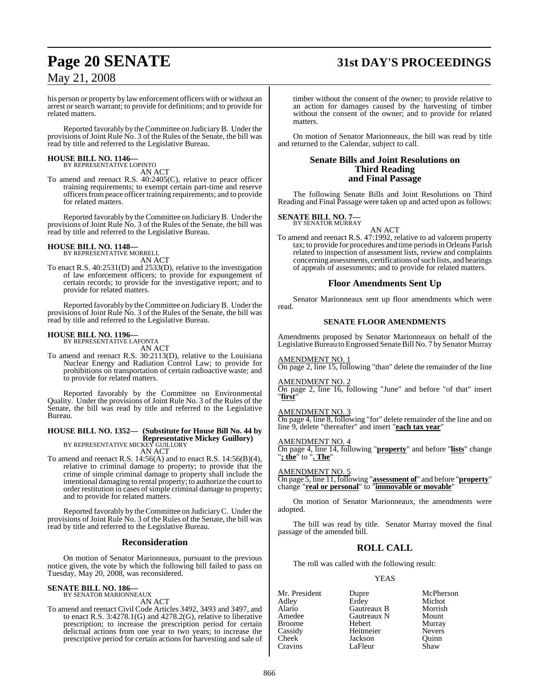# **Page 20 SENATE 31st DAY'S PROCEEDINGS**

### May 21, 2008

his person or property by law enforcement officers with or without an arrest orsearch warrant; to provide for definitions; and to provide for related matters.

Reported favorably by theCommittee on JudiciaryB. Under the provisions of Joint Rule No. 3 of the Rules of the Senate, the bill was read by title and referred to the Legislative Bureau.

# **HOUSE BILL NO. 1146—** BY REPRESENTATIVE LOPINTO

AN ACT

To amend and reenact R.S. 40:2405(C), relative to peace officer training requirements; to exempt certain part-time and reserve officersfrompeace officertraining requirements; and to provide for related matters.

Reported favorably by the Committee on JudiciaryB. Under the provisions of Joint Rule No. 3 of the Rules of the Senate, the bill was read by title and referred to the Legislative Bureau.

# **HOUSE BILL NO. 1148—** BY REPRESENTATIVE MORRELL

AN ACT

To enact R.S. 40:2531(D) and 2533(D), relative to the investigation of law enforcement officers; to provide for expungement of certain records; to provide for the investigative report; and to provide for related matters.

Reported favorably by theCommittee on JudiciaryB. Under the provisions of Joint Rule No. 3 of the Rules of the Senate, the bill was read by title and referred to the Legislative Bureau.

# **HOUSE BILL NO. 1196—** BY REPRESENTATIVE LAFONTA

AN ACT

To amend and reenact R.S. 30:2113(D), relative to the Louisiana Nuclear Energy and Radiation Control Law; to provide for prohibitions on transportation of certain radioactive waste; and to provide for related matters.

Reported favorably by the Committee on Environmental Quality. Under the provisions of Joint Rule No. 3 of the Rules of the Senate, the bill was read by title and referred to the Legislative Bureau.

### **HOUSE BILL NO. 1352— (Substitute for House Bill No. 44 by Representative Mickey Guillory)**<br>BY REPRESENTATIVE MICKEY GUILLORY

AN ACT

To amend and reenact R.S.  $14:56(A)$  and to enact R.S.  $14:56(B)(4)$ , relative to criminal damage to property; to provide that the crime of simple criminal damage to property shall include the intentional damaging to rental property; to authorize the court to order restitution in cases ofsimple criminal damage to property; and to provide for related matters.

Reported favorably by theCommittee on JudiciaryC. Under the provisions of Joint Rule No. 3 of the Rules of the Senate, the bill was read by title and referred to the Legislative Bureau.

### **Reconsideration**

On motion of Senator Marionneaux, pursuant to the previous notice given, the vote by which the following bill failed to pass on Tuesday, May 20, 2008, was reconsidered.

### **SENATE BILL NO. 186—** BY SENATOR MARIONNEAUX

AN ACT

To amend and reenact Civil Code Articles 3492, 3493 and 3497, and to enact R.S. 3:4278.1(G) and 4278.2(G), relative to liberative prescription; to increase the prescription period for certain delictual actions from one year to two years; to increase the prescriptive period for certain actions for harvesting and sale of timber without the consent of the owner; to provide relative to an action for damages caused by the harvesting of timber without the consent of the owner; and to provide for related matters.

On motion of Senator Marionneaux, the bill was read by title and returned to the Calendar, subject to call.

#### **Senate Bills and Joint Resolutions on Third Reading and Final Passage**

The following Senate Bills and Joint Resolutions on Third Reading and Final Passage were taken up and acted upon as follows:

### **SENATE BILL NO. 7—** BY SENATOR MURRAY

AN ACT

To amend and reenact R.S. 47:1992, relative to ad valorem property tax; to provide for procedures and time periodsin Orleans Parish related to inspection of assessment lists, review and complaints concerning assessments, certifications of such lists, and hearings of appeals of assessments; and to provide for related matters.

### **Floor Amendments Sent Up**

Senator Marionneaux sent up floor amendments which were read.

#### **SENATE FLOOR AMENDMENTS**

Amendments proposed by Senator Marionneaux on behalf of the Legislative Bureau to Engrossed Senate Bill No. 7 by Senator Murray

AMENDMENT NO. 1

On page 2, line 15, following "than" delete the remainder of the line

### AMENDMENT NO. 2

On page 2, line 16, following "June" and before "of that" insert "**first**"

#### <u>AMENDMENT NO. 3</u>

On page 4, line 8, following "for" delete remainder of the line and on line 9, delete "thereafter" and insert "**each tax year**"

#### AMENDMENT NO. 4

On page 4, line 14, following "**property**" and before "**lists**" change "**; the**" to "**. The**"

AMENDMENT NO. 5

On page 5, line 11, following "**assessment of**" and before "**property**" change "**real or personal**" to "**immovable or movable**"

On motion of Senator Marionneaux, the amendments were adopted.

The bill was read by title. Senator Murray moved the final passage of the amended bill.

### **ROLL CALL**

The roll was called with the following result:

YEAS

Mr. President Dupre McPherson<br>
Adley Erdey Michot Adley Erdey Michot Alario Gautreaux B Morrisl<br>Amedee Gautreaux N Mount Amedee Gautreaux N Mount Broome Hebert Murray<br>Cassidy Heitmeier Nevers Cassidy Heitmeier Nevers Cheek Jackson Quinn<br>Cravins LaFleur Shaw LaFleur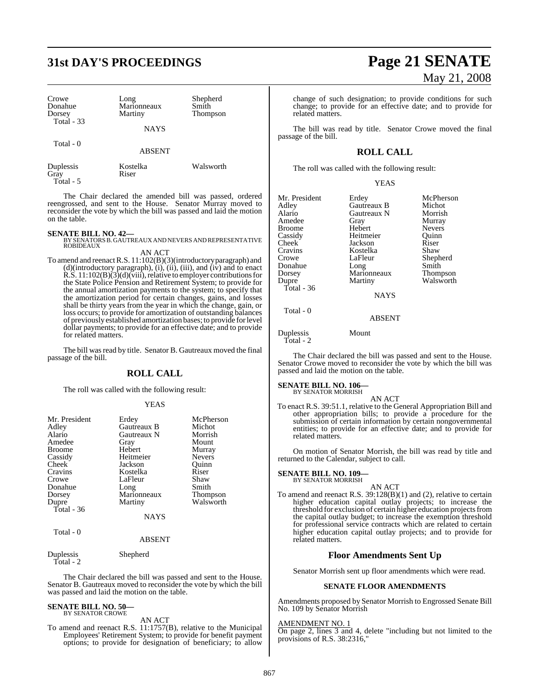## **31st DAY'S PROCEEDINGS Page 21 SENATE**

| Crowe<br>Donahue<br>Dorsey<br>Total - 33 | Long<br>Marionneaux<br>Martiny<br><b>NAYS</b> | Shepherd<br>Smith<br>Thompson |
|------------------------------------------|-----------------------------------------------|-------------------------------|
| Total $-0$                               | <b>ABSENT</b>                                 |                               |
| Duplessis<br>Gray                        | Kostelka<br>Riser                             | Walsworth                     |

The Chair declared the amended bill was passed, ordered reengrossed, and sent to the House. Senator Murray moved to reconsider the vote by which the bill was passed and laid the motion on the table.

Total - 5

**SENATE BILL NO. 42—**<br>BY SENATORS B. GAUTREAUX AND NEVERS AND REPRESENTATIVE<br>ROBIDEAUX AN ACT

To amend and reenactR.S. 11:102(B)(3)(introductory paragraph) and (d)(introductory paragraph), (i), (ii), (iii), and (iv) and to enact R.S.  $11:102(B)$  $(3)$  $(d)$  $(viii)$ , relative to employer contributions for the State Police Pension and Retirement System; to provide for the annual amortization payments to the system; to specify that the amortization period for certain changes, gains, and losses shall be thirty years from the year in which the change, gain, or loss occurs; to provide for amortization of outstanding balances of previously established amortization bases; to provide for level dollar payments; to provide for an effective date; and to provide for related matters.

The bill was read by title. Senator B. Gautreaux moved the final passage of the bill.

### **ROLL CALL**

The roll was called with the following result:

#### YEAS

| Mr. President | Erdey       | McPherson       |
|---------------|-------------|-----------------|
|               |             |                 |
| Adley         | Gautreaux B | Michot          |
| Alario        | Gautreaux N | Morrish         |
| Amedee        | Gray        | Mount           |
| <b>Broome</b> | Hebert      | Murray          |
| Cassidy       | Heitmeier   | <b>Nevers</b>   |
| Cheek         | Jackson     | Ouinn           |
| Cravins       | Kostelka    | Riser           |
| Crowe         | LaFleur     | Shaw            |
| Donahue       | Long        | Smith           |
| Dorsey        | Marionneaux | <b>Thompson</b> |
| Dupre         | Martiny     | Walsworth       |
| Total $-36$   |             |                 |
|               | <b>NAYS</b> |                 |
| Total - 0     |             |                 |
|               | ABSENT      |                 |

Duplessis Shepherd Total - 2

The Chair declared the bill was passed and sent to the House. Senator B. Gautreaux moved to reconsider the vote by which the bill was passed and laid the motion on the table.

#### **SENATE BILL NO. 50—** BY SENATOR CROWE

AN ACT

To amend and reenact R.S. 11:1757(B), relative to the Municipal Employees' Retirement System; to provide for benefit payment options; to provide for designation of beneficiary; to allow

# May 21, 2008

change of such designation; to provide conditions for such change; to provide for an effective date; and to provide for related matters.

The bill was read by title. Senator Crowe moved the final passage of the bill.

### **ROLL CALL**

The roll was called with the following result:

#### YEAS

| Mr. President<br>Adley<br>Alario<br>Amedee<br><b>Broome</b><br>Cassidy | Erdey<br>Gautreaux B<br>Gautreaux N<br>Gray<br>Hebert<br>Heitmeier | McPherson<br>Michot<br>Morrish<br>Murray<br><b>Nevers</b><br>Ouinn |
|------------------------------------------------------------------------|--------------------------------------------------------------------|--------------------------------------------------------------------|
| Cheek                                                                  | Jackson                                                            | Riser                                                              |
| Cravins                                                                | Kostelka                                                           | Shaw                                                               |
| Crowe                                                                  | LaFleur                                                            | Shepherd                                                           |
| Donahue                                                                | Long                                                               | Smith                                                              |
| Dorsey                                                                 | Marionneaux                                                        | Thompson                                                           |
| Dupre                                                                  | Martiny                                                            | Walsworth                                                          |
| Total - 36                                                             |                                                                    |                                                                    |
|                                                                        | <b>NAYS</b>                                                        |                                                                    |
| Total - 0                                                              | ABSENT                                                             |                                                                    |

Duplessis Mount Total - 2

The Chair declared the bill was passed and sent to the House. Senator Crowe moved to reconsider the vote by which the bill was passed and laid the motion on the table.

#### **SENATE BILL NO. 106—**

BY SENATOR MORRISH

AN ACT To enact R.S. 39:51.1, relative to the General Appropriation Bill and other appropriation bills; to provide a procedure for the submission of certain information by certain nongovernmental entities; to provide for an effective date; and to provide for related matters.

On motion of Senator Morrish, the bill was read by title and returned to the Calendar, subject to call.

### **SENATE BILL NO. 109—** BY SENATOR MORRISH

AN ACT To amend and reenact R.S. 39:128(B)(1) and (2), relative to certain higher education capital outlay projects; to increase the threshold for exclusion of certain higher education projects from the capital outlay budget; to increase the exemption threshold for professional service contracts which are related to certain higher education capital outlay projects; and to provide for related matters.

### **Floor Amendments Sent Up**

Senator Morrish sent up floor amendments which were read.

#### **SENATE FLOOR AMENDMENTS**

Amendments proposed by Senator Morrish to Engrossed Senate Bill No. 109 by Senator Morrish

#### AMENDMENT NO. 1

On page 2, lines 3 and 4, delete "including but not limited to the provisions of R.S. 38:2316,"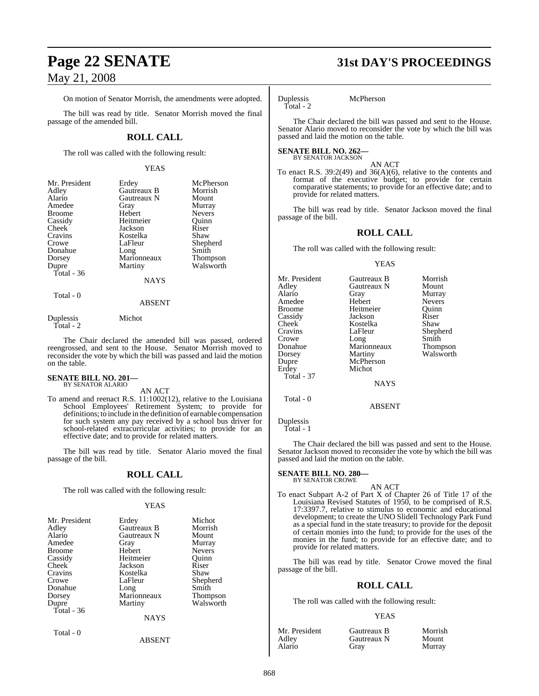### May 21, 2008

#### On motion of Senator Morrish, the amendments were adopted.

The bill was read by title. Senator Morrish moved the final passage of the amended bill.

#### **ROLL CALL**

The roll was called with the following result:

#### YEAS

| Mr. President | Erdey       | McPherson       |
|---------------|-------------|-----------------|
| Adley         | Gautreaux B | Morrish         |
| Alario        | Gautreaux N | Mount           |
| Amedee        | Gray        | Murray          |
| <b>Broome</b> | Hebert      | <b>Nevers</b>   |
| Cassidy       | Heitmeier   | Ouinn           |
| Cheek         | Jackson     | Riser           |
| Cravins       | Kostelka    | Shaw            |
| Crowe         | LaFleur     | Shepherd        |
| Donahue       | Long        | Smith           |
| Dorsey        | Marionneaux | <b>Thompson</b> |
| Dupre         | Martiny     | Walsworth       |
| Total - 36    |             |                 |
|               | NAYS        |                 |
|               |             |                 |

#### ABSENT

Duplessis Michot Total - 2

Total - 0

The Chair declared the amended bill was passed, ordered reengrossed, and sent to the House. Senator Morrish moved to reconsider the vote by which the bill was passed and laid the motion on the table.

#### **SENATE BILL NO. 201—** BY SENATOR ALARIO

AN ACT

To amend and reenact R.S. 11:1002(12), relative to the Louisiana School Employees' Retirement System; to provide for definitions; to include in the definition of earnable compensation for such system any pay received by a school bus driver for school-related extracurricular activities; to provide for an effective date; and to provide for related matters.

The bill was read by title. Senator Alario moved the final passage of the bill.

#### **ROLL CALL**

The roll was called with the following result:

#### YEAS

| Mr. President | Erdey       | Michot          |
|---------------|-------------|-----------------|
| Adley         | Gautreaux B | Morrish         |
| Alario        | Gautreaux N | Mount           |
| Amedee        | Gray        | Murray          |
| <b>Broome</b> | Hebert      | Nevers          |
| Cassidy       | Heitmeier   | Ouinn           |
| Cheek         | Jackson     | Riser           |
| Cravins       | Kostelka    | Shaw            |
| Crowe         | LaFleur     | Shepherd        |
| Donahue       | Long        | Smith           |
| Dorsey        | Marionneaux | <b>Thompson</b> |
| Dupre         | Martiny     | Walsworth       |
| Total - 36    |             |                 |
|               | <b>NAYS</b> |                 |
| Total - 0     |             |                 |

ABSENT

## **Page 22 SENATE 31st DAY'S PROCEEDINGS**

Duplessis McPherson Total - 2

The Chair declared the bill was passed and sent to the House. Senator Alario moved to reconsider the vote by which the bill was passed and laid the motion on the table.

#### **SENATE BILL NO. 262—** BY SENATOR JACKSON

AN ACT

To enact R.S. 39:2(49) and 36(A)(6), relative to the contents and format of the executive budget; to provide for certain comparative statements; to provide for an effective date; and to provide for related matters.

The bill was read by title. Senator Jackson moved the final passage of the bill.

#### **ROLL CALL**

The roll was called with the following result:

#### YEAS

| Mr. President     | Gautreaux B   | Morrish       |
|-------------------|---------------|---------------|
| Adlev             | Gautreaux N   | Mount         |
| Alario            | Gray          | Murray        |
| Amedee            | Hebert        | <b>Nevers</b> |
| Broome            | Heitmeier     | Quinn         |
| Cassidy           | Jackson       | Riser         |
| Cheek             | Kostelka      | Shaw          |
| Cravins           | LaFleur       | Shepherd      |
| Crowe             | Long          | Smith         |
| Donahue           | Marionneaux   | Thompson      |
| Dorsey            | Martiny       | Walsworth     |
| Dupre             | McPherson     |               |
| Erdey             | Michot        |               |
| <b>Total - 37</b> |               |               |
|                   | <b>NAYS</b>   |               |
| Total - 0         |               |               |
|                   | <b>ABSENT</b> |               |
|                   |               |               |

Duplessis Total - 1

The Chair declared the bill was passed and sent to the House. Senator Jackson moved to reconsider the vote by which the bill was passed and laid the motion on the table.

#### **SENATE BILL NO. 280—** BY SENATOR CROWE

AN ACT To enact Subpart A-2 of Part X of Chapter 26 of Title 17 of the Louisiana Revised Statutes of 1950, to be comprised of R.S. 17:3397.7, relative to stimulus to economic and educational development; to create the UNO Slidell Technology Park Fund as a special fund in the state treasury; to provide for the deposit of certain monies into the fund; to provide for the uses of the monies in the fund; to provide for an effective date; and to provide for related matters.

The bill was read by title. Senator Crowe moved the final passage of the bill.

#### **ROLL CALL**

The roll was called with the following result:

#### YEAS

| Mr. President | Gautreaux B | Morrish |
|---------------|-------------|---------|
| Adley         | Gautreaux N | Mount   |
| Alario        | Grav        | Murray  |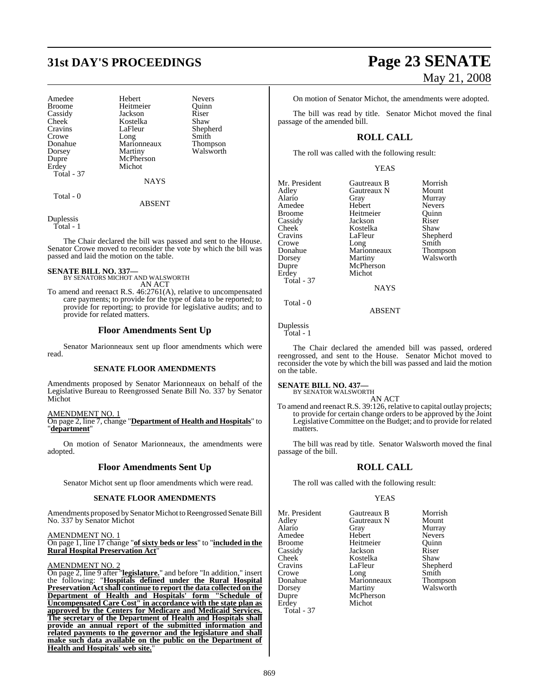# **31st DAY'S PROCEEDINGS Page 23 SENATE**

| Amedee        | Hebert      | <b>Nevers</b>   |
|---------------|-------------|-----------------|
| <b>Broome</b> | Heitmeier   | Ouinn           |
| Cassidy       | Jackson     | Riser           |
| Cheek         | Kostelka    | Shaw            |
| Cravins       | LaFleur     | Shepherd        |
| Crowe         | Long        | Smith           |
| Donahue       | Marionneaux | <b>Thompson</b> |
| Dorsey        | Martiny     | Walsworth       |
| Dupre         | McPherson   |                 |
| Erdey         | Michot      |                 |
| Total - 37    |             |                 |
|               | <b>NAYS</b> |                 |
| $Total = 0$   |             |                 |

ABSENT

Duplessis Total - 1

The Chair declared the bill was passed and sent to the House. Senator Crowe moved to reconsider the vote by which the bill was passed and laid the motion on the table.

#### **SENATE BILL NO. 337—**

BY SENATORS MICHOT AND WALSWORTH AN ACT

To amend and reenact R.S. 46:2761(A), relative to uncompensated care payments; to provide for the type of data to be reported; to provide for reporting; to provide for legislative audits; and to provide for related matters.

#### **Floor Amendments Sent Up**

Senator Marionneaux sent up floor amendments which were read.

#### **SENATE FLOOR AMENDMENTS**

Amendments proposed by Senator Marionneaux on behalf of the Legislative Bureau to Reengrossed Senate Bill No. 337 by Senator Michot

#### AMENDMENT NO. 1

On page 2, line 7, change "**Department of Health and Hospitals**" to "**department**"

On motion of Senator Marionneaux, the amendments were adopted.

#### **Floor Amendments Sent Up**

Senator Michot sent up floor amendments which were read.

#### **SENATE FLOOR AMENDMENTS**

Amendments proposed bySenator Michot to Reengrossed Senate Bill No. 337 by Senator Michot

AMENDMENT NO. 1

On page 1, line 17 change "**of sixty beds or less**" to "**included in the Rural Hospital Preservation Act**"

#### AMENDMENT NO. 2

On page 2, line 9 after "**legislature.**" and before "In addition," insert the following: "**Hospitals defined under the Rural Hospital Preservation Actshall continue to report the data collected on the Department of Health and Hospitals' form "Schedule of Uncompensated Care Cost" in accordance with the state plan as approved by the Centers for Medicare and Medicaid Services. The secretary of the Department of Health and Hospitals shall provide an annual report of the submitted information and related payments to the governor and the legislature and shall make such data available on the public on the Department of Health and Hospitals' web site.**"

# May 21, 2008

Morrish<br>Mount

**Murray** Nevers Quinn<br>Riser

Shepherd Smith Thompson Walsworth

On motion of Senator Michot, the amendments were adopted.

The bill was read by title. Senator Michot moved the final passage of the amended bill.

### **ROLL CALL**

The roll was called with the following result:

#### YEAS

| Gautreaux B | Morris |
|-------------|--------|
| Gautreaux N | Mount  |
| Gray        | Murray |
| Hebert      | Nevers |
| Heitmeier   | Ouinn  |
| Jackson     | Riser  |
| Kostelka    | Shaw   |
| LaFleur     | Shephe |
| Long        | Smith  |
| Marionneaux | Thomp  |
| Martiny     | Walsw  |
| McPherson   |        |
| Michot      |        |
|             |        |
| <b>NAYS</b> |        |
|             |        |

NAYS

ABSENT

Duplessis Total - 1

Total - 0

The Chair declared the amended bill was passed, ordered reengrossed, and sent to the House. Senator Michot moved to reconsider the vote by which the bill was passed and laid the motion on the table.

#### **SENATE BILL NO. 437—**

BY SENATOR WALSWORTH AN ACT

To amend and reenact R.S. 39:126, relative to capital outlay projects; to provide for certain change orders to be approved by the Joint Legislative Committee on the Budget; and to provide for related matters.

The bill was read by title. Senator Walsworth moved the final passage of the bill.

### **ROLL CALL**

The roll was called with the following result:

#### YEAS

Mr. President Gautreaux B Morrish<br>Adley Gautreaux N Mount Cassidy Dupre McPherson<br>Erdey Michot Total - 37

Adley Gautreaux N<br>Alario Gray Gray Murray<br>Hebert Nevers Amedee Hebert Nevers<br>Broome Heitmeier Ouinn Heitmeier Quinn<br>
Jackson Riser Cheek Kostelka Shaw<br>Cravins LaFleur Sheph Cravins LaFleur Shepherd Crowe Long Smith Donahue Marionneaux Thompson Dorsey Martiny Walsworth Michot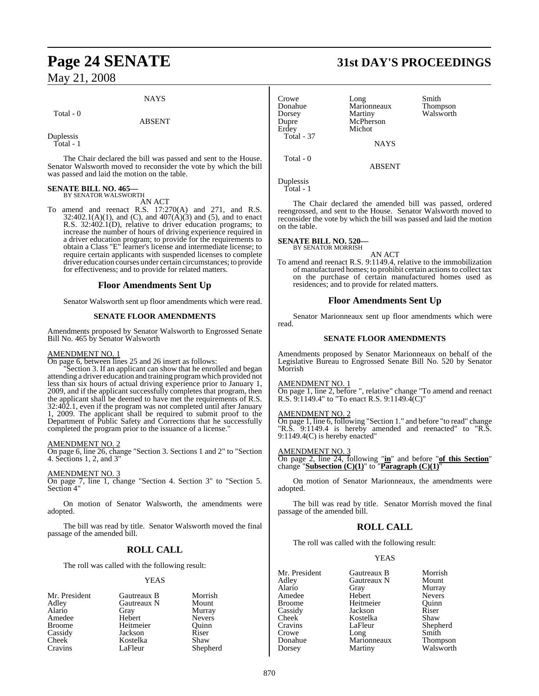### May 21, 2008

#### **NAYS**

Total - 0

#### ABSENT

Duplessis

Total - 1

The Chair declared the bill was passed and sent to the House. Senator Walsworth moved to reconsider the vote by which the bill was passed and laid the motion on the table.

# **SENATE BILL NO. 465—** BY SENATOR WALSWORTH

AN ACT

To amend and reenact R.S. 17:270(A) and 271, and R.S.  $32:402.1(A)(1)$ , and (C), and  $407(A)(3)$  and (5), and to enact R.S. 32:402.1(D), relative to driver education programs; to increase the number of hours of driving experience required in a driver education program; to provide for the requirements to obtain a Class "E" learner's license and intermediate license; to require certain applicants with suspended licenses to complete driver education courses under certain circumstances; to provide for effectiveness; and to provide for related matters.

#### **Floor Amendments Sent Up**

Senator Walsworth sent up floor amendments which were read.

#### **SENATE FLOOR AMENDMENTS**

Amendments proposed by Senator Walsworth to Engrossed Senate Bill No. 465 by Senator Walsworth

#### AMENDMENT NO. 1

On page 6, between lines 25 and 26 insert as follows:

"Section 3. If an applicant can show that he enrolled and began attending a driver education and training programwhich provided not less than six hours of actual driving experience prior to January 1, 2009, and if the applicant successfully completes that program, then the applicant shall be deemed to have met the requirements of R.S. 32:402.1, even if the program was not completed until after January 1, 2009. The applicant shall be required to submit proof to the Department of Public Safety and Corrections that he successfully completed the program prior to the issuance of a license."

#### AMENDMENT NO. 2

On page 6, line 26, change "Section 3. Sections 1 and 2" to "Section 4. Sections 1, 2, and 3"

#### AMENDMENT NO. 3

On page 7, line 1, change "Section 4. Section 3" to "Section 5. Section 4"

On motion of Senator Walsworth, the amendments were adopted.

The bill was read by title. Senator Walsworth moved the final passage of the amended bill.

### **ROLL CALL**

The roll was called with the following result:

#### YEAS

| Gautreaux B | Morrish       |
|-------------|---------------|
| Gautreaux N | Mount         |
| Gray        | Murray        |
| Hebert      | <b>Nevers</b> |
| Heitmeier   | Ouinn         |
| Jackson     | Riser         |
| Kostelka    | Shaw          |
| LaFleur     | Shepherd      |
|             |               |

## **Page 24 SENATE 31st DAY'S PROCEEDINGS**

Crowe Long Smith<br>Donahue Marionneaux Thompson Donahue Marionneaux<br>Dorsey Martiny Dorsey Martiny Walsworth<br>
Dunre McPherson Erdey Total - 37

McPherson<br>Michot

**NAYS** 

ABSENT

Duplessis Total - 1

Total - 0

The Chair declared the amended bill was passed, ordered reengrossed, and sent to the House. Senator Walsworth moved to reconsider the vote by which the bill was passed and laid the motion on the table.

#### **SENATE BILL NO. 520—**

BY SENATOR MORRISH

AN ACT To amend and reenact R.S. 9:1149.4, relative to the immobilization of manufactured homes; to prohibit certain actionsto collect tax on the purchase of certain manufactured homes used as residences; and to provide for related matters.

#### **Floor Amendments Sent Up**

Senator Marionneaux sent up floor amendments which were read.

#### **SENATE FLOOR AMENDMENTS**

Amendments proposed by Senator Marionneaux on behalf of the Legislative Bureau to Engrossed Senate Bill No. 520 by Senator Morrish

#### AMENDMENT NO. 1

On page 1, line 2, before ", relative" change "To amend and reenact R.S. 9:1149.4" to "To enact R.S. 9:1149.4(C)"

#### AMENDMENT NO. 2

On page 1, line 6, following "Section 1." and before "to read" change "R.S. 9:1149.4 is hereby amended and reenacted" to "R.S. 9:1149.4(C) is hereby enacted"

#### AMENDMENT NO. 3

On page 2, line 24, following "**in**" and before "**of this Section**" change "**Subsection (C)(1)**" to "**Paragraph (C)(1)**"

On motion of Senator Marionneaux, the amendments were adopted.

The bill was read by title. Senator Morrish moved the final passage of the amended bill.

### **ROLL CALL**

The roll was called with the following result:

#### YEAS

Mr. President Gautreaux B Morrish<br>Adley Gautreaux N Mount Adley Gautreaux N<br>Alario Gray Gray Murray<br>Hebert Nevers Amedee Hebert Nevers<br>Broome Heitmeier Quinn Broome Heitmeier Quinn Cassidy Jackson Riser Cheek Kostelka<br>Cravins LaFleur LaFleur Shepherd<br>Long Smith Crowe Long Smith Donahue Marionneaux<br>Dorsey Martiny Martiny Walsworth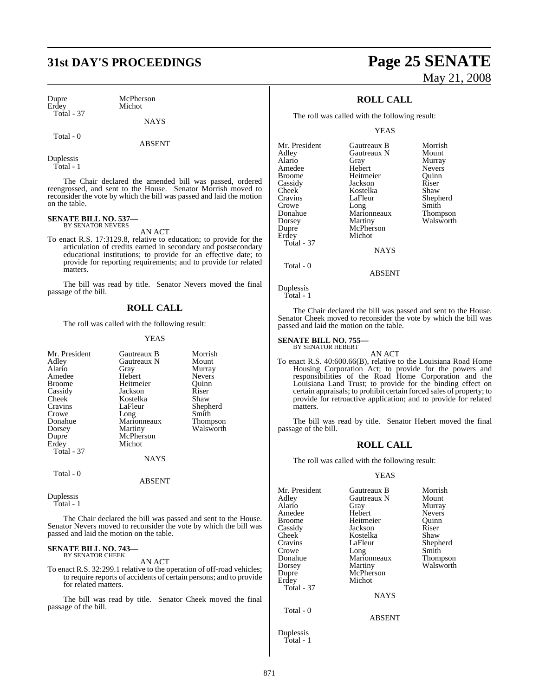Dupre McPherson<br>Erdey Michot Total - 37

Michot

Total - 0

**NAYS** 

ABSENT

Duplessis Total - 1

The Chair declared the amended bill was passed, ordered reengrossed, and sent to the House. Senator Morrish moved to reconsider the vote by which the bill was passed and laid the motion on the table.

### **SENATE BILL NO. 537—** BY SENATOR NEVERS

AN ACT

To enact R.S. 17:3129.8, relative to education; to provide for the articulation of credits earned in secondary and postsecondary educational institutions; to provide for an effective date; to provide for reporting requirements; and to provide for related matters.

The bill was read by title. Senator Nevers moved the final passage of the bill.

### **ROLL CALL**

The roll was called with the following result:

#### YEAS

|                   |             | Morrish         |
|-------------------|-------------|-----------------|
| Mr. President     | Gautreaux B |                 |
| Adley             | Gautreaux N | Mount           |
| Alario            | Gray        | Murray          |
| Amedee            | Hebert      | <b>Nevers</b>   |
| Broome            | Heitmeier   | Ouinn           |
| Cassidy           | Jackson     | Riser           |
| Cheek             | Kostelka    | Shaw            |
| Cravins           | LaFleur     | Shepherd        |
| Crowe             | Long        | Smith           |
| Donahue           | Marionneaux | <b>Thompson</b> |
| Dorsey            | Martiny     | Walsworth       |
| Dupre             | McPherson   |                 |
| Erdey             | Michot      |                 |
| <b>Total - 37</b> |             |                 |
|                   | <b>NAYS</b> |                 |
| Total - 0         |             |                 |

ABSENT

Duplessis Total - 1

The Chair declared the bill was passed and sent to the House. Senator Nevers moved to reconsider the vote by which the bill was passed and laid the motion on the table.

### **SENATE BILL NO. 743—** BY SENATOR CHEEK

AN ACT

To enact R.S. 32:299.1 relative to the operation of off-road vehicles; to require reports of accidents of certain persons; and to provide for related matters.

The bill was read by title. Senator Cheek moved the final passage of the bill.

# **31st DAY'S PROCEEDINGS Page 25 SENATE** May 21, 2008

### **ROLL CALL**

The roll was called with the following result:

YEAS

| Mr. President | Gautreaux B | Morrish         |
|---------------|-------------|-----------------|
| Adley         | Gautreaux N | Mount           |
| Alario        | Gray        | Murray          |
| Amedee        | Hebert      | <b>Nevers</b>   |
| Broome        | Heitmeier   | Ouinn           |
| Cassidy       | Jackson     | Riser           |
| Cheek         | Kostelka    | Shaw            |
| Cravins       | LaFleur     | Shepherd        |
| Crowe         | Long        | Smith           |
| Donahue       | Marionneaux | <b>Thompson</b> |
| Dorsey        | Martiny     | Walsworth       |
| Dupre         | McPherson   |                 |
| Erdey         | Michot      |                 |
| Total - 37    |             |                 |
|               | <b>NAYS</b> |                 |
|               |             |                 |

Total - 0

Duplessis

Total - 1

The Chair declared the bill was passed and sent to the House. Senator Cheek moved to reconsider the vote by which the bill was passed and laid the motion on the table.

ABSENT

#### **SENATE BILL NO. 755** BY SENATOR HEBERT

AN ACT To enact R.S. 40:600.66(B), relative to the Louisiana Road Home Housing Corporation Act; to provide for the powers and responsibilities of the Road Home Corporation and the Louisiana Land Trust; to provide for the binding effect on certain appraisals; to prohibit certain forced sales of property; to provide for retroactive application; and to provide for related matters.

The bill was read by title. Senator Hebert moved the final passage of the bill.

### **ROLL CALL**

The roll was called with the following result:

#### YEAS

| Mr. President      | Gautreaux B   | Morrish       |
|--------------------|---------------|---------------|
| Adley              | Gautreaux N   | Mount         |
| Alario             | Gray          | Murray        |
| Amedee             | Hebert        | <b>Nevers</b> |
| Broome             | Heitmeier     | Ouinn         |
| Cassidy            | Jackson       | Riser         |
| Cheek <sup>-</sup> | Kostelka      | Shaw          |
| Cravins            | LaFleur       | Shepherd      |
| Crowe              | Long          | Smith         |
| Donahue            | Marionneaux   | Thompson      |
| Dorsey             | Martiny       | Walsworth     |
| Dupre              | McPherson     |               |
| Erdey              | Michot        |               |
| <b>Total - 37</b>  |               |               |
|                    | <b>NAYS</b>   |               |
| Total - 0          |               |               |
|                    | <b>ABSENT</b> |               |
| $D$ unlaccic       |               |               |

Duplessis Total - 1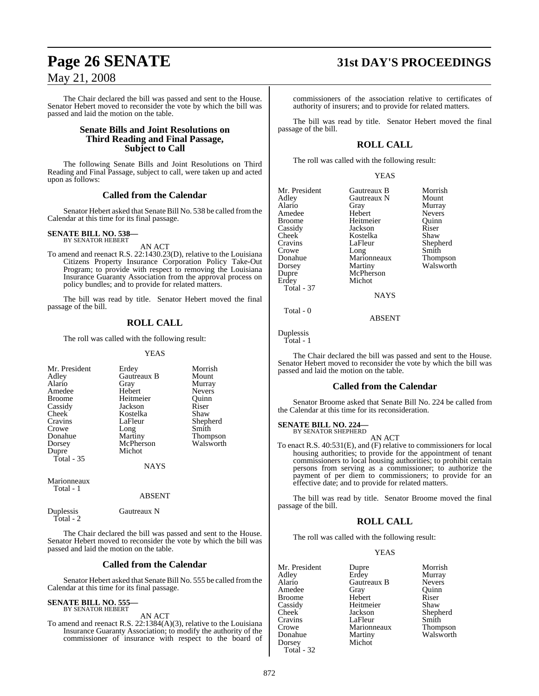### May 21, 2008

The Chair declared the bill was passed and sent to the House. Senator Hebert moved to reconsider the vote by which the bill was passed and laid the motion on the table.

### **Senate Bills and Joint Resolutions on Third Reading and Final Passage, Subject to Call**

The following Senate Bills and Joint Resolutions on Third Reading and Final Passage, subject to call, were taken up and acted upon as follows:

### **Called from the Calendar**

Senator Hebert asked that Senate Bill No. 538 be called from the Calendar at this time for its final passage.

### **SENATE BILL NO. 538—** BY SENATOR HEBERT

AN ACT

To amend and reenact R.S. 22:1430.23(D), relative to the Louisiana Citizens Property Insurance Corporation Policy Take-Out Program; to provide with respect to removing the Louisiana Insurance Guaranty Association from the approval process on policy bundles; and to provide for related matters.

The bill was read by title. Senator Hebert moved the final passage of the bill.

### **ROLL CALL**

The roll was called with the following result:

#### YEAS

| Mr. President<br>Adley<br>Alario<br>Amedee<br><b>Broome</b><br>Cassidy<br>Cheek<br>Cravins<br>Crowe<br>Donahue<br>Dorsey<br>Dupre<br>Total $-35$ | Erdey<br>Gautreaux B<br>Gray<br>Hebert<br>Heitmeier<br>Jackson<br>Kostelka<br>LaFleur<br>Long<br>Martiny<br>McPherson<br>Michot | Morrish<br>Mount<br>Murray<br>Nevers<br>Ouinn<br>Riser<br>Shaw<br>Shepherd<br>Smith<br><b>Thompson</b><br>Walsworth |
|--------------------------------------------------------------------------------------------------------------------------------------------------|---------------------------------------------------------------------------------------------------------------------------------|---------------------------------------------------------------------------------------------------------------------|
|                                                                                                                                                  | <b>NAYS</b>                                                                                                                     |                                                                                                                     |
| Marionneaux                                                                                                                                      |                                                                                                                                 |                                                                                                                     |

Total - 1

#### ABSENT

Duplessis Gautreaux N Total - 2

The Chair declared the bill was passed and sent to the House. Senator Hebert moved to reconsider the vote by which the bill was passed and laid the motion on the table.

### **Called from the Calendar**

Senator Hebert asked that Senate Bill No. 555 be called from the Calendar at this time for its final passage.

#### **SENATE BILL NO. 555** BY SENATOR HEBERT

AN ACT

To amend and reenact R.S. 22:1384(A)(3), relative to the Louisiana Insurance Guaranty Association; to modify the authority of the commissioner of insurance with respect to the board of

### **Page 26 SENATE 31st DAY'S PROCEEDINGS**

commissioners of the association relative to certificates of authority of insurers; and to provide for related matters.

The bill was read by title. Senator Hebert moved the final passage of the bill.

### **ROLL CALL**

The roll was called with the following result:

| Mr. President<br>Adley<br>Alario<br>Amedee<br><b>Broome</b><br>Cassidy<br>Cheek<br>Cravins<br>Crowe<br>Donahue<br>Dorsey<br>Dupre<br>Erdey<br><b>Total - 37</b> | Gautreaux B<br>Gautreaux N<br>Gray<br>Hebert<br>Heitmeier<br>Jackson<br>Kostelka<br>LaFleur<br>Long<br>Marionneaux<br>Martiny<br>McPherson<br>Michot | Morrish<br>Mount<br>Murray<br><b>Nevers</b><br>Ouinn<br>Riser<br>Shaw<br>Shepherd<br>Smith<br>Thompson<br>Walsworth |
|-----------------------------------------------------------------------------------------------------------------------------------------------------------------|------------------------------------------------------------------------------------------------------------------------------------------------------|---------------------------------------------------------------------------------------------------------------------|
|                                                                                                                                                                 | <b>NAYS</b>                                                                                                                                          |                                                                                                                     |
|                                                                                                                                                                 |                                                                                                                                                      |                                                                                                                     |

Total - 0

Duplessis Total - 1

The Chair declared the bill was passed and sent to the House. Senator Hebert moved to reconsider the vote by which the bill was passed and laid the motion on the table.

ABSENT

### **Called from the Calendar**

Senator Broome asked that Senate Bill No. 224 be called from the Calendar at this time for its reconsideration.

#### **SENATE BILL NO. 224—** BY SENATOR SHEPHERD

#### AN ACT

To enact R.S. 40:531(E), and (F) relative to commissioners for local housing authorities; to provide for the appointment of tenant commissioners to local housing authorities; to prohibit certain persons from serving as a commissioner; to authorize the payment of per diem to commissioners; to provide for an effective date; and to provide for related matters.

The bill was read by title. Senator Broome moved the final passage of the bill.

### **ROLL CALL**

The roll was called with the following result:

### YEAS

Mr. President Dupre Morrish<br>
Adley Erdey Murray Adley Erdey Murray Amedee Gray Broome Hebert Riser Cassidy Heitmeier<br>Cheek Jackson Cravins LaFleur Smith<br>Crowe Marionneaux Thompson Crowe Marionneaux<br>
Donahue Martiny Donahue Martiny Walsworth<br>Dorsey Michot Michot Total - 32

Gautreaux B Nevers<br>Gray Ouinn Shepherd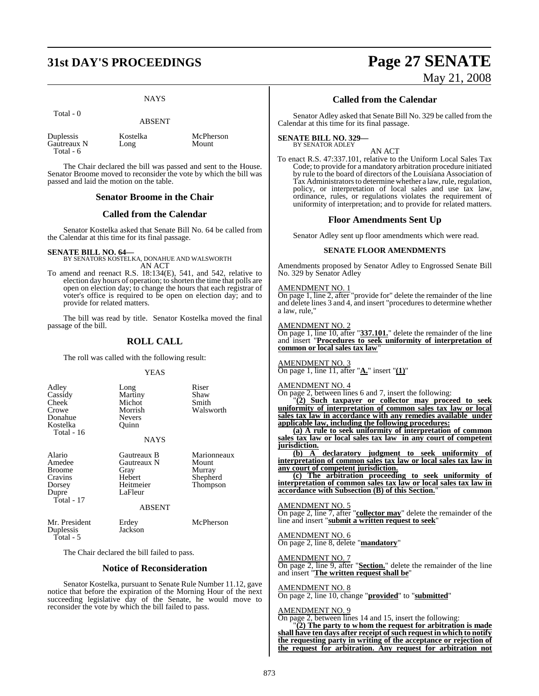### **31st DAY'S PROCEEDINGS Page 27 SENATE**

NAYS

Total - 0

#### ABSENT

| Duplessis   | Kostelka | McPherson |
|-------------|----------|-----------|
| Gautreaux N | Long     | Mount     |
| Total - 6   |          |           |

The Chair declared the bill was passed and sent to the House. Senator Broome moved to reconsider the vote by which the bill was passed and laid the motion on the table.

#### **Senator Broome in the Chair**

### **Called from the Calendar**

Senator Kostelka asked that Senate Bill No. 64 be called from the Calendar at this time for its final passage.

#### **SENATE BILL NO. 64—**

BY SENATORS KOSTELKA, DONAHUE AND WALSWORTH AN ACT

To amend and reenact R.S. 18:134(E), 541, and 542, relative to election day hours of operation; to shorten the time that polls are open on election day; to change the hours that each registrar of voter's office is required to be open on election day; and to provide for related matters.

The bill was read by title. Senator Kostelka moved the final passage of the bill.

### **ROLL CALL**

The roll was called with the following result:

#### YEAS

| Adley<br>Cassidy<br>Cheek<br>Crowe<br>Donahue<br>Kostelka<br>Total - 16       | Long<br>Martiny<br>Michot<br>Morrish<br><b>Nevers</b><br>Ouinn<br><b>NAYS</b>         | Riser<br>Shaw<br>Smith<br>Walsworth                    |
|-------------------------------------------------------------------------------|---------------------------------------------------------------------------------------|--------------------------------------------------------|
|                                                                               |                                                                                       |                                                        |
| Alario<br>Amedee<br><b>Broome</b><br>Cravins<br>Dorsey<br>Dupre<br>Total - 17 | Gautreaux B<br>Gautreaux N<br>Gray<br>Hebert<br>Heitmeier<br>LaFleur<br><b>ABSENT</b> | Marionneaux<br>Mount<br>Murray<br>Shepherd<br>Thompson |
| Mr. President<br>Duplessis<br>Total - 5                                       | Erdey<br>Jackson                                                                      | McPherson                                              |

The Chair declared the bill failed to pass.

#### **Notice of Reconsideration**

Senator Kostelka, pursuant to Senate Rule Number 11.12, gave notice that before the expiration of the Morning Hour of the next succeeding legislative day of the Senate, he would move to reconsider the vote by which the bill failed to pass.

# May 21, 2008

### **Called from the Calendar**

Senator Adley asked that Senate Bill No. 329 be called from the Calendar at this time for its final passage.

#### **SENATE BILL NO. 329—** BY SENATOR ADLEY

AN ACT

To enact R.S. 47:337.101, relative to the Uniform Local Sales Tax Code; to provide for a mandatory arbitration procedure initiated by rule to the board of directors of the Louisiana Association of Tax Administrators to determine whether a law, rule, regulation, policy, or interpretation of local sales and use tax law, ordinance, rules, or regulations violates the requirement of uniformity of interpretation; and to provide for related matters.

#### **Floor Amendments Sent Up**

Senator Adley sent up floor amendments which were read.

#### **SENATE FLOOR AMENDMENTS**

Amendments proposed by Senator Adley to Engrossed Senate Bill No. 329 by Senator Adley

#### AMENDMENT NO. 1

On page 1, line 2, after "provide for" delete the remainder of the line and delete lines 3 and 4, and insert "procedures to determine whether a law, rule,"

#### AMENDMENT NO. 2

On page 1, line 10, after "**337.101.**" delete the remainder of the line and insert "**Procedures to seek uniformity of interpretation of common or local sales tax law**"

### AMENDMENT NO. 3

On page 1, line 11, after "**A.**" insert "**(1)**"

#### AMENDMENT NO. 4

On page 2, between lines 6 and 7, insert the following:

"**(2) Such taxpayer or collector may proceed to seek uniformity of interpretation of common sales tax law or local sales tax law in accordance with any remedies available under applicable law, including the following procedures:**

**(a) A rule to seek uniformity of interpretation of common sales tax law or local sales tax law in any court of competent jurisdiction.**

**(b) A declaratory judgment to seek uniformity of interpretation of common sales tax law or local sales tax law in any court of competent jurisdiction.**

**(c) The arbitration proceeding to seek uniformity of interpretation of common sales tax law or local sales tax law in accordance with Subsection (B) of this Section.**"

#### AMENDMENT NO. 5

On page 2, line 7, after "**collector may**" delete the remainder of the line and insert "**submit a written request to seek**"

AMENDMENT NO. 6 On page 2, line 8, delete "**mandatory**"

#### AMENDMENT NO. 7

On page 2, line 9, after "**Section.**" delete the remainder of the line and insert "**The written request shall be**"

### AMENDMENT NO. 8

On page 2, line 10, change "**provided**" to "**submitted**"

#### AMENDMENT NO. 9

On page 2, between lines 14 and 15, insert the following: "**(2) The party to whom the request for arbitration is made shall have ten days after receipt ofsuch request in which to notify**

**the requesting party in writing of the acceptance or rejection of the request for arbitration. Any request for arbitration not**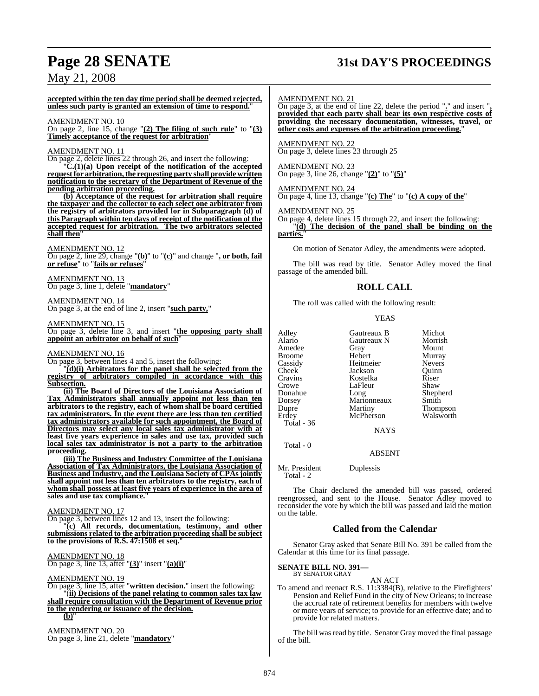### **Page 28 SENATE 31st DAY'S PROCEEDINGS**

### May 21, 2008

**accepted within the ten day time period shall be deemed rejected, unless such party is granted an extension of time to respond.**"

#### AMENDMENT NO. 10

On page 2, line 15, change "**(2) The filing of such rule**" to "**(3) Timely acceptance of the request for arbitration**"

#### AMENDMENT NO. 11

On page 2, delete lines 22 through 26, and insert the following:

"**C.(1)(a) Upon receipt of the notification of the accepted requestfor arbitration,the requesting party shall provide written notification to the secretary of the Department of Revenue of the pending arbitration proceeding.**

**(b) Acceptance of the request for arbitration shall require the taxpayer and the collector to each select one arbitrator from the registry of arbitrators provided for in Subparagraph (d) of this Paragraph within ten days of receipt of the notification of the accepted request for arbitration. The two arbitrators selected shall then**"

AMENDMENT NO. 12

On page 2, line 29, change "**(b)**" to "**(c)**" and change "**, or both, fail or refuse**" to "**fails or refuses**"

AMENDMENT NO. 13 On page 3, line 1, delete "**mandatory**"

#### AMENDMENT NO. 14 On page 3, at the end of line 2, insert "**such party,**"

AMENDMENT NO. 15

On page 3, delete line 3, and insert "**the opposing party shall appoint an arbitrator on behalf of such**"

#### AMENDMENT NO. 16

On page 3, between lines 4 and 5, insert the following:

"**(d)(i) Arbitrators for the panel shall be selected from the registry of arbitrators compiled in accordance with this Subsection.**

**(ii) The Board of Directors of the Louisiana Association of Tax Administrators shall annually appoint not less than ten arbitrators to the registry, each of whom shall be board certified tax administrators. In the event there are less than ten certified tax administrators available for such appointment, the Board of Directors may select any local sales tax administrator with at least five years experience in sales and use tax, provided such local sales tax administrator is not a party to the arbitration proceeding.**

**(iii) The Business and Industry Committee of the Louisiana Association of Tax Administrators, the Louisiana Association of Business and Industry, and the Louisiana Society of CPAsjointly shall appoint not less than ten arbitrators to the registry, each of whom shall possess at least five years of experience in the area of sales and use tax compliance.**"

#### AMENDMENT NO. 17

On page 3, between lines 12 and 13, insert the following:

"**(c) All records, documentation, testimony, and other submissions related to the arbitration proceeding shall be subject to the provisions of R.S. 47:1508 et seq.**"

### AMENDMENT NO. 18

On page 3, line 13, after "**(3)**" insert "**(a)(i)**"

#### AMENDMENT NO. 19

On page 3, line 15, after "**written decision.**" insert the following: "(**ii) Decisions of the panel relating to common sales tax law shall require consultation with the Department of Revenue prior to the rendering or issuance of the decision.** 

 $(b)$ 

AMENDMENT NO. 20 On page 3, line 21, delete "**mandatory**"

#### AMENDMENT NO. 21

On page 3, at the end of line 22, delete the period "**.**" and insert "**, provided that each party shall bear its own respective costs of providing the necessary documentation, witnesses, travel, or other costs and expenses of the arbitration proceeding.**"

AMENDMENT NO. 22 On page 3, delete lines 23 through 25

AMENDMENT NO. 23 On page 3, line 26, change "**(2)**" to "**(5)**"

AMENDMENT NO. 24

On page 4, line 13, change "**(c) The**" to "**(c) A copy of the**"

#### AMENDMENT NO. 25

On page 4, delete lines 15 through 22, and insert the following: "**(d) The decision of the panel shall be binding on the parties.**"

On motion of Senator Adley, the amendments were adopted.

The bill was read by title. Senator Adley moved the final passage of the amended bill.

#### **ROLL CALL**

The roll was called with the following result:

#### YEAS

|             | Michot                         |
|-------------|--------------------------------|
| Gautreaux N | Morrish                        |
| Gray        | Mount                          |
| Hebert      | Murray                         |
| Heitmeier   | <b>Nevers</b>                  |
| Jackson     | Ouinn                          |
| Kostelka    | Riser                          |
| LaFleur     | Shaw                           |
|             | Shepherd                       |
| Marionneaux | Smith                          |
|             | <b>Thompson</b>                |
| McPherson   | Walsworth                      |
|             |                                |
| NAYS        |                                |
|             | Gautreaux B<br>Long<br>Martiny |

Total - 0

ABSENT

Mr. President Duplessis Total - 2

The Chair declared the amended bill was passed, ordered reengrossed, and sent to the House. Senator Adley moved to reconsider the vote by which the bill was passed and laid the motion on the table.

#### **Called from the Calendar**

Senator Gray asked that Senate Bill No. 391 be called from the Calendar at this time for its final passage.

### **SENATE BILL NO. 391—** BY SENATOR GRAY

#### AN ACT

To amend and reenact R.S. 11:3384(B), relative to the Firefighters' Pension and Relief Fund in the city of New Orleans; to increase the accrual rate of retirement benefits for members with twelve or more years of service; to provide for an effective date; and to provide for related matters.

The bill was read by title. Senator Gray moved the final passage of the bill.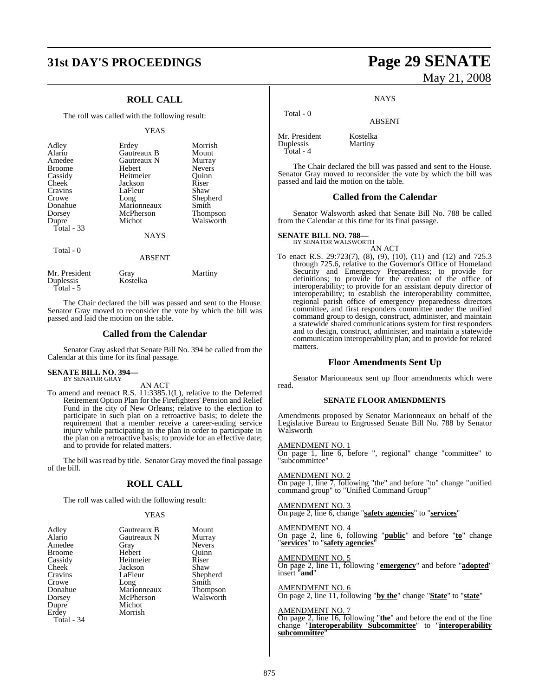### **31st DAY'S PROCEEDINGS Page 29 SENATE**

### **ROLL CALL**

The roll was called with the following result:

#### YEAS

| Adley<br>Alario<br>Amedee<br><b>Broome</b><br>Cassidy<br>Cheek<br>Cravins<br>Crowe<br>Donahue<br>Dorsey<br>Dupre<br>Total $-33$ | Erdey<br>Gautreaux B<br>Gautreaux N<br>Hebert<br>Heitmeier<br>Jackson<br>LaFleur<br>Long<br>Marionneaux<br>McPherson<br>Michot<br><b>NAYS</b> | Morrish<br>Mount<br>Murray<br><b>Nevers</b><br>Ouinn<br>Riser<br>Shaw<br>Shepherd<br>Smith<br>Thompson<br>Walsworth |
|---------------------------------------------------------------------------------------------------------------------------------|-----------------------------------------------------------------------------------------------------------------------------------------------|---------------------------------------------------------------------------------------------------------------------|
| Total - 0                                                                                                                       | <b>ABSENT</b>                                                                                                                                 |                                                                                                                     |
| Mr. President<br>Duplessis<br>Total - 5                                                                                         | Gray<br>Kostelka                                                                                                                              | Martiny                                                                                                             |

The Chair declared the bill was passed and sent to the House. Senator Gray moved to reconsider the vote by which the bill was passed and laid the motion on the table.

#### **Called from the Calendar**

Senator Gray asked that Senate Bill No. 394 be called from the Calendar at this time for its final passage.

#### **SENATE BILL NO. 394—** BY SENATOR GRAY

AN ACT

To amend and reenact R.S. 11:3385.1(L), relative to the Deferred Retirement Option Plan for the Firefighters' Pension and Relief Fund in the city of New Orleans; relative to the election to participate in such plan on a retroactive basis; to delete the requirement that a member receive a career-ending service injury while participating in the plan in order to participate in the plan on a retroactive basis; to provide for an effective date; and to provide for related matters.

The bill was read by title. Senator Gray moved the final passage of the bill.

### **ROLL CALL**

The roll was called with the following result:

#### YEAS

| Adley         | Gautreaux B | Mount         |
|---------------|-------------|---------------|
| Alario        | Gautreaux N | Murray        |
| Amedee        | Gray        | <b>Nevers</b> |
| <b>Broome</b> | Hebert      | Ouinn         |
| Cassidy       | Heitmeier   | Riser         |
| Cheek         | Jackson     | Shaw          |
| Cravins       | LaFleur     | Shepherd      |
| Crowe         | Long        | Smith         |
| Donahue       | Marionneaux | Thompson      |
| Dorsey        | McPherson   | Walsworth     |
| Dupre         | Michot      |               |
| Erdey         | Morrish     |               |
| Total - 34    |             |               |

# May 21, 2008

**NAYS** 

ABSENT

Mr. President Kostelka<br>Duplessis Martiny Duplessis Total - 4

Total - 0

The Chair declared the bill was passed and sent to the House. Senator Gray moved to reconsider the vote by which the bill was passed and laid the motion on the table.

#### **Called from the Calendar**

Senator Walsworth asked that Senate Bill No. 788 be called from the Calendar at this time for its final passage.

**SENATE BILL NO. 788—** BY SENATOR WALSWORTH

AN ACT

To enact R.S. 29:723(7), (8), (9), (10), (11) and (12) and 725.3 through 725.6, relative to the Governor's Office of Homeland Security and Emergency Preparedness; to provide for definitions; to provide for the creation of the office of interoperability; to provide for an assistant deputy director of interoperability; to establish the interoperability committee, regional parish office of emergency preparedness directors committee, and first responders committee under the unified command group to design, construct, administer, and maintain a statewide shared communications system for first responders and to design, construct, administer, and maintain a statewide communication interoperability plan; and to provide for related matters.

#### **Floor Amendments Sent Up**

Senator Marionneaux sent up floor amendments which were read.

#### **SENATE FLOOR AMENDMENTS**

Amendments proposed by Senator Marionneaux on behalf of the Legislative Bureau to Engrossed Senate Bill No. 788 by Senator Walsworth

AMENDMENT NO. 1 On page 1, line 6, before ", regional" change "committee" to "subcommittee"

AMENDMENT NO. 2 On page 1, line 7, following "the" and before "to" change "unified command group" to "Unified Command Group"

AMENDMENT NO. 3 On page 2, line 6, change "**safety agencies**" to "**services**"

AMENDMENT NO. 4

On page 2, line 6, following "**public**" and before "**to**" change "**services**" to "**safety agencies**"

AMENDMENT NO. 5

On page 2, line 11, following "**emergency**" and before "**adopted**" insert "**and**"

AMENDMENT NO. 6 On page 2, line 11, following "**by the**" change "**State**" to "**state**"

#### AMENDMENT NO. 7

On page 2, line 16, following "**the**" and before the end of the line change "**Interoperability Subcommittee**" to "**interoperability subcommittee**"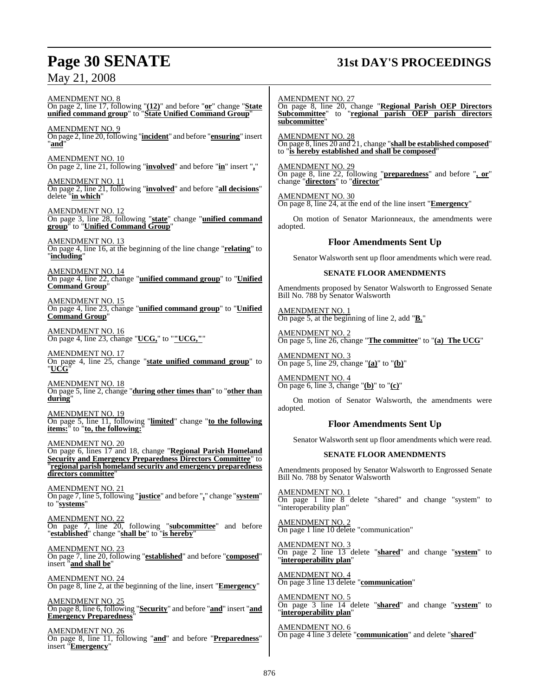### May 21, 2008

# **Page 30 SENATE 31st DAY'S PROCEEDINGS**

AMENDMENT NO. 8 On page 2, line 17, following "**(12)**" and before "**or**" change "**State unified command group**" to "**State Unified Command Group**" AMENDMENT NO. 9 On page 2, line 20,following "**incident**" and before "**ensuring**" insert "**and**" AMENDMENT NO. 10 On page 2, line 21, following "**involved**" and before "**in**" insert "**,**" AMENDMENT NO. 11 On page 2, line 21, following "**involved**" and before "**all decisions**" delete "**in which**" AMENDMENT NO. 12 On page 3, line 28, following "**state**" change "**unified command group**" to "**Unified Command Group**" AMENDMENT NO. 13 On page 4, line 16, at the beginning of the line change "**relating**" to "**including**" AMENDMENT NO. 14 On page 4, line 22, change "**unified command group**" to "**Unified Command Group**" AMENDMENT NO. 15 On page 4, line 23, change "**unified command group**" to "**Unified Command Group**" AMENDMENT NO. 16 On page 4, line 23, change "**UCG,**" to "**"UCG,"**" AMENDMENT NO. 17 On page 4, line 25, change "**state unified command group**" to "**UCG**" AMENDMENT NO. 18 On page 5, line 2, change "**during other times than**" to "**other than during**" AMENDMENT NO. 19 On page 5, line 11, following "**limited**" change "**to the following items:**" to "**to, the following:**" AMENDMENT NO. 20 On page 6, lines 17 and 18, change "**Regional Parish Homeland Security and Emergency Preparedness Directors Committee**" to "**regional parish homeland security and emergency preparedness directors committee**" AMENDMENT NO. 21 On page 7, line 5, following "**justice**" and before "**,**" change "**system**" to "**systems**" AMENDMENT NO. 22 On page 7, line 20, following "**subcommittee**" and before "**established**" change "**shall be**" to "**is hereby**" AMENDMENT NO. 23 On page 7, line 20, following "**established**" and before "**composed**" insert "**and shall be**" AMENDMENT NO. 24 On page 8, line 2, at the beginning of the line, insert "**Emergency**" AMENDMENT NO. 25 On page 8, line 6, following "**Security**" and before "**and**" insert "**and Emergency Preparedness**" AMENDMENT NO. 27 **subcommittee**" AMENDMENT NO. 28 AMENDMENT NO. 29 change "**directors**" to "**director**" AMENDMENT NO. 30 adopted. AMENDMENT NO. 1 AMENDMENT NO. 2 AMENDMENT NO. 3 AMENDMENT NO. 4 adopted. AMENDMENT NO. 1 "interoperability plan" AMENDMENT NO. 2 AMENDMENT NO. 3 "**interoperability plan**" AMENDMENT NO. 4 AMENDMENT NO. 5 "**interoperability plan**"

AMENDMENT NO. 26 On page 8, line 11, following "**and**" and before "**Preparedness**" insert "**Emergency**"

On page 8, line 20, change "**Regional Parish OEP Directors Subcommittee**" to "**regional parish OEP parish directors**

On page 8, lines 20 and 21, change "**shall be established composed**" to "**is hereby established and shall be composed**"

On page 8, line 22, following "**preparedness**" and before "**, or**"

On page 8, line 24, at the end of the line insert "**Emergency**"

On motion of Senator Marionneaux, the amendments were

### **Floor Amendments Sent Up**

Senator Walsworth sent up floor amendments which were read.

#### **SENATE FLOOR AMENDMENTS**

Amendments proposed by Senator Walsworth to Engrossed Senate Bill No. 788 by Senator Walsworth

On page 5, at the beginning of line 2, add "**B.**"

On page 5, line 26, change "**The committee**" to "**(a) The UCG**"

On page 5, line 29, change "**(a)**" to "**(b)**"

On page 6, line 3, change "**(b)**" to "**(c)**"

On motion of Senator Walsworth, the amendments were

### **Floor Amendments Sent Up**

Senator Walsworth sent up floor amendments which were read.

### **SENATE FLOOR AMENDMENTS**

Amendments proposed by Senator Walsworth to Engrossed Senate Bill No. 788 by Senator Walsworth

On page 1 line 8 delete "shared" and change "system" to

On page 1 line 10 delete "communication"

On page 2 line 13 delete "**shared**" and change "**system**" to

On page 3 line 13 delete "**communication**"

On page 3 line 14 delete "**shared**" and change "**system**" to

AMENDMENT NO. 6 On page 4 line 3 delete "**communication**" and delete "**shared**"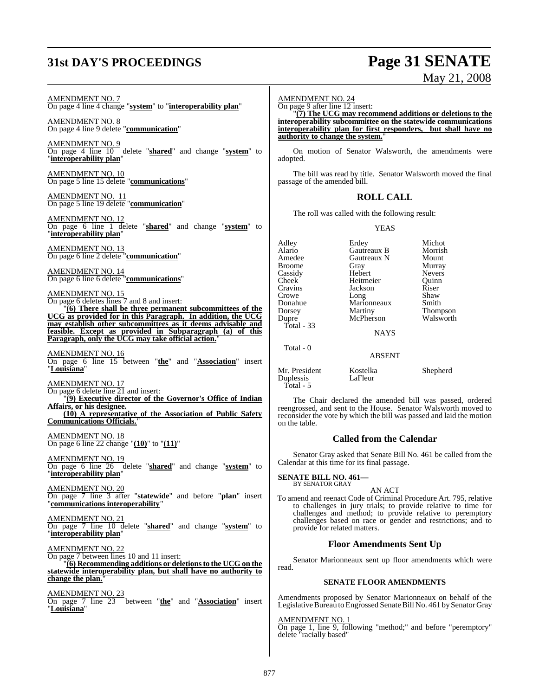## **31st DAY'S PROCEEDINGS Page 31 SENATE**

# May 21, 2008

AMENDMENT NO. 7 On page 4 line 4 change "**system**" to "**interoperability plan**"

AMENDMENT NO. 8 On page 4 line 9 delete "**communication**"

AMENDMENT NO. 9 On page 4 line 10 delete "**shared**" and change "**system**" to "**interoperability plan**"

AMENDMENT NO. 10 On page 5 line 15 delete "**communications**"

AMENDMENT NO. 11 On page 5 line 19 delete "**communication**"

AMENDMENT NO. 12 On page 6 line 1 delete "**shared**" and change "**system**" to "**interoperability plan**"

AMENDMENT NO. 13 On page 6 line 2 delete "**communication**"

AMENDMENT NO. 14 On page 6 line 6 delete "**communications**"

AMENDMENT NO. 15

On page 6 deletes lines 7 and 8 and insert: "**(6) There shall be three permanent subcommittees of the UCG as provided for in this Paragraph. In addition, the UCG may establish other subcommittees as it deems advisable and feasible. Except as provided in Subparagraph (a) of this Paragraph, only the UCG may take official action.**"

AMENDMENT NO. 16 On page 6 line 15 between "**the**" and "**Association**" insert "**Louisiana**"

AMENDMENT NO. 17 On page 6 delete line 21 and insert: "**(9) Executive director of the Governor's Office of Indian**

**Affairs, or his designee. (10) A representative of the Association of Public Safety Communications Officials.**"

AMENDMENT NO. 18 On page 6 line 22 change "**(10)**" to "**(11)**"

AMENDMENT NO. 19 On page 6 line 26 delete "**shared**" and change "**system**" to "**interoperability plan**"

AMENDMENT NO. 20 On page 7 line 3 after "**statewide**" and before "**plan**" insert "**communications interoperability**"

AMENDMENT NO. 21 On page 7 line 10 delete "**shared**" and change "**system**" to "**interoperability plan**"

AMENDMENT NO. 22 On page 7 between lines 10 and 11 insert: "**(6) Recommending additions or deletionsto the UCG on the statewide interoperability plan, but shall have no authority to change the plan.**"

AMENDMENT NO. 23 On page 7 line 23 between "**the**" and "**Association**" insert "**Louisiana**"

```
AMENDMENT NO. 24
```
On page 9 after line 12 insert:

"**(7) The UCG may recommend additions or deletions to the interoperability subcommittee on the statewide communications interoperability plan for first responders, but shall have no authority to change the system.**"

On motion of Senator Walsworth, the amendments were adopted.

The bill was read by title. Senator Walsworth moved the final passage of the amended bill.

### **ROLL CALL**

The roll was called with the following result:

YEAS

| Adley<br>Alario<br>Amedee<br>Broome<br>Cassidy<br>Cheek<br>Cravins<br>Crowe<br>Donahue<br>Dorsey<br>Dupre<br>Total - 33 | Erdey<br><b>Gautreaux B</b><br>Gautreaux N<br>Gray<br>Hebert<br>Heitmeier<br>Jackson<br>Long<br>Marionneaux<br>Martiny<br>McPherson<br><b>NAYS</b> | Michot<br>Morrish<br>Mount<br>Murray<br><b>Nevers</b><br>Ouinn<br>Riser<br>Shaw<br>Smith<br>Thompson<br>Walsworth |
|-------------------------------------------------------------------------------------------------------------------------|----------------------------------------------------------------------------------------------------------------------------------------------------|-------------------------------------------------------------------------------------------------------------------|
| Total - 0                                                                                                               | <b>ABSENT</b>                                                                                                                                      |                                                                                                                   |
|                                                                                                                         |                                                                                                                                                    |                                                                                                                   |

Duplessis Total - 5

Mr. President Kostelka Shepherd<br>
Duplessis LaFleur

The Chair declared the amended bill was passed, ordered reengrossed, and sent to the House. Senator Walsworth moved to reconsider the vote by which the bill was passed and laid the motion on the table.

#### **Called from the Calendar**

Senator Gray asked that Senate Bill No. 461 be called from the Calendar at this time for its final passage.

**SENATE BILL NO. 461—** BY SENATOR GRAY

#### AN ACT

To amend and reenact Code of Criminal Procedure Art. 795, relative to challenges in jury trials; to provide relative to time for challenges and method; to provide relative to peremptory challenges based on race or gender and restrictions; and to provide for related matters.

#### **Floor Amendments Sent Up**

Senator Marionneaux sent up floor amendments which were read.

#### **SENATE FLOOR AMENDMENTS**

Amendments proposed by Senator Marionneaux on behalf of the Legislative Bureau to Engrossed Senate Bill No. 461 by Senator Gray

AMENDMENT NO. 1

On page 1, line 9, following "method;" and before "peremptory" delete "racially based"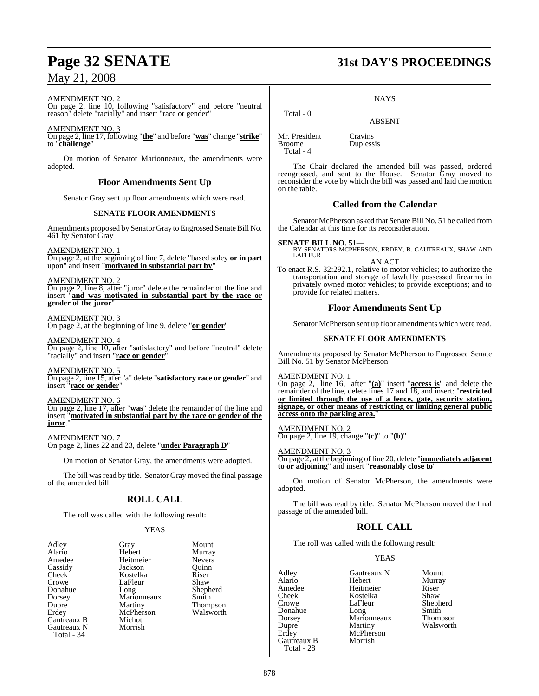### May 21, 2008

#### AMENDMENT NO. 2

On page 2, line 10, following "satisfactory" and before "neutral reason" delete "racially" and insert "race or gender"

#### AMENDMENT NO. 3

On page 2, line 17, following "**the**" and before "**was**" change "**strike**" to "**challenge**"

On motion of Senator Marionneaux, the amendments were adopted.

### **Floor Amendments Sent Up**

Senator Gray sent up floor amendments which were read.

### **SENATE FLOOR AMENDMENTS**

Amendments proposed by Senator Gray to Engrossed Senate Bill No. 461 by Senator Gray

AMENDMENT NO. 1

On page 2, at the beginning of line 7, delete "based soley **or in part** upon" and insert "**motivated in substantial part by**"

#### AMENDMENT NO. 2

On page 2, line 8, after "juror" delete the remainder of the line and insert "**and was motivated in substantial part by the race or gender of the juror**"

AMENDMENT NO. 3 On page 2, at the beginning of line 9, delete "**or gender**"

AMENDMENT NO. 4 On page 2, line 10, after "satisfactory" and before "neutral" delete "racially" and insert "**race or gender**"

AMENDMENT NO. 5 On page 2, line 15, afer "a" delete "**satisfactory race or gender**" and insert "**race or gender**"

#### AMENDMENT NO. 6

On page 2, line 17, after "**was**" delete the remainder of the line and insert "**motivated in substantial part by the race or gender of the juror**.

AMENDMENT NO. 7 On page 2, lines 22 and 23, delete "**under Paragraph D**"

On motion of Senator Gray, the amendments were adopted.

The bill was read by title. Senator Gray moved the final passage of the amended bill.

### **ROLL CALL**

The roll was called with the following result:

#### YEAS

| Adley       | Gray        | Mount         |
|-------------|-------------|---------------|
| Alario      | Hebert      | Murray        |
| Amedee      | Heitmeier   | <b>Nevers</b> |
| Cassidy     | Jackson     | Ouinn         |
| Cheek       | Kostelka    | Riser         |
| Crowe       | LaFleur     | Shaw          |
| Donahue     | Long        | Shephe        |
| Dorsey      | Marionneaux | Smith         |
| Dupre       | Martiny     | Thomp         |
| Erdey       | McPherson   | Walsw         |
| Gautreaux B | Michot      |               |
| Gautreaux N | Morrish     |               |
| Total - 34  |             |               |
|             |             |               |

Murray<br>Nevers Shepherd Thompson<br>Walsworth

# **Page 32 SENATE 31st DAY'S PROCEEDINGS**

#### **NAYS**

ABSENT

Mr. President Cravins<br>Broome Dupless Total - 4

Total - 0

Duplessis

The Chair declared the amended bill was passed, ordered reengrossed, and sent to the House. Senator Gray moved to reconsider the vote by which the bill was passed and laid the motion on the table.

### **Called from the Calendar**

Senator McPherson asked that Senate Bill No. 51 be called from the Calendar at this time for its reconsideration.

### **SENATE BILL NO. 51—** BY SENATORS MCPHERSON, ERDEY, B. GAUTREAUX, SHAW AND LAFLEUR

AN ACT

To enact R.S. 32:292.1, relative to motor vehicles; to authorize the transportation and storage of lawfully possessed firearms in privately owned motor vehicles; to provide exceptions; and to provide for related matters.

### **Floor Amendments Sent Up**

Senator McPherson sent up floor amendments which were read.

#### **SENATE FLOOR AMENDMENTS**

Amendments proposed by Senator McPherson to Engrossed Senate Bill No. 51 by Senator McPherson

AMENDMENT NO. 1

On page 2, line 16, after "**(a)**" insert "**access is**" and delete the remainder of the line, delete lines 17 and 18, and insert: "**restricted or limited through the use of a fence, gate, security station, signage, or other means of restricting or limiting general public access onto the parking area.**"

AMENDMENT NO. 2 On page 2, line 19, change "**(c)**" to "**(b)**"

#### AMENDMENT NO. 3

On page 2, at the beginning of line 20, delete "**immediately adjacent to or adjoining**" and insert "**reasonably close to**"

On motion of Senator McPherson, the amendments were adopted.

The bill was read by title. Senator McPherson moved the final passage of the amended bill.

### **ROLL CALL**

The roll was called with the following result:

### YEAS

Adley Gautreaux N Mount Amedee Heitmeier<br>Cheek Kostelka Gautreaux B Total - 28

Alario Hebert Murray Cheek Kostelka Shaw LaFleur<br>Long Donahue Long Smith<br>Dorsey Marionneaux Thompson Dorsey Marionneaux<br>
Dupre Martiny Dupre Martiny Walsworth<br>
Erdey McPherson McPherson<br>Morrish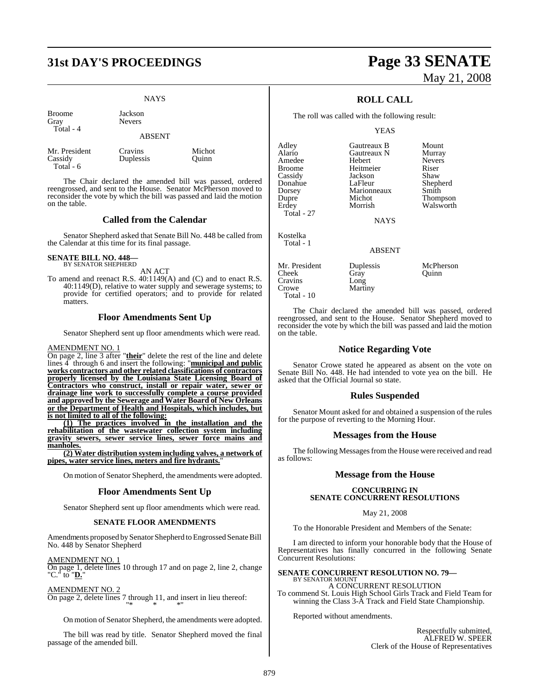## **31st DAY'S PROCEEDINGS Page 33 SENATE**

### **NAYS**

Broome Jackson Gray Nevers Total - 4

### ABSENT

Cassidy Duplessis Quinn Total - 6

Mr. President Cravins Michot

The Chair declared the amended bill was passed, ordered reengrossed, and sent to the House. Senator McPherson moved to reconsider the vote by which the bill was passed and laid the motion on the table.

### **Called from the Calendar**

Senator Shepherd asked that Senate Bill No. 448 be called from the Calendar at this time for its final passage.

#### **SENATE BILL NO. 448—** BY SENATOR SHEPHERD

AN ACT

To amend and reenact R.S. 40:1149(A) and (C) and to enact R.S. 40:1149(D), relative to water supply and sewerage systems; to provide for certified operators; and to provide for related matters.

### **Floor Amendments Sent Up**

Senator Shepherd sent up floor amendments which were read.

#### AMENDMENT NO. 1

On page 2, line 3 after "**their**" delete the rest of the line and delete lines 4 through 6 and insert the following: "**municipal and public works contractors and other related classifications of contractors properly licensed by the Louisiana State Licensing Board of Contractors who construct, install or repair water, sewer or drainage line work to successfully complete a course provided and approved by the Sewerage and Water Board of New Orleans or the Department of Health and Hospitals, which includes, but is not limited to all of the following:**

**(1) The practices involved in the installation and the rehabilitation of the wastewater collection system including gravity sewers, sewer service lines, sewer force mains and manholes.**

**(2) Water distribution system including valves, a network of pipes, water service lines, meters and fire hydrants.**"

On motion of Senator Shepherd, the amendments were adopted.

#### **Floor Amendments Sent Up**

Senator Shepherd sent up floor amendments which were read.

#### **SENATE FLOOR AMENDMENTS**

Amendments proposed by Senator Shepherd to Engrossed Senate Bill No. 448 by Senator Shepherd

#### AMENDMENT NO. 1

On page 1, delete lines 10 through 17 and on page 2, line 2, change "C." to "**D.**"

#### AMENDMENT NO. 2

On page 2, delete lines 7 through 11, and insert in lieu thereof: "\* \* \*"

On motion of Senator Shepherd, the amendments were adopted.

The bill was read by title. Senator Shepherd moved the final passage of the amended bill.

# May 21, 2008

### **ROLL CALL**

The roll was called with the following result:

Marionneaux<br>Michot

**NAYS** 

#### YEAS

**A** Gautreaux N Murray<br> **Hebert** Nevers

Adley Gautreaux B Mount Amedee Hebert Nevers Broome Heitmeier Riser<br>Cassidy Jackson Shaw Cassidy Jackson<br>Donahue LaFleur Donahue LaFleur Shepherd<br>Dorsey Marionneaux Smith Dupre Michot Thompson<br>Erdey Morrish Walsworth Total - 27 Kostelka

Cravins<br>Crowe

Total - 10

Total - 1

Cheek Gray<br>Cravins Long

ABSENT

Martiny

Mr. President Duplessis McPherson<br>Cheek Gray Quinn

Walsworth

The Chair declared the amended bill was passed, ordered reengrossed, and sent to the House. Senator Shepherd moved to reconsider the vote by which the bill was passed and laid the motion on the table.

### **Notice Regarding Vote**

Senator Crowe stated he appeared as absent on the vote on Senate Bill No. 448. He had intended to vote yea on the bill. He asked that the Official Journal so state.

### **Rules Suspended**

Senator Mount asked for and obtained a suspension of the rules for the purpose of reverting to the Morning Hour.

### **Messages from the House**

The following Messages from the House were received and read as follows:

### **Message from the House**

#### **CONCURRING IN SENATE CONCURRENT RESOLUTIONS**

#### May 21, 2008

To the Honorable President and Members of the Senate:

I am directed to inform your honorable body that the House of Representatives has finally concurred in the following Senate Concurrent Resolutions:

### **SENATE CONCURRENT RESOLUTION NO. 79—**

BY SENATOR MOUNT A CONCURRENT RESOLUTION

To commend St. Louis High School Girls Track and Field Team for winning the Class 3-A Track and Field State Championship.

Reported without amendments.

Respectfully submitted, ALFRED W. SPEER Clerk of the House of Representatives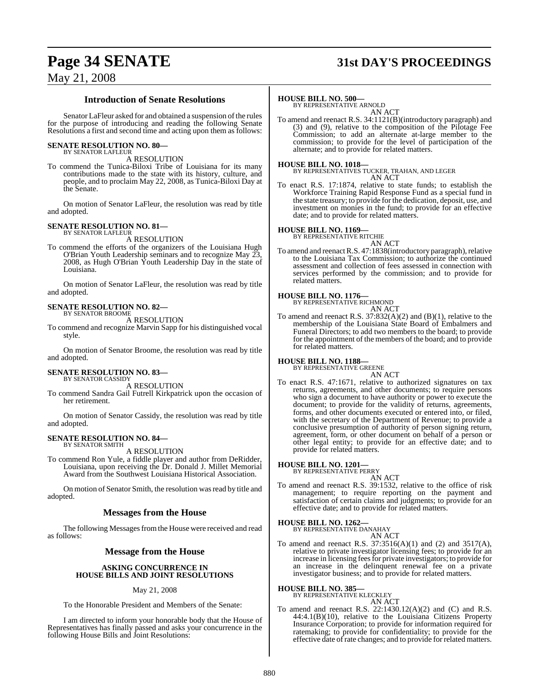## **Page 34 SENATE 31st DAY'S PROCEEDINGS**

### May 21, 2008

#### **Introduction of Senate Resolutions**

Senator LaFleur asked for and obtained a suspension of the rules for the purpose of introducing and reading the following Senate Resolutions a first and second time and acting upon them as follows:

#### **SENATE RESOLUTION NO. 80—** BY SENATOR LAFLEUR

A RESOLUTION

To commend the Tunica-Biloxi Tribe of Louisiana for its many contributions made to the state with its history, culture, and people, and to proclaim May 22, 2008, as Tunica-Biloxi Day at the Senate.

On motion of Senator LaFleur, the resolution was read by title and adopted.

#### **SENATE RESOLUTION NO. 81—** BY SENATOR LAFLEUR

A RESOLUTION

To commend the efforts of the organizers of the Louisiana Hugh O'Brian Youth Leadership seminars and to recognize May 23, 2008, as Hugh O'Brian Youth Leadership Day in the state of Louisiana.

On motion of Senator LaFleur, the resolution was read by title and adopted.

## **SENATE RESOLUTION NO. 82—** BY SENATOR BROOME

A RESOLUTION

To commend and recognize Marvin Sapp for his distinguished vocal style.

On motion of Senator Broome, the resolution was read by title and adopted.

#### **SENATE RESOLUTION NO. 83—** BY SENATOR CASSIDY

A RESOLUTION

To commend Sandra Gail Futrell Kirkpatrick upon the occasion of her retirement.

On motion of Senator Cassidy, the resolution was read by title and adopted.

#### **SENATE RESOLUTION NO. 84—** BY SENATOR SMITH

A RESOLUTION

To commend Ron Yule, a fiddle player and author from DeRidder, Louisiana, upon receiving the Dr. Donald J. Millet Memorial Award from the Southwest Louisiana Historical Association.

On motion of Senator Smith, the resolution was read by title and adopted.

#### **Messages from the House**

The following Messages from the House were received and read as follows:

#### **Message from the House**

#### **ASKING CONCURRENCE IN HOUSE BILLS AND JOINT RESOLUTIONS**

#### May 21, 2008

To the Honorable President and Members of the Senate:

I am directed to inform your honorable body that the House of Representatives has finally passed and asks your concurrence in the following House Bills and Joint Resolutions:

#### **HOUSE BILL NO. 500—**

BY REPRESENTATIVE ARNOLD AN ACT

To amend and reenact R.S. 34:1121(B)(introductory paragraph) and (3) and (9), relative to the composition of the Pilotage Fee Commission; to add an alternate at-large member to the commission; to provide for the level of participation of the alternate; and to provide for related matters.

#### **HOUSE BILL NO. 1018—**

BY REPRESENTATIVES TUCKER, TRAHAN, AND LEGER AN ACT

To enact R.S. 17:1874, relative to state funds; to establish the Workforce Training Rapid Response Fund as a special fund in the state treasury; to provide for the dedication, deposit, use, and investment on monies in the fund; to provide for an effective date; and to provide for related matters.

### **HOUSE BILL NO. 1169—** BY REPRESENTATIVE RITCHIE

AN ACT

To amend and reenact R.S. 47:1838(introductory paragraph), relative to the Louisiana Tax Commission; to authorize the continued assessment and collection of fees assessed in connection with services performed by the commission; and to provide for related matters.

#### **HOUSE BILL NO. 1176—**

BY REPRESENTATIVE RICHMOND AN ACT

To amend and reenact R.S. 37:832(A)(2) and (B)(1), relative to the membership of the Louisiana State Board of Embalmers and Funeral Directors; to add two members to the board; to provide for the appointment of the members of the board; and to provide for related matters.

#### **HOUSE BILL NO. 1188—**

BY REPRESENTATIVE GREENE

- AN ACT To enact R.S. 47:1671, relative to authorized signatures on tax returns, agreements, and other documents; to require persons who sign a document to have authority or power to execute the document; to provide for the validity of returns, agreements, forms, and other documents executed or entered into, or filed,
	- with the secretary of the Department of Revenue; to provide a conclusive presumption of authority of person signing return, agreement, form, or other document on behalf of a person or other legal entity; to provide for an effective date; and to provide for related matters.

#### **HOUSE BILL NO. 1201—**

BY REPRESENTATIVE PERRY

- AN ACT
- To amend and reenact R.S. 39:1532, relative to the office of risk management; to require reporting on the payment and satisfaction of certain claims and judgments; to provide for an effective date; and to provide for related matters.

# **HOUSE BILL NO. 1262—** BY REPRESENTATIVE DANAHAY

- AN ACT
- To amend and reenact R.S. 37:3516(A)(1) and (2) and 3517(A), relative to private investigator licensing fees; to provide for an increase in licensing feesfor private investigators; to provide for an increase in the delinquent renewal fee on a private investigator business; and to provide for related matters.

### **HOUSE BILL NO. 385—** BY REPRESENTATIVE KLECKLEY

AN ACT To amend and reenact R.S.  $22:1430.12(A)(2)$  and (C) and R.S. 44:4.1(B)(10), relative to the Louisiana Citizens Property Insurance Corporation; to provide for information required for ratemaking; to provide for confidentiality; to provide for the effective date ofrate changes; and to provide for related matters.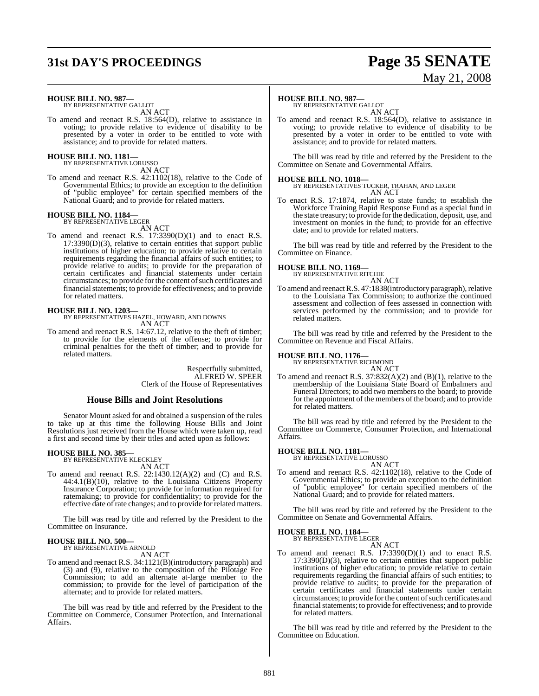# **31st DAY'S PROCEEDINGS Page 35 SENATE**

# May 21, 2008

#### **HOUSE BILL NO. 987—** BY REPRESENTATIVE GALLOT

AN ACT

To amend and reenact R.S. 18:564(D), relative to assistance in voting; to provide relative to evidence of disability to be presented by a voter in order to be entitled to vote with assistance; and to provide for related matters.

### **HOUSE BILL NO. 1181—** BY REPRESENTATIVE LORUSSO

AN ACT

To amend and reenact R.S. 42:1102(18), relative to the Code of Governmental Ethics; to provide an exception to the definition of "public employee" for certain specified members of the National Guard; and to provide for related matters.

### **HOUSE BILL NO. 1184—** BY REPRESENTATIVE LEGER

AN ACT

To amend and reenact R.S. 17:3390(D)(1) and to enact R.S. 17:3390(D)(3), relative to certain entities that support public institutions of higher education; to provide relative to certain requirements regarding the financial affairs of such entities; to provide relative to audits; to provide for the preparation of certain certificates and financial statements under certain circumstances; to provide for the content of such certificates and financial statements; to provide for effectiveness; and to provide for related matters.

**HOUSE BILL NO. 1203—** BY REPRESENTATIVES HAZEL, HOWARD, AND DOWNS AN ACT

To amend and reenact R.S. 14:67.12, relative to the theft of timber; to provide for the elements of the offense; to provide for criminal penalties for the theft of timber; and to provide for related matters.

> Respectfully submitted, ALFRED W. SPEER Clerk of the House of Representatives

#### **House Bills and Joint Resolutions**

Senator Mount asked for and obtained a suspension of the rules to take up at this time the following House Bills and Joint Resolutions just received from the House which were taken up, read a first and second time by their titles and acted upon as follows:

### **HOUSE BILL NO. 385—** BY REPRESENTATIVE KLECKLEY

AN ACT

To amend and reenact R.S. 22:1430.12(A)(2) and (C) and R.S. 44:4.1(B)(10), relative to the Louisiana Citizens Property Insurance Corporation; to provide for information required for ratemaking; to provide for confidentiality; to provide for the effective date of rate changes; and to provide for related matters.

The bill was read by title and referred by the President to the Committee on Insurance.

### **HOUSE BILL NO. 500—** BY REPRESENTATIVE ARNOLD

AN ACT

To amend and reenact R.S. 34:1121(B)(introductory paragraph) and (3) and (9), relative to the composition of the Pilotage Fee Commission; to add an alternate at-large member to the commission; to provide for the level of participation of the alternate; and to provide for related matters.

The bill was read by title and referred by the President to the Committee on Commerce, Consumer Protection, and International Affairs.

#### **HOUSE BILL NO. 987—**

BY REPRESENTATIVE GALLOT AN ACT

To amend and reenact R.S. 18:564(D), relative to assistance in voting; to provide relative to evidence of disability to be presented by a voter in order to be entitled to vote with assistance; and to provide for related matters.

The bill was read by title and referred by the President to the Committee on Senate and Governmental Affairs.

#### **HOUSE BILL NO. 1018—**

BY REPRESENTATIVES TUCKER, TRAHAN, AND LEGER AN ACT

To enact R.S. 17:1874, relative to state funds; to establish the Workforce Training Rapid Response Fund as a special fund in the state treasury; to provide for the dedication, deposit, use, and investment on monies in the fund; to provide for an effective date; and to provide for related matters.

The bill was read by title and referred by the President to the Committee on Finance.

### **HOUSE BILL NO. 1169—** BY REPRESENTATIVE RITCHIE

AN ACT

To amend and reenact R.S. 47:1838(introductory paragraph), relative to the Louisiana Tax Commission; to authorize the continued assessment and collection of fees assessed in connection with services performed by the commission; and to provide for related matters.

The bill was read by title and referred by the President to the Committee on Revenue and Fiscal Affairs.

### **HOUSE BILL NO. 1176—** BY REPRESENTATIVE RICHMOND

AN ACT

To amend and reenact R.S. 37:832(A)(2) and (B)(1), relative to the membership of the Louisiana State Board of Embalmers and Funeral Directors; to add two members to the board; to provide for the appointment of the members of the board; and to provide for related matters.

The bill was read by title and referred by the President to the Committee on Commerce, Consumer Protection, and International Affairs.

### **HOUSE BILL NO. 1181—** BY REPRESENTATIVE LORUSSO

AN ACT

To amend and reenact R.S. 42:1102(18), relative to the Code of Governmental Ethics; to provide an exception to the definition of "public employee" for certain specified members of the National Guard; and to provide for related matters.

The bill was read by title and referred by the President to the Committee on Senate and Governmental Affairs.

### **HOUSE BILL NO. 1184—** BY REPRESENTATIVE LEGER

AN ACT

To amend and reenact R.S. 17:3390(D)(1) and to enact R.S. 17:3390(D)(3), relative to certain entities that support public institutions of higher education; to provide relative to certain requirements regarding the financial affairs of such entities; to provide relative to audits; to provide for the preparation of certain certificates and financial statements under certain circumstances; to provide for the content of such certificates and financial statements; to provide for effectiveness; and to provide for related matters.

The bill was read by title and referred by the President to the Committee on Education.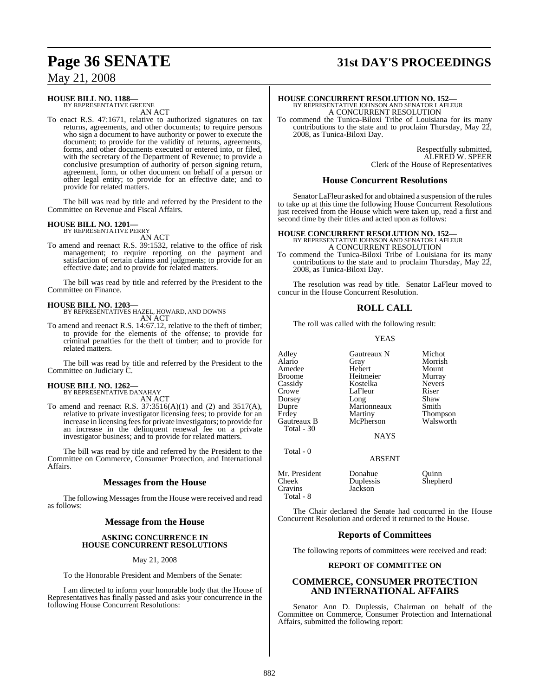# **Page 36 SENATE 31st DAY'S PROCEEDINGS**

### May 21, 2008

#### **HOUSE BILL NO. 1188—** BY REPRESENTATIVE GREENE

AN ACT

To enact R.S. 47:1671, relative to authorized signatures on tax returns, agreements, and other documents; to require persons who sign a document to have authority or power to execute the document; to provide for the validity of returns, agreements, forms, and other documents executed or entered into, or filed, with the secretary of the Department of Revenue; to provide a conclusive presumption of authority of person signing return, agreement, form, or other document on behalf of a person or other legal entity; to provide for an effective date; and to provide for related matters.

The bill was read by title and referred by the President to the Committee on Revenue and Fiscal Affairs.

### **HOUSE BILL NO. 1201—** BY REPRESENTATIVE PERRY

AN ACT

To amend and reenact R.S. 39:1532, relative to the office of risk management; to require reporting on the payment and satisfaction of certain claims and judgments; to provide for an effective date; and to provide for related matters.

The bill was read by title and referred by the President to the Committee on Finance.

#### **HOUSE BILL NO. 1203—**

BY REPRESENTATIVES HAZEL, HOWARD, AND DOWNS AN ACT

To amend and reenact R.S. 14:67.12, relative to the theft of timber; to provide for the elements of the offense; to provide for criminal penalties for the theft of timber; and to provide for related matters.

The bill was read by title and referred by the President to the Committee on Judiciary C.

### **HOUSE BILL NO. 1262—** BY REPRESENTATIVE DANAHAY

AN ACT

To amend and reenact R.S.  $37:3516(A)(1)$  and  $(2)$  and  $3517(A)$ , relative to private investigator licensing fees; to provide for an increase in licensing feesfor private investigators; to provide for an increase in the delinquent renewal fee on a private investigator business; and to provide for related matters.

The bill was read by title and referred by the President to the Committee on Commerce, Consumer Protection, and International Affairs.

### **Messages from the House**

The following Messages from the House were received and read as follows:

#### **Message from the House**

#### **ASKING CONCURRENCE IN HOUSE CONCURRENT RESOLUTIONS**

May 21, 2008

To the Honorable President and Members of the Senate:

I am directed to inform your honorable body that the House of Representatives has finally passed and asks your concurrence in the following House Concurrent Resolutions:

**HOUSE CONCURRENT RESOLUTION NO. 152—** BY REPRESENTATIVE JOHNSON AND SENATOR LAFLEUR A CONCURRENT RESOLUTION To commend the Tunica-Biloxi Tribe of Louisiana for its many

contributions to the state and to proclaim Thursday, May 22, 2008, as Tunica-Biloxi Day.

> Respectfully submitted, ALFRED W. SPEER Clerk of the House of Representatives

#### **House Concurrent Resolutions**

Senator LaFleur asked for and obtained a suspension of the rules to take up at this time the following House Concurrent Resolutions just received from the House which were taken up, read a first and second time by their titles and acted upon as follows:

# **HOUSE CONCURRENT RESOLUTION NO. 152—** BY REPRESENTATIVE JOHNSON AND SENATOR LAFLEUR A CONCURRENT RESOLUTION

To commend the Tunica-Biloxi Tribe of Louisiana for its many contributions to the state and to proclaim Thursday, May 22, 2008, as Tunica-Biloxi Day.

The resolution was read by title. Senator LaFleur moved to concur in the House Concurrent Resolution.

#### **ROLL CALL**

The roll was called with the following result:

#### YEAS

Adley Gautreaux N Michot<br>Alario Gray Morrisł Amedee Hebert Mount Broome Heitmeier Murray Cassidy Kostelka Nevers Dorsey Long Shaw Erdey Martiny Thompson<br>Gautreaux B McPherson Walsworth Gautreaux B Total - 30

Total - 0

Total - 8

Gray Morrish<br>
Hebert Mount LaFleur Riser<br>Long Shaw Marionneaux Smith<br>
Martiny Thompson

Mr. President Donahue<br>Cheek Dunlessis Cheek Duplessis<br>Cravins Jackson

ABSENT

Jackson

**NAYS** 

The Chair declared the Senate had concurred in the House Concurrent Resolution and ordered it returned to the House.

#### **Reports of Committees**

The following reports of committees were received and read:

#### **REPORT OF COMMITTEE ON**

#### **COMMERCE, CONSUMER PROTECTION AND INTERNATIONAL AFFAIRS**

Senator Ann D. Duplessis, Chairman on behalf of the Committee on Commerce, Consumer Protection and International Affairs, submitted the following report: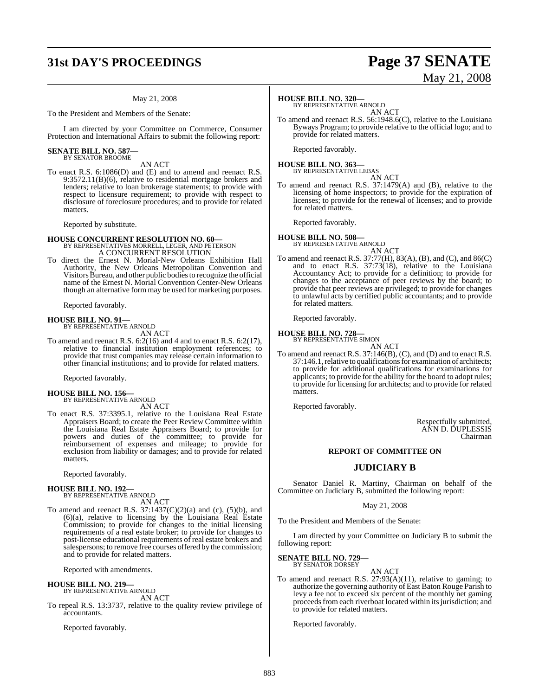## **31st DAY'S PROCEEDINGS Page 37 SENATE**

#### May 21, 2008

To the President and Members of the Senate:

I am directed by your Committee on Commerce, Consumer Protection and International Affairs to submit the following report:

#### **SENATE BILL NO. 587—** BY SENATOR BROOME

AN ACT

To enact R.S. 6:1086(D) and (E) and to amend and reenact R.S. 9:3572.11(B)(6), relative to residential mortgage brokers and lenders; relative to loan brokerage statements; to provide with respect to licensure requirement; to provide with respect to disclosure of foreclosure procedures; and to provide for related matters.

Reported by substitute.

### **HOUSE CONCURRENT RESOLUTION NO. 60—** BY REPRESENTATIVES MORRELL, LEGER, AND PETERSON A CONCURRENT RESOLUTION

To direct the Ernest N. Morial-New Orleans Exhibition Hall Authority, the New Orleans Metropolitan Convention and Visitors Bureau, and other public bodies to recognize the official name of the Ernest N. Morial Convention Center-New Orleans though an alternative form may be used for marketing purposes.

Reported favorably.

#### **HOUSE BILL NO. 91—**

BY REPRESENTATIVE ARNOLD AN ACT

To amend and reenact R.S. 6:2(16) and 4 and to enact R.S. 6:2(17), relative to financial institution employment references; to provide that trust companies may release certain information to other financial institutions; and to provide for related matters.

Reported favorably.

### **HOUSE BILL NO. 156—** BY REPRESENTATIVE ARNOLD

AN ACT

To enact R.S. 37:3395.1, relative to the Louisiana Real Estate Appraisers Board; to create the Peer Review Committee within the Louisiana Real Estate Appraisers Board; to provide for powers and duties of the committee; to provide for reimbursement of expenses and mileage; to provide for exclusion from liability or damages; and to provide for related matters.

Reported favorably.

# **HOUSE BILL NO. 192—** BY REPRESENTATIVE ARNOLD

AN ACT

To amend and reenact R.S.  $37:1437(C)(2)(a)$  and (c),  $(5)(b)$ , and (6)(a), relative to licensing by the Louisiana Real Estate Commission; to provide for changes to the initial licensing requirements of a real estate broker; to provide for changes to post-license educational requirements of real estate brokers and salespersons; to remove free courses offered by the commission; and to provide for related matters.

Reported with amendments.

#### **HOUSE BILL NO. 219—** BY REPRESENTATIVE ARNOLD

AN ACT

To repeal R.S. 13:3737, relative to the quality review privilege of accountants.

Reported favorably.

#### **HOUSE BILL NO. 320—**

BY REPRESENTATIVE ARNOLD AN ACT

To amend and reenact R.S. 56:1948.6(C), relative to the Louisiana Byways Program; to provide relative to the official logo; and to provide for related matters.

Reported favorably.

#### **HOUSE BILL NO. 363—** BY REPRESENTATIVE LEBAS

AN ACT To amend and reenact R.S. 37:1479(A) and (B), relative to the licensing of home inspectors; to provide for the expiration of licenses; to provide for the renewal of licenses; and to provide

for related matters. Reported favorably.

**HOUSE BILL NO. 508—** BY REPRESENTATIVE ARNOLD AN ACT

To amend and reenact R.S. 37:77(H), 83(A), (B), and (C), and 86(C) and to enact R.S. 37:73(18), relative to the Louisiana Accountancy Act; to provide for a definition; to provide for changes to the acceptance of peer reviews by the board; to provide that peer reviews are privileged; to provide for changes to unlawful acts by certified public accountants; and to provide for related matters.

Reported favorably.

**HOUSE BILL NO. 728—** BY REPRESENTATIVE SIMON

AN ACT

To amend and reenact R.S. 37:146(B), (C), and (D) and to enact R.S. 37:146.1, relative to qualifications for examination of architects; to provide for additional qualifications for examinations for applicants; to provide for the ability for the board to adopt rules; to provide for licensing for architects; and to provide for related matters.

Reported favorably.

Respectfully submitted, ANN D. DUPLESSIS Chairman

#### **REPORT OF COMMITTEE ON**

### **JUDICIARY B**

Senator Daniel R. Martiny, Chairman on behalf of the Committee on Judiciary B, submitted the following report:

#### May 21, 2008

To the President and Members of the Senate:

I am directed by your Committee on Judiciary B to submit the following report:

#### **SENATE BILL NO. 729—** BY SENATOR DORSEY

AN ACT

To amend and reenact R.S. 27:93(A)(11), relative to gaming; to authorize the governing authority of East Baton Rouge Parish to levy a fee not to exceed six percent of the monthly net gaming proceeds from each riverboat located within its jurisdiction; and to provide for related matters.

Reported favorably.

# May 21, 2008